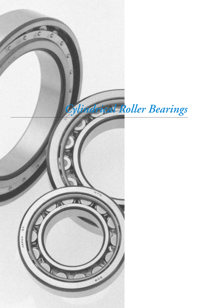

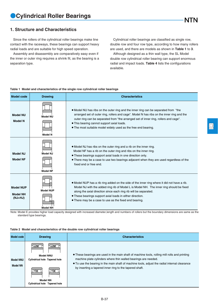### **1. Structure and Characteristics**

Since the rollers of the cylindrical roller bearings make line contact with the raceways, these bearings can support heavy radial loads and are suitable for high speed operation.

Assembly and disassembly are comparatively easy even if the inner or outer ring requires a shrink fit, as the bearing is a separation type.

Cylindrical roller bearings are classified as single row, double row and four row type, according to how many rollers are used, and there are models as shown in **Table 1** to **3**.

Although designed as a thin wall type, the SL Model double row cylindrical roller bearing can support enormous radial and impact loads. **Table 4** lists the configurations available.

#### **Table 1 Model and characteristics of the single row cylindrical roller bearings**

| <b>Model code</b>                                | <b>Drawing</b>                      | <b>Characteristics</b>                                                                                                                                                                                                                                                                                                                                                                   |
|--------------------------------------------------|-------------------------------------|------------------------------------------------------------------------------------------------------------------------------------------------------------------------------------------------------------------------------------------------------------------------------------------------------------------------------------------------------------------------------------------|
| <b>Model NU</b><br><b>Model N</b>                | <b>Model NU</b><br><b>Model N</b>   | • Model NU has ribs on the outer ring and the inner ring can be separated from "the<br>arranged set of outer ring, rollers and cage". Model N has ribs on the inner ring and the<br>outer ring can be separated from "the arranged set of inner ring, rollers and cage".<br>• This bearing cannot support axial loads.<br>• The most suitable model widely used as the free end bearing. |
| Model NJ<br><b>Model NF</b>                      | Model N.I<br><b>Model NF</b>        | • Model NJ has ribs on the outer ring and a rib on the inner ring.<br>Model NF has a rib on the outer ring and ribs on the inner ring.<br>• These bearings support axial loads in one direction only.<br>• There may be a case to use two bearings adjacent when they are used regardless of the<br>fixed end or free end.                                                               |
| <b>Model NUP</b><br><b>Model NH</b><br>$(NJ+HJ)$ | <b>Model NUP</b><br><b>Model NH</b> | • Model NUP has a rib ring added on the side of the inner ring where it did not have a rib.<br>Model NJ with the added ring rib of Model L is Model NH. The inner ring should be fixed<br>along the axial direction since each ring rib will be separated.<br>• These bearings support axial loads in either direction.<br>• There may be a case to use as the fixed end bearing.        |

Note: Model E provides higher load capacity designed with increased diameter,length and numbers of rollers but the boundary dimensions are same as the standard type bearings.

#### **Table 2 Model and characteristics of the double row cylindrical roller bearings**

| <b>Model code</b>                   | <b>Drawing</b>                                                                                               | <b>Characteristics</b>                                                                                                                                                                                                                                                                                                      |
|-------------------------------------|--------------------------------------------------------------------------------------------------------------|-----------------------------------------------------------------------------------------------------------------------------------------------------------------------------------------------------------------------------------------------------------------------------------------------------------------------------|
| <b>Model NNU</b><br><b>Model NN</b> | <b>Model NNU</b><br><b>Cylindrical hole Tapered hole</b><br><b>Model NN</b><br>Cylindrical hole Tapered hole | • These bearings are used in the main shaft of machine tools, rolling mill rolls and printing<br>machine plate cylinders where thin walled bearings are needed.<br>• To use the bearing in the main shaft of machine tools, adjust the radial internal clearance<br>by inserting a tapered inner ring to the tapered shaft. |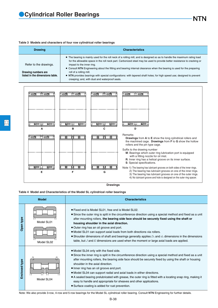#### **Table 3 Models and characters of four row cylindrical roller bearings**

| <b>Drawing</b>                                         | <b>Characteristics</b>                                                                                                                                                                                                                                                                                                       |
|--------------------------------------------------------|------------------------------------------------------------------------------------------------------------------------------------------------------------------------------------------------------------------------------------------------------------------------------------------------------------------------------|
| Refer to the drawings.                                 | • The bearing is mainly used for the roll neck of a rolling mill, and is designed so as to handle the maximum rating load<br>for the allowable space in the roll neck part. Carbonized steel may be used to provide better resistance to cracking or<br>impact to the inner ring.                                            |
| Drawing numbers are<br>listed in the dimensions table. | • Consult NTN Engineering about the fitting and bearing internal clearance when the bearing is used for the preparing<br>roll of a rolling mill.<br>• NTN provides bearings with special configurations: with tapered shaft holes; for high speed use; designed to prevent<br>creeping; and, with dust and waterproof seals. |

NTN





#### **Table 4 Model and Characteristics of the Model SL cylindrical roller bearings**

|               | <b>Model</b>             | <b>Characteristics</b>                                                                                                                                                                                                                                                                                                                                                                                                                                                                                                                                                                                                                                       |
|---------------|--------------------------|--------------------------------------------------------------------------------------------------------------------------------------------------------------------------------------------------------------------------------------------------------------------------------------------------------------------------------------------------------------------------------------------------------------------------------------------------------------------------------------------------------------------------------------------------------------------------------------------------------------------------------------------------------------|
| type<br>Open  | Model SL01<br>Model SL02 | • Fixed end is Model SL01, free end is Model SL02.<br>• Since the outer ring is split in the circumference direction using a special method and fixed as a unit<br>after mounting rollers, the bearing side face should be securely fixed using the shaft or<br>housing shoulder in the axial direction.<br>• Outer ring has an oil groove and port.<br>• Model SL01 can support axial loads from both directions via rollers.<br>• Shoulder dimensions of shaft and bearings generally applies $D_a$ and $d_a$ dimensions in the dimensions<br>table, but $J$ and $K$ dimensions are used when the moment or large axial loads are applied.                 |
| Enclosed type | Model SL04               | • Model SL04 only with the fixed side.<br>• Since the inner ring is split in the circumference direction using a special method and fixed as a unit<br>after mounting rollers, the bearing side face should be securely fixed by using the shaft or housing<br>shoulder in the axial direction.<br>• Inner ring has an oil groove and port.<br>• Model SL04 can support radial and axial loads in either directions.<br>• A sealed bearing prelubricated with grease, the outer ring is fitted with a locating snap ring, making it<br>easy to handle and appropriate for sheaves and other applications.<br>• Surface coating is added for rust prevention. |
|               |                          | Note: We also provide 3-row, 4-row and 5-row bearings for the Model SL cylindrical roller bearing. Consult NTN Engineering for further details.                                                                                                                                                                                                                                                                                                                                                                                                                                                                                                              |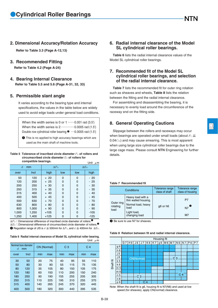**2. Dimensional Accuracy/Rotation Accuracy**

**Refer to Table 3.3 (Page A-12,13)**

#### **3. Recommended Fitting**

**Refer to Table 4.2 (Page A-24)**

#### **4. Bearing Internal Clearance**

**Refer to Table 5.5 and 5.6 (Page A-31, 32, 33)**

#### **5. Permissible slant angle**

It varies according to the bearing type and internal specifications, the values in the table below are widely used to avoid edge loads under general load conditions.

When the width series is 0 or  $1 \cdots 0.001$  rad  $(3.5')$ When the width series is  $2 \cdots 0.0005$  rad (1.5') Double row cylindrical roller bearing  $\bullet \cdots 0.0005$  rad (1.5')

 $\bullet$  This is no applied to high accuracy bearings which are used as the main shaft of machine tools.

Unit  $\mu$ m **Table 5 Tolerance of inscribed circle diameter** *F*<sup>w</sup> **of rollers and circumscribed circle diameter** *E*<sup>w</sup> **of rollers for compatible bearings.**

| $\overline{d}$ | mm    |        | $\Delta F_{\rm w}$ | <b>12.111</b><br>$\Delta E_{\rm w}$ |        |  |
|----------------|-------|--------|--------------------|-------------------------------------|--------|--|
| over           | Incl  | high   | low                | low                                 | high   |  |
| 50             | 120   | $+20$  | 0                  | 0                                   | $-20$  |  |
| 120            | 200   | $+25$  | 0                  | 0                                   | - 25   |  |
| 200            | 250   | $+30$  | 0                  | 0                                   | - 30   |  |
| 250            | 315   | $+35$  | 0                  | 0                                   | - 35   |  |
| 315            | 400   | $+40$  | 0                  | 0                                   | $-40$  |  |
| 400            | 500   | $+45$  | 0                  | 0                                   | - 45   |  |
| 500            | 630   | $+ 70$ | 0                  | 0                                   | $-70$  |  |
| 630            | 800   | $+80$  | 0                  | 0                                   | -80    |  |
| 800            | 1,000 | $+90$  | 0                  | 0                                   | - 90   |  |
| 1,000          | 1,250 | $+105$ | 0                  | 0                                   | $-105$ |  |
| 1,250          | 1,400 | $+125$ | 0                  | 0                                   | $-125$ |  |

 $\Lambda F_{\rm w}$ : Dimensional difference of inscribed circle diameter of rollers.<sup><sup>2</sup></sup>

∆*Ew*: Dimensional difference of circumscribed circle diameter of rollers.<sup>2</sup> 2 Regulation range of JIS is *d* ≦ 500mm for ∆*F*w, and *d* ≦ 400mm for ∆*E*w.

Unit **Table 6 Radial internal clearance of Model SL cylindrical roller bearing.**

|                                               |      |             |     |     |                |                | $\cdots$ |
|-----------------------------------------------|------|-------------|-----|-----|----------------|----------------|----------|
| Nominal bore diameter<br>$\overline{d}$<br>mm |      | CN (Normal) |     |     | C <sub>3</sub> | C <sub>4</sub> |          |
| over                                          | Incl | min         | max | min | max            | min            | max      |
| 30                                            | 50   | 20          | 75  | 40  | 95             | 55             | 110      |
| 50                                            | 80   | 30          | 90  | 55  | 115            | 75             | 135      |
| 80                                            | 120  | 35          | 105 | 80  | 150            | 105            | 175      |
| 120                                           | 180  | 60          | 150 | 110 | 200            | 150            | 240      |
| 180                                           | 250  | 90          | 190 | 155 | 255            | 205            | 305      |
| 250                                           | 315  | 110         | 225 | 195 | 310            | 255            | 370      |
| 315                                           | 400  | 140         | 265 | 245 | 370            | 320            | 445      |
| 400                                           | 500  | 180         | 320 | 300 | 440            | 395            | 535      |

#### **6. Radial internal clearance of the Model SL cylindrical roller bearings.**

**Table 6** lists the radial internal clearance values of the Model SL cylindrical roller bearings.

#### **7. Recommended fit of the Model SL cylindrical roller bearings, and selection of the radial internal clearance.**

**Table 7** lists the recommended fit for outer ring rotation such as sheaves and wheels, **Table 8** lists the relation between the fitting and the radial internal clearance.

For assembling and disassembling the bearing, it is necessary to evenly load around the circumference of the raceway end on the fitting side.

#### **8. General Operating Cautions**

Slippage between the rollers and raceways may occur when bearings are operated under small loads (about *F*<sup>r</sup> ≦ 0.04*C*or) and may cause smearing. This is most apparent when using large size cylindrical roller bearings due to the large cage mass. Please consult **NTN** Engineering for further details.

#### **Table 7 Recommended fit**

|                                | Conditions                                                                                              | Tolerance range<br>class of shaft | Tolerance range<br>class of housing |
|--------------------------------|---------------------------------------------------------------------------------------------------------|-----------------------------------|-------------------------------------|
| Outer ring<br>rotating<br>load | Heavy load with a<br>thin walled housing.<br>Normal load, heavy<br>load<br>Light load,<br>changing load | q6 or h6                          | P7<br>N7<br>M7                      |

<sup>3</sup> Be sure to use N7 for sheaves.

**Table 8 Relation between fit and radial internal clearance.**



Note: When the shaft fit is g6, housing fit is N7(N6) and used at low speed (for sheaves), apply CN(normal) clearance.

回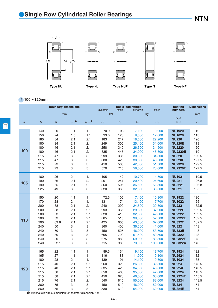

*d* **100**~**120mm**

|                |                                                                           | <b>Boundary dimensions</b> |                  |                   | dynamic     | <b>Basic load ratings</b><br>static | dynamic     | static       | <b>Bearing</b><br>numbers | <b>Dimensions</b> |
|----------------|---------------------------------------------------------------------------|----------------------------|------------------|-------------------|-------------|-------------------------------------|-------------|--------------|---------------------------|-------------------|
|                |                                                                           | mm                         |                  |                   | kN          |                                     | kgf         |              |                           | mm                |
|                | $\overline{D}$                                                            | $\boldsymbol{B}$           |                  |                   |             |                                     |             |              | type<br><b>NU</b>         |                   |
| $\mathfrak{d}$ |                                                                           |                            | $r_{\rm s\,min}$ | $r_{\rm ls\,min}$ | $C_{\rm r}$ | $C_{\rm or}$                        | $C_{\rm r}$ | $C_{\rm or}$ |                           | $F_{\rm w}$       |
|                | 140                                                                       | 20                         | 1.1              | $\mathbf{1}$      | 70.0        | 98.0                                | 7,100       | 10,000       | <b>NU1920</b>             | 110               |
|                | 150                                                                       | 24                         | 1.5              | 1.1               | 93.0        | 126                                 | 9,500       | 12,800       | <b>NU1020</b>             | 113               |
|                | 180                                                                       | 34                         | 2.1              | 2.1               | 183         | 217                                 | 18,600      | 22,200       | <b>NU220</b>              | 120               |
|                | 180                                                                       | 34                         | 2.1              | 2.1               | 249         | 305                                 | 25,400      | 31,000       | <b>NU220E</b>             | 119               |
|                | 180                                                                       | 46                         | 2.1              | 2.1               | 258         | 340                                 | 26,300      | 34,500       | <b>NU2220</b>             | 120               |
| 100            | 180                                                                       | 46                         | 2.1              | 2.1               | 335         | 445                                 | 34,000      | 45,500       | <b>NU2220E</b>            | 119               |
|                | 215                                                                       | 47                         | 3                | 3                 | 299         | 335                                 | 30,500      | 34,500       | <b>NU320</b>              | 129.5             |
|                | 215                                                                       | 47                         | 3                | 3                 | 380         | 425                                 | 38,500      | 43,500       | <b>NU320E</b>             | 127.5             |
|                | 215                                                                       | 73                         | 3                | 3                 | 410         | 505                                 | 42,000      | 51,500       | <b>NU2320</b>             | 129.5             |
|                | 215                                                                       | 73                         | 3                | 3                 | 570         | 715                                 | 58,000      | 73,000       | <b>NU2320E</b>            | 127.5             |
|                | 160                                                                       | 26                         | $\overline{c}$   | 1.1               | 105         | 142                                 | 10,700      | 14,500       | <b>NU1021</b>             | 119.5             |
|                | 190                                                                       | 36                         | 2.1              | 2.1               | 201         | 241                                 | 20,500      | 24,600       | <b>NU221</b>              | 126.8             |
| 105            | 190                                                                       | 65.1                       | 2.1              | 2.1               | 360         | 505                                 | 36,500      | 51,500       | <b>NU3221</b>             | 126.8             |
|                | 225                                                                       | 49                         | 3                | 3                 | 320         | 360                                 | 32,500      | 36,500       | <b>NU321</b>              | 135               |
|                |                                                                           |                            |                  |                   |             |                                     |             |              |                           |                   |
|                | 150                                                                       | 20                         | 1.1              | 1                 | 72.5        | 106                                 | 7,400       | 10,800       | <b>NU1922</b>             | 120               |
|                | 170                                                                       | 28                         | $\overline{c}$   | 1.1               | 131         | 174                                 | 13,400      | 17,700       | <b>NU1022</b>             | 125               |
|                | 200                                                                       | 38                         | 2.1              | 2.1               | 240         | 290                                 | 24,500      | 29,500       | <b>NU222</b>              | 132.5             |
|                | 200                                                                       | 38                         | 2.1              | 2.1               | 293         | 365                                 | 29,800      | 37,000       | <b>NU222E</b>             | 132.5             |
|                | 200                                                                       | 53                         | 2.1              | 2.1               | 320         | 415                                 | 32,500      | 42,000       | <b>NU2222</b>             | 132.5             |
| 110            | 200                                                                       | 53                         | 2.1              | 2.1               | 385         | 515                                 | 39,000      | 52,500       | <b>NU2222E</b>            | 132.5             |
|                | 200                                                                       | 69.8                       | 2.1              | 2.1               | 425         | 605                                 | 43,500      | 62,000       | <b>NU3222</b>             | 132.5             |
|                | 240                                                                       | 50                         | 3                | 3                 | 360         | 400                                 | 36,500      | 41,000       | <b>NU322</b>              | 143               |
|                | 240                                                                       | 50                         | 3                | 3                 | 450         | 525                                 | 46,000      | 53,500       | <b>NU322E</b>             | 143               |
|                | 240                                                                       | 80                         | 3                | 3                 | 605         | 790                                 | 61,500      | 80,500       | <b>NU2322</b>             | 143               |
|                | 240                                                                       | 80                         | 3                | 3                 | 675         | 880                                 | 69,000      | 89,500       | <b>NU2322E</b>            | 143               |
|                | 240                                                                       | 92.1                       | 3                | 3                 | 715         | 985                                 | 73,000      | 100,000      | <b>NU3322A</b>            | 143               |
|                | 165                                                                       | 22                         | 1.1              | 1                 | 89.5        | 134                                 | 9,150       | 13,700       | <b>NU1924</b>             | 132               |
|                | 165                                                                       | 27                         | 1.1              | 1                 | 116         | 188                                 | 11,900      | 19,100       | <b>NU2924</b>             | 132               |
|                | 180                                                                       | 28                         | 2                | 1.1               | 139         | 191                                 | 14,100      | 19,500       | <b>NU1024</b>             | 135               |
|                | 215                                                                       | 40                         | 2.1              | 2.1               | 260         | 320                                 | 26,500      | 32,500       | <b>NU224</b>              | 143.5             |
| 120            | 215                                                                       | 40                         | 2.1              | 2.1               | 335         | 420                                 | 34,000      | 43,000       | <b>NU224E</b>             | 143.5             |
|                | 215                                                                       | 58                         | 2.1              | 2.1               | 350         | 460                                 | 35,500      | 47,000       | <b>NU2224</b>             | 143.5             |
|                | 215                                                                       | 58                         | 2.1              | 2.1               | 450         | 620                                 | 46,000      | 63,000       | <b>NU2224E</b>            | 143.5             |
|                | 215                                                                       | 76                         | 2.1              | 2.1               | 540         | 815                                 | 55,000      | 83,000       | <b>NU3224</b>             | 143.5             |
|                | 260                                                                       | 55                         | 3                | 3                 | 450         | 510                                 | 46,000      | 52,000       | <b>NU324</b>              | 154               |
|                | 260                                                                       | 55                         | 3                | 3                 | 530         | 610                                 | 54,000      | 62,000       | <b>NU324E</b>             | 154               |
|                | $\bullet$ Minimal allowable dimension for chamfer dimension $r$ or $r1$ . |                            |                  |                   |             |                                     |             |              |                           |                   |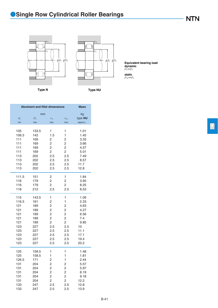**Type N Type NU**

*r*1a *r*a  $φd<sub>a</sub> φD<sub>a</sub>$ 巨



*P*r=*F*r **Equivalent bearing load dynamic**

*P*or=*F*r **static**

**Abutment and fillet dimensions Mass** mm kg kg  $d_a$  *D*<sub>a</sub> *r*<sub>as</sub> *r*<sub>las</sub> *r***<sub>pas</sub> <b>***r*<sub>pas</sub> *r* min max max max max (approx.) 105 133.5 1 1 1.01 106.5 142 1.5 1 1.45 111 169 2 2 3.33 111 169 2 2 3.66 111 169 2 2 4.57 111 169 2 2 5.01 113 202 2.5 2.5 7.49 113 202 2.5 2.5 8.57 113 202 2.5 2.5 11.7 113 202 2.5 2.5 12.8 111.5 151 2 1 1.84 116 179 2 2 3.95 116 179 2 2 8.25 118 212 2.5 2.5 8.53 115 143.5 1 1 1.09 116.5 161 2 1 2.33 121 189 2 2 4.63 121 189 2 2 4.27 121 189 2 2 6.56 121 189 2 2 7.4 121 189 2 2 9.85 123 227 2.5 2.5 10 123 227 2.5 2.5 11.1 123 227 2.5 2.5 17.1 123 227 2.5 2.5 19.4 123 227 2.5 2.5 20.2 125 158.5 1 1 1.48 125 158.5 1 1 1.81 126.5 171 2 1 2.44 131 204 2 2 5.57 131 204 2 2 5.97 131 204 2 2 8.19 131 204 2 2 9.18 131 204 2 2 12.2 133 247 2.5 2.5 12.8 133 247 2.5 2.5 13.9

回

**NTN** 

B-41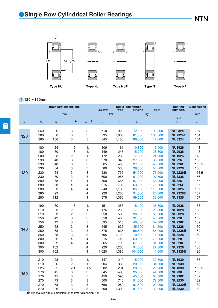

*d* **120**~**150mm**

|                |                                                                           |                  | <b>Boundary dimensions</b> |                   | dynamic     | static       | <b>Basic load ratings</b><br>dynamic | static       | <b>Bearing</b><br>numbers | <b>Dimensions</b> |
|----------------|---------------------------------------------------------------------------|------------------|----------------------------|-------------------|-------------|--------------|--------------------------------------|--------------|---------------------------|-------------------|
|                |                                                                           |                  | mm                         |                   | kN          |              |                                      | kgf          |                           | mm                |
| $\mathfrak{d}$ | $\boldsymbol{D}$                                                          | $\boldsymbol{B}$ | $r_{\rm s\,min}$           | $r_{\rm ls\,min}$ | $C_{\rm r}$ | $C_{\rm or}$ | $C_{\rm r}$                          | $C_{\rm or}$ | type<br><b>NU</b>         | $F_{\rm w}$       |
|                | 260                                                                       | 86               | 3                          | 3                 | 710         | 920          | 72,500                               | 93,500       | <b>NU2324</b>             | 154               |
| 120            | 260                                                                       | 86               | 3                          | 3                 | 795         | 1,030        | 81,000                               | 105,000      | <b>NU2324E</b>            | 154               |
|                | 260                                                                       | 106              | 3                          | 3                 | 845         | 1,150        | 86,000                               | 117,000      | <b>NU3324</b>             | 154               |
|                | 180                                                                       | 24               | 1.5                        | 1.1               | 106         | 161          | 10,800                               | 16,400       | <b>NU1926</b>             | 143               |
|                | 180                                                                       | 30               | 1.5                        | 1.1               | 149         | 248          | 15,200                               | 25,300       | <b>NU2926</b>             | 143               |
|                | 200                                                                       | 33               | 2                          | 1.1               | 172         | 238          | 17,500                               | 24,200       | <b>NU1026</b>             | 148               |
|                | 230                                                                       | 40               | 3                          | 3                 | 270         | 340          | 27,600                               | 35,000       | <b>NU226</b>              | 156               |
|                | 230                                                                       | 40               | 3                          | 3                 | 365         | 455          | 37,000                               | 46,000       | <b>NU226E</b>             | 153.5             |
|                | 230                                                                       | 64               | 3                          | 3                 | 380         | 530          | 38,500                               | 54,000       | <b>NU2226</b>             | 156               |
| 130            | 230                                                                       | 64               | 3                          | 3                 | 530         | 735          | 54,000                               | 75,000       | <b>NU2226E</b>            | 153.5             |
|                | 230                                                                       | 80               | 3                          | 3                 | 600         | 955          | 61,000                               | 97,500       | <b>NU3226</b>             | 156               |
|                | 280                                                                       | 58               | $\overline{4}$             | 4                 | 560         | 665          | 57,000                               | 68,000       | <b>NU326</b>              | 167               |
|                | 280                                                                       | 58               | $\overline{4}$             | 4                 | 615         | 735          | 63,000                               | 75,000       | <b>NU326E</b>             | 167               |
|                | 280                                                                       | 93               | $\overline{4}$             | 4                 | 840         | 1,130        | 85,500                               | 115,000      | <b>NU2326</b>             | 167               |
|                | 280                                                                       | 93               | 4                          | 4                 | 920         | 1,230        | 94,000                               | 126,000      | <b>NU2326E</b>            | 167               |
|                | 280                                                                       | 112              | 4                          | 4                 | 975         | 1,360        | 99,500                               | 139,000      | <b>NU3326</b>             | 167               |
|                | 190                                                                       | 30               | 1.5                        | 1.1               | 151         | 258          | 15,400                               | 26,300       | <b>NU2928</b>             | 153               |
|                | 210                                                                       | 33               | $\overline{c}$             | 1.1               | 176         | 250          | 17,900                               | 25,500       | <b>NU1028</b>             | 158               |
|                | 210                                                                       | 53               | $\overline{c}$             | 2                 | 350         | 585          | 36,000                               | 60,000       | <b>NU3028</b>             | 158               |
|                | 250                                                                       | 42               | 3                          | 3                 | 310         | 400          | 31,500                               | 40,500       | <b>NU228</b>              | 169               |
|                | 250                                                                       | 42               | 3                          | 3                 | 395         | 515          | 40,000                               | 52,500       | <b>NU228E</b>             | 169               |
| 140            | 250                                                                       | 68               | 3                          | 3                 | 445         | 635          | 45,500                               | 64,500       | <b>NU2228</b>             | 169               |
|                | 250                                                                       | 68               | 3                          | 3                 | 575         | 835          | 58,500                               | 85,000       | <b>NU2228E</b>            | 169               |
|                | 250                                                                       | 88               | 3                          | 3                 | 695         | 1,120        | 70,500                               | 114,000      | <b>NU3228</b>             | 169               |
|                | 300                                                                       | 62               | 4                          | 4                 | 615         | 745          | 63,000                               | 76,000       | <b>NU328</b>              | 180               |
|                | 300                                                                       | 62               | 4                          | 4                 | 665         | 795          | 67,500                               | 81,500       | <b>NU328E</b>             | 180               |
|                | 300                                                                       | 102              | 4                          | 4                 | 920         | 1,250        | 94,000                               | 127,000      | <b>NU2328</b>             | 180               |
|                | 300                                                                       | 102              | $\overline{\mathcal{L}}$   | 4                 | 1,020       | 1,380        | 104,000                              | 141,000      | <b>NU2328E</b>            | 180               |
|                | 210                                                                       | 28               | $\overline{c}$             | 1.1               | 147         | 219          | 15,000                               | 22,300       | <b>NU1930</b>             | 165               |
|                | 210                                                                       | 36               | $\overline{c}$             | 1.1               | 204         | 335          | 20,800                               | 34,000       | <b>NU2930</b>             | 165               |
|                | 225                                                                       | 35               | 2.1                        | 1.5               | 202         | 294          | 20,600                               | 29,900       | <b>NU1030</b>             | 169.5             |
| 150            | 270                                                                       | 45               | 3                          | 3                 | 345         | 435          | 35,000                               | 44,500       | <b>NU230</b>              | 182               |
|                | 270                                                                       | 45               | 3                          | 3                 | 450         | 595          | 45,500                               | 60,500       | <b>NU230E</b>             | 182               |
|                | 270                                                                       | 73               | 3                          | 3                 | 500         | 710          | 51,000                               | 72,500       | <b>NU2230</b>             | 182               |
|                | 270                                                                       | 73               | 3                          | 3                 | 660         | 980          | 67,500                               | 100,000      | <b>NU2230E</b>            | 182               |
|                | 270                                                                       | 96               | 3                          | 3                 | 800         | 1,300        | 81,500                               | 132,000      | <b>NU3230</b>             | 182               |
|                | $\bullet$ Minimal allowable dimension for chamfer dimension $r$ or $r1$ . |                  |                            |                   |             |              |                                      |              |                           |                   |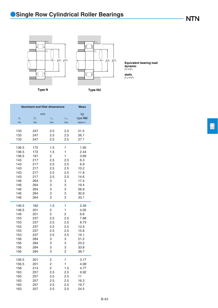*r*1a *r*a 巨



*P*r=*F*r **Equivalent bearing load dynamic**

*P*or=*F*r **static**

**Type N Type NU**

| <b>Abutment and fillet dimensions</b> | <b>Mass</b>              |                     |                      |                            |
|---------------------------------------|--------------------------|---------------------|----------------------|----------------------------|
| $d_{\rm a}$<br>min                    | mm<br>$D_{\rm a}$<br>max | $r_{\rm as}$<br>max | $r_{\rm las}$<br>max | kg<br>type NU<br>(approx.) |
| 133                                   | 247                      | 2.5                 | 2.5                  | 21.5                       |
| 133                                   | 247                      | 2.5                 | 2.5                  | 26.1                       |
| 133                                   | 247                      | 2.5                 | 2.5                  | 27.1                       |
| 136.5                                 | 172                      | 1.5                 | 1                    | 1.95                       |
| 136.5                                 | 172                      | 1.5                 | 1                    | 2.44                       |
| 136.5                                 | 191                      | 2                   | 1                    | 3.69                       |
| 143                                   | 217                      | 2.5                 | 2.5                  | 6.3                        |
| 143                                   | 217                      | 2.5                 | 2.5                  | 6.9                        |
| 143                                   | 217                      | 2.5                 | 2.5                  | 10.2                       |
| 143                                   | 217                      | 2.5                 | 2.5                  | 11.8                       |
| 143                                   | 217                      | 2.5                 | 2.5                  | 14.6                       |
| 146                                   | 264                      | 3                   | 3                    | 17.4                       |
| 146                                   | 264                      | 3                   | 3                    | 19.4                       |
| 146                                   | 264                      | 3                   | 3                    | 26.9                       |
| 146                                   | 264                      | 3                   | 3                    | 30.9                       |
| 146                                   | 264                      | 3                   | 3                    | 33.1                       |
| 146.5                                 | 182                      | 1.5                 | 1                    | 2.59                       |
| 146.5                                 | 201                      | $\overline{c}$      | 1                    | 4.05                       |
| 149                                   | 201                      | 2                   | $\overline{c}$       | 6.8                        |
| 153                                   | 237                      | 2.5                 | 2.5                  | 7.88                       |
| 153                                   | 237                      | 2.5                 | 2.5                  | 8.73                       |
| 153                                   | 237                      | 2.5                 | 2.5                  | 12.9                       |
| 153                                   | 237                      | 2.5                 | 2.5                  | 15.8                       |
| 153                                   | 237                      | 2.5                 | 2.5                  | 19.1                       |
| 156                                   | 284                      | 3                   | 3                    | 21.2                       |
| 156                                   | 284                      | 3                   | 3                    | 23.2                       |
| 156                                   | 284                      | 3                   | 3                    | 33.8                       |
| 156                                   | 284                      | 3                   | 3                    | 38.7                       |
| 156.5                                 | 201                      | 2                   | 1                    | 3.17                       |
| 156.5                                 | 201                      | $\overline{c}$      | 1                    | 4.08                       |
| 158                                   | 214                      | 2                   | 1.5                  | 4.77                       |
| 163                                   | 257                      | 2.5                 | 2.5                  | 9.92                       |
| 163                                   | 257                      | 2.5                 | 2.5                  | 11                         |
| 163                                   | 257                      | 2.5                 | 2.5                  | 16.3                       |
| 163                                   | 257                      | 2.5                 | 2.5                  | 19.7                       |
| 163                                   | 257                      | 2.5                 | 2.5                  | 24.5                       |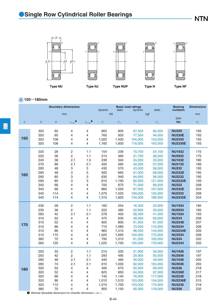

*d* **150**~**180mm**

|                |                                                                                                                                                |                                                                        | <b>Boundary dimensions</b>                                                                                                                 |                                                                                  | dynamic                                                                              | static                                                                                   | <b>Basic load ratings</b><br>dynamic                                                                                   | static                                                                                                                   | <b>Bearing</b><br>numbers                                                                                                                                                                                | <b>Dimensions</b>                                                                |
|----------------|------------------------------------------------------------------------------------------------------------------------------------------------|------------------------------------------------------------------------|--------------------------------------------------------------------------------------------------------------------------------------------|----------------------------------------------------------------------------------|--------------------------------------------------------------------------------------|------------------------------------------------------------------------------------------|------------------------------------------------------------------------------------------------------------------------|--------------------------------------------------------------------------------------------------------------------------|----------------------------------------------------------------------------------------------------------------------------------------------------------------------------------------------------------|----------------------------------------------------------------------------------|
|                |                                                                                                                                                |                                                                        | mm                                                                                                                                         |                                                                                  | kN                                                                                   |                                                                                          |                                                                                                                        | kgf                                                                                                                      |                                                                                                                                                                                                          | mm                                                                               |
| $\overline{d}$ | $\overline{D}$                                                                                                                                 | $\boldsymbol{B}$                                                       | $r_{\text{s min}}$                                                                                                                         | $r_{\rm ls\,min}$                                                                | $C_{r}$                                                                              | $C_{\text{or}}$                                                                          | $C_{r}$                                                                                                                | $C_{\text{or}}$                                                                                                          | type<br><b>NU</b>                                                                                                                                                                                        | $F_{\rm w}$                                                                      |
| 150            | 320<br>320<br>320<br>320                                                                                                                       | 65<br>65<br>108<br>108                                                 | 4<br>$\overline{4}$<br>$\overline{4}$<br>4                                                                                                 | 4<br>4<br>4<br>4                                                                 | 665<br>760<br>1,020<br>1,160                                                         | 805<br>920<br>1,400<br>1,600                                                             | 67,500<br>77,500<br>104,000<br>118,000                                                                                 | 82,500<br>94,000<br>143,000<br>163,000                                                                                   | <b>NU330</b><br><b>NU330E</b><br><b>NU2330</b><br><b>NU2330E</b>                                                                                                                                         | 193<br>193<br>193<br>193                                                         |
| 160            | 220<br>220<br>240<br>270<br>290<br>290<br>290<br>290<br>340<br>340<br>340<br>340                                                               | 28<br>36<br>38<br>86<br>48<br>48<br>80<br>80<br>68<br>68<br>114<br>114 | $\overline{c}$<br>$\overline{c}$<br>2.1<br>2.1<br>3<br>3<br>3<br>3<br>4<br>$\overline{\mathcal{L}}$<br>$\overline{4}$<br>4                 | 1.1<br>1.1<br>1.5<br>2.1<br>3<br>3<br>3<br>3<br>4<br>4<br>4<br>4                 | 154<br>213<br>238<br>400<br>430<br>500<br>630<br>810<br>700<br>860<br>1,070<br>1,310 | 236<br>360<br>340<br>565<br>570<br>665<br>940<br>1,190<br>875<br>1,050<br>1,520<br>1,820 | 15,700<br>21,700<br>24,200<br>40,500<br>43,500<br>51,000<br>64,500<br>82,500<br>71,000<br>87,500<br>109,000<br>134,000 | 24,100<br>36,500<br>35,000<br>57,500<br>58,000<br>68,000<br>96,000<br>121,000<br>89,500<br>107,000<br>155,000<br>186,000 | <b>NU1932</b><br><b>NU2932</b><br><b>NU1032</b><br><b>NU3132</b><br><b>NU232</b><br><b>NU232E</b><br><b>NU2232</b><br><b>NU2232E</b><br><b>NU332</b><br><b>NU332E</b><br><b>NU2332</b><br><b>NU2332E</b> | 175<br>175<br>180<br>189<br>195<br>195<br>195<br>193<br>208<br>204<br>208<br>204 |
| 170            | 230<br>230<br>260<br>310<br>310<br>310<br>310<br>310<br>360<br>360                                                                             | 28<br>36<br>42<br>52<br>52<br>86<br>86<br>110<br>72<br>120             | 2<br>$\overline{c}$<br>2.1<br>4<br>4<br>$\overline{4}$<br>$\overline{\mathcal{L}}$<br>$\overline{4}$<br>$\overline{4}$<br>4                | 1.1<br>1.1<br>2.1<br>4<br>$\overline{4}$<br>4<br>4<br>4<br>4<br>4                | 160<br>222<br>278<br>475<br>605<br>715<br>965<br>1,020<br>795<br>1,220               | 254<br>385<br>400<br>635<br>800<br>1,080<br>1,410<br>1,690<br>1,010<br>1,750             | 16,300<br>22,600<br>28,300<br>48,500<br>61,500<br>73,000<br>98,500<br>104,000<br>81,500<br>125,000                     | 25,900<br>39,500<br>41,000<br>65,000<br>81,500<br>110,000<br>144,000<br>172,000<br>103,000<br>179,000                    | <b>NU1934</b><br><b>NU2934</b><br><b>NU1034</b><br><b>NU234</b><br><b>NU234E</b><br><b>NU2234</b><br><b>NU2234E</b><br><b>NU3234</b><br><b>NU334</b><br><b>NU2334</b>                                    | 185<br>185<br>193<br>208<br>207<br>208<br>205<br>208<br>220<br>220               |
| 180            | 250<br>250<br>280<br>280<br>320<br>320<br>320<br>320<br>320<br>380<br>$\bullet$ Minimal allowable dimension for chamfer dimension $r$ or $r$ . | 33<br>42<br>46<br>74<br>52<br>52<br>86<br>86<br>112<br>75              | $\overline{c}$<br>$\overline{c}$<br>2.1<br>2.1<br>$\overline{4}$<br>4<br>$\overline{\mathcal{L}}$<br>$\overline{4}$<br>$\overline{4}$<br>4 | 1.1<br>1.1<br>2.1<br>2.1<br>$\overline{4}$<br>4<br>4<br>4<br>$\overline{4}$<br>4 | 215<br>293<br>340<br>610<br>495<br>625<br>745<br>1,010<br>1,010<br>905               | 335<br>495<br>485<br>1,030<br>675<br>850<br>1,140<br>1,510<br>1,700<br>1,150             | 21,900<br>29,900<br>35,000<br>62,000<br>50,500<br>64,000<br>76,000<br>103,000<br>103,000<br>92,000                     | 34,000<br>50,500<br>49,500<br>105,000<br>69,000<br>87,000<br>117,000<br>154,000<br>174,000<br>118,000                    | <b>NU1936</b><br><b>NU2936</b><br><b>NU1036</b><br><b>NU3036</b><br><b>NU236</b><br><b>NU236E</b><br><b>NU2236</b><br><b>NU2236E</b><br><b>NU3236</b><br><b>NU336</b>                                    | 197<br>197<br>205<br>205<br>218<br>217<br>218<br>215<br>218<br>232               |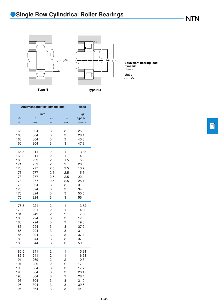*r*1a *r*a 巨



*P*r=*F*r **Equivalent bearing load dynamic**

*P*or=*F*r **static**

**Type N Type NU**

| <b>Abutment and fillet dimensions</b> | <b>Mass</b>              |                     |                      |                            |
|---------------------------------------|--------------------------|---------------------|----------------------|----------------------------|
| $d_{\rm a}$<br>min                    | mm<br>$D_{\rm a}$<br>max | $r_{\rm as}$<br>max | $r_{\rm las}$<br>max | kg<br>type NU<br>(approx.) |
| 166                                   | 304                      | 3                   | 3                    | 25.3                       |
| 166                                   | 304                      | 3                   | 3                    | 28.4                       |
| 166                                   | 304                      | 3                   | 3                    | 40.6                       |
| 166                                   | 304                      | 3                   | 3                    | 47.2                       |
| 166.5                                 | 211                      | 2                   | 1                    | 3.35                       |
| 166.5                                 | 211                      | $\overline{c}$      | $\mathbf{1}$         | 4.3                        |
| 168                                   | 229                      | 2                   | 1.5                  | 5.9                        |
| 171                                   | 259                      | $\overline{c}$      | $\overline{c}$       | 20.6                       |
| 173                                   | 277                      | 2.5                 | 2.5                  | 13.7                       |
| 173                                   | 277                      | 2.5                 | 2.5                  | 15.6                       |
| 173                                   | 277                      | 2.5                 | 2.5                  | 22                         |
| 173                                   | 277                      | 2.5                 | 2.5                  | 25.1                       |
| 176                                   | 324                      | 3                   | 3                    | 31.3                       |
| 176                                   | 324                      | 3                   | 3                    | 34                         |
| 176                                   | 324                      | 3                   | 3                    | 50.5                       |
| 176                                   | 324                      | 3                   | 3                    | 56                         |
| 176.5                                 | 221                      | $\overline{c}$      | 1                    | 3.52                       |
| 176.5                                 | 221                      | $\overline{c}$      | 1                    | 4.53                       |
| 181                                   | 249                      | 2                   | 2                    | 7.88                       |
| 186                                   | 294                      | 3                   | 3                    | 17                         |
| 186                                   | 294                      | 3                   | 3                    | 19.6                       |
| 186                                   | 294                      | 3                   | 3                    | 27.2                       |
| 186                                   | 294                      | 3                   | 3                    | 31                         |
| 186                                   | 294                      | 3                   | 3                    | 37.4                       |
| 186                                   | 344                      | 3                   | 3                    | 37                         |
| 186                                   | 344                      | 3                   | 3                    | 59.5                       |
| 186.5                                 | 241                      | 2                   | 1                    | 5.21                       |
| 186.5                                 | 241                      | 2                   | 1                    | 6.63                       |
| 191                                   | 269                      | $\overline{c}$      | 2                    | 10.3                       |
| 191                                   | 269                      | 2                   | 2                    | 17.8                       |
| 196                                   | 304                      | 3                   | 3                    | 17.7                       |
| 196                                   | 304                      | 3                   | 3                    | 20.4                       |
| 196                                   | 304                      | 3                   | 3                    | 28.4                       |
| 196                                   | 304                      | 3                   | 3                    | 31.9                       |
| 196                                   | 304                      | 3                   | 3                    | 39.6                       |
| 196                                   | 364                      | 3                   | 3                    | 44.2                       |

**NTN** 

B-45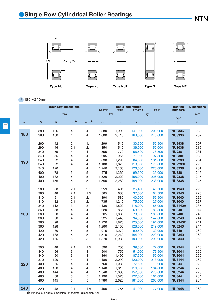

*d* **180**~**240mm**

|                |                |                  | <b>Boundary dimensions</b>                                                       |                   | dynamic | static       | <b>Basic load ratings</b><br>dynamic | static       | <b>Bearing</b><br>numbers | <b>Dimensions</b> |
|----------------|----------------|------------------|----------------------------------------------------------------------------------|-------------------|---------|--------------|--------------------------------------|--------------|---------------------------|-------------------|
|                |                |                  | mm                                                                               |                   |         | kN           |                                      | kgf          |                           | mm                |
| $\mathfrak{d}$ | $\overline{D}$ | $\boldsymbol{B}$ | $r_{\rm s\,min}$                                                                 | $r_{\rm ls\,min}$ | $C_{r}$ | $C_{\rm or}$ | $C_{\rm r}$                          | $C_{\rm or}$ | type<br><b>NU</b>         | $F_{\rm w}$       |
| 180            | 380            | 126              | 4                                                                                | 4                 | 1,380   | 1.990        | 141.000                              | 203,000      | <b>NU2336</b>             | 232               |
|                | 380            | 150              | 4                                                                                | 4                 | 1,600   | 2,410        | 163,000                              | 246,000      | <b>NU3336</b>             | 232               |
| 190            | 260            | 42               | $\overline{c}$                                                                   | 1.1               | 299     | 515          | 30,500                               | 52,500       | <b>NU2938</b>             | 207               |
|                | 290            | 46               | 2.1                                                                              | 2.1               | 350     | 510          | 36,000                               | 52,000       | <b>NU1038</b>             | 215               |
|                | 340            | 55               | 4                                                                                | 4                 | 555     | 770          | 56,500                               | 78,500       | <b>NU238</b>              | 231               |
|                | 340            | 55               | 4                                                                                | 4                 | 695     | 955          | 71,000                               | 97,500       | <b>NU238E</b>             | 230               |
|                | 340            | 92               | 4                                                                                | 4                 | 830     | 1,290        | 84,500                               | 131,000      | <b>NU2238</b>             | 231               |
|                | 340            | 92               | 4                                                                                | 4                 | 1,100   | 1,670        | 113,000                              | 170,000      | <b>NU2238E</b>            | 228               |
|                | 340            | 120              | 4                                                                                | 4                 | 1,240   | 2,160        | 126,000                              | 220,000      | <b>NU3238</b>             | 231               |
|                | 400            | 78               | 5                                                                                | 5                 | 975     | 1,260        | 99,500                               | 129,000      | <b>NU338</b>              | 245               |
|                | 400            | 132              | 5                                                                                | 5                 | 1,520   | 2,220        | 155,000                              | 226,000      | <b>NU2338</b>             | 245               |
|                | 400            | 155              | 5                                                                                | 5                 | 1,550   | 2,280        | 158,000                              | 233,000      | <b>NU3338</b>             | 245               |
| 200            | 280            | 38               | 2.1                                                                              | 2.1               | 259     | 405          | 26,400                               | 41,500       | <b>NU1940</b>             | 220               |
|                | 280            | 48               | 2.1                                                                              | 1.5               | 365     | 630          | 37,000                               | 64,500       | <b>NU2940</b>             | 220               |
|                | 310            | 51               | 2.1                                                                              | 2.1               | 390     | 580          | 40,000                               | 59,500       | <b>NU1040</b>             | 229               |
|                | 310            | 82               | 2.1                                                                              | 2.1               | 735     | 1,240        | 75,000                               | 127,000      | <b>NU3040</b>             | 227               |
|                | 340            | 112              | 3                                                                                | 3                 | 1,130   | 1,820        | 115,000                              | 186,000      | <b>NU3140A</b>            | 235               |
|                | 360            | 58               | 4                                                                                | 4                 | 620     | 865          | 63,500                               | 88,500       | <b>NU240</b>              | 244               |
|                | 360            | 58               | 4                                                                                | 4                 | 765     | 1.060        | 78,000                               | 108,000      | <b>NU240E</b>             | 243               |
|                | 360            | 98               | 4                                                                                | 4                 | 925     | 1,440        | 94,000                               | 147,000      | <b>NU2240</b>             | 244               |
|                | 360            | 98               | 4                                                                                | 4                 | 1,220   | 1,870        | 125,000                              | 191,000      | <b>NU2240E</b>            | 241               |
|                | 360            | 128              | 4                                                                                | 4                 | 1,260   | 2,150        | 128,000                              | 219,000      | <b>NU3240</b>             | 244               |
|                | 420            | 80               | 5                                                                                | 5                 | 975     | 1,270        | 99,500                               | 130,000      | <b>NU340</b>              | 260               |
|                | 420            | 138              | 5                                                                                | 5                 | 1,510   | 2,240        | 154,000                              | 229,000      | <b>NU2340</b>             | 260               |
|                | 420            | 165              | 5                                                                                | 5                 | 1,870   | 2,930        | 190,000                              | 299,000      | <b>NU3340</b>             | 260               |
| 220            | 300            | 48               | 2.1                                                                              | 1.5               | 390     | 705          | 39,500                               | 72,000       | <b>NU2944</b>             | 240               |
|                | 340            | 56               | 3                                                                                | 3                 | 500     | 750          | 51,000                               | 76,500       | <b>NU1044</b>             | 250               |
|                | 340            | 90               | 3                                                                                | 3                 | 860     | 1,490        | 87,500                               | 152,000      | <b>NU3044</b>             | 250               |
|                | 370            | 120              | 4                                                                                | 4                 | 1,180   | 2,090        | 120,000                              | 213,000      | <b>NU3144</b>             | 262               |
|                | 400            | 65               | 4                                                                                | 4                 | 760     | 1,080        | 77,500                               | 110,000      | <b>NU244</b>              | 270               |
|                | 400            | 108              | 4                                                                                | 4                 | 1,140   | 1,810        | 116,000                              | 184,000      | <b>NU2244</b>             | 270               |
|                | 400            | 144              | 4                                                                                | 4                 | 1,540   | 2,680        | 157,000                              | 273,000      | <b>NU3244</b>             | 270               |
|                | 460            | 88               | 5                                                                                | 5                 | 1,190   | 1,570        | 122,000                              | 161,000      | <b>NU344</b>              | 284               |
|                | 460            | 145              | 5                                                                                | 5                 | 1,780   | 2,620        | 181,000                              | 268,000      | <b>NU2344</b>             | 284               |
| 240            | 320            | 48               | 2.1<br>$\bullet$ Minimal allowable dimension for chamfer dimension $r$ or $r1$ . | 1.5               | 400     | 755          | 41,000                               | 77,000       | <b>NU2948</b>             | 260               |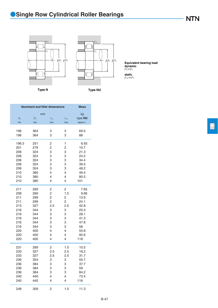**Type N Type NU**

*r*1a *r*a  $φd<sub>a</sub> φD<sub>a</sub>$ 巨



*P*r=*F*r **Equivalent bearing load dynamic**

*P*or=*F*r **static**

回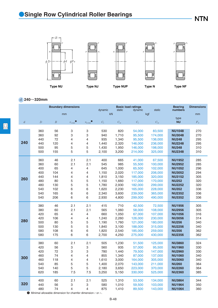

### *d* **240**~**320mm**

|                |                                                                          |                  | <b>Boundary dimensions</b> |                     | dynamic     | static       | <b>Basic load ratings</b><br>dynamic | static       | <b>Bearing</b><br>numbers | <b>Dimensions</b> |
|----------------|--------------------------------------------------------------------------|------------------|----------------------------|---------------------|-------------|--------------|--------------------------------------|--------------|---------------------------|-------------------|
|                |                                                                          | mm               |                            |                     |             | kN           |                                      | kgf          |                           | mm                |
| $\overline{d}$ | $\overline{D}$                                                           | $\boldsymbol{B}$ | $r_{\rm s\,min}$           | $r_{\text{ls min}}$ | $C_{\rm r}$ | $C_{\rm or}$ | $C_{r}$                              | $C_{\rm or}$ | type<br><b>NU</b>         | $F_{\rm w}$       |
|                |                                                                          |                  |                            |                     |             |              |                                      |              |                           |                   |
|                | 360                                                                      | 56               | 3                          | 3                   | 530         | 820          | 54,000                               | 83,500       | <b>NU1048</b>             | 270               |
|                | 360                                                                      | 92               | 3                          | 3                   | 940         | 1,710        | 95,500                               | 174,000      | <b>NU3048</b>             | 270               |
|                | 440                                                                      | 72               | 4                          | 4                   | 935         | 1,340        | 95,500                               | 136,000      | <b>NU248</b>              | 295               |
| 240            | 440                                                                      | 120              | 4                          | 4                   | 1,440       | 2,320        | 146,000                              | 236,000      | <b>NU2248</b>             | 295               |
|                | 500                                                                      | 95               | 5                          | 5                   | 1,430       | 1,950        | 146,000                              | 198,000      | <b>NU348</b>              | 310               |
|                | 500                                                                      | 155              | 5                          | 5                   | 2,100       | 3,200        | 214,000                              | 325,000      | <b>NU2348</b>             | 310               |
|                | 360                                                                      | 46               | 2.1                        | 2.1                 | 400         | 665          | 41,000                               | 67,500       | <b>NU1952</b>             | 285               |
|                | 360                                                                      | 60               | 2.1                        | 2.1                 | 545         | 985          | 55,500                               | 100,000      | <b>NU2952</b>             | 285               |
|                | 400                                                                      | 65               | 4                          | 4                   | 645         | 1,000        | 65,500                               | 102,000      | <b>NU1052</b>             | 296               |
|                | 400                                                                      | 104              | 4                          | 4                   | 1,150       | 2,020        | 117,000                              | 206,000      | <b>NU3052</b>             | 294               |
|                | 440                                                                      | 144              | 4                          | 4                   | 1,810       | 3,150        | 185,000                              | 320,000      | <b>NU3152</b>             | 305               |
| 260            | 480                                                                      | 80               | 5                          | 5                   | 1,150       | 1,660        | 117,000                              | 170,000      | <b>NU252</b>              | 320               |
|                | 480                                                                      | 130              | 5                          | 5                   | 1,780       | 2,930        | 182,000                              | 299,000      | <b>NU2252</b>             | 320               |
|                | 540                                                                      | 102              | 6                          | 6                   | 1,620       | 2,230        | 165,000                              | 228,000      | <b>NU352</b>              | 336               |
|                | 540                                                                      | 165              | 6                          | 6                   | 2,340       | 3,600        | 239,000                              | 365,000      | <b>NU2352</b>             | 336               |
|                | 540                                                                      | 206              | 6                          | 6                   | 2,930       | 4,800        | 299,000                              | 490,000      | <b>NU3352</b>             | 336               |
|                | 380                                                                      | 46               | 2.1                        | 2.1                 | 415         | 710          | 42,500                               | 72,500       | <b>NU1956</b>             | 305               |
|                | 380                                                                      | 60               | 2.1                        | 2.1                 | 565         | 1,060        | 58,000                               | 108,000      | <b>NU2956</b>             | 305               |
|                | 420                                                                      | 65               | 4                          | 4                   | 660         | 1,050        | 67,000                               | 107,000      | <b>NU1056</b>             | 316               |
|                | 420                                                                      | 106              | 4                          | 4                   | 1,240       | 2,260        | 126,000                              | 230,000      | <b>NU3056</b>             | 314               |
| 280            | 500                                                                      | 80               | 5                          | 5                   | 1,190       | 1,760        | 121,000                              | 180,000      | <b>NU256</b>              | 340               |
|                | 500                                                                      | 130              | 5                          | 5                   | 1,840       | 3,100        | 188,000                              | 315,000      | <b>NU2256</b>             | 340               |
|                | 580                                                                      | 108              | 6                          | 6                   | 1,820       | 2,540        | 185,000                              | 259,000      | <b>NU356</b>              | 362               |
|                | 580                                                                      | 175              | 6                          | 6                   | 2,700       | 4,250        | 275,000                              | 430,000      | <b>NU2356</b>             | 362               |
|                | 380                                                                      | 60               | 2.1                        | 2.1                 | 505         | 1,230        | 51,500                               | 125,000      | <b>NU3860</b>             | 324               |
|                | 420                                                                      | 56               | 3                          | 3                   | 560         | 935          | 57,000                               | 95,500       | <b>NU1960</b>             | 330               |
|                | 420                                                                      | 72               | 3                          | 3                   | 780         | 1,440        | 79,500                               | 147,000      | <b>NU2960</b>             | 330               |
|                | 460                                                                      | 74               | 4                          | $\overline{4}$      | 855         | 1,340        | 87,000                               | 137,000      | <b>NU1060</b>             | 340               |
| 300            | 460                                                                      | 118              | 4                          | 4                   | 1,610       | 3,000        | 164,000                              | 305,000      | <b>NU3060</b>             | 340               |
|                | 540                                                                      | 85               | 5                          | 5                   | 1,400       | 2,070        | 143,000                              | 211,000      | <b>NU260</b>              | 364               |
|                | 540                                                                      | 140              | 5                          | 5                   | 2,180       | 3,650        | 223,000                              | 370,000      | <b>NU2260</b>             | 364               |
|                | 620                                                                      | 185              | 7.5                        | 7.5                 | 3,250       | 5,150        | 330,000                              | 525,000      | <b>NU2360</b>             | 385               |
|                | 400                                                                      | 60               | 2.1                        | 2.1                 | 525         | 1,310        | 53,500                               | 134,000      | <b>NU3864</b>             | 344               |
| 320            | 440                                                                      | 56               | 3                          | 3                   | 580         | 1,010        | 59,500                               | 103,000      | <b>NU1964</b>             | 350               |
|                | 480                                                                      | 74               | 4                          | $\overline{4}$      | 875         | 1,410        | 89,500                               | 143,000      | <b>NU1064</b>             | 360               |
|                | $\bullet$ Minimal allowable dimension for chamfer dimension $r$ or $r$ . |                  |                            |                     |             |              |                                      |              |                           |                   |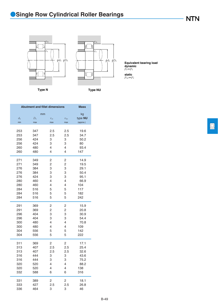*r*1a *r*a 卢



*P*r=*F*r **Equivalent bearing load dynamic**

*P*or=*F*r **static**

**Type N Type NU**

| <b>Abutment and fillet dimensions</b> |             |                |                |           |  |  |  |  |
|---------------------------------------|-------------|----------------|----------------|-----------|--|--|--|--|
|                                       | mm          |                |                | kg        |  |  |  |  |
| $d_{\rm a}$                           | $D_{\rm a}$ | $r_{\rm as}$   | $r_{\rm las}$  | type NU   |  |  |  |  |
| min                                   | max         | max            | max            | (approx.) |  |  |  |  |
|                                       |             |                |                |           |  |  |  |  |
| 253                                   | 347         | 2.5            | 2.5            | 19.6      |  |  |  |  |
| 253                                   | 347         | 2.5            | 2.5            | 34.7      |  |  |  |  |
| 256                                   | 424         | 3              | 3              | 50.2      |  |  |  |  |
| 256                                   | 424         | 3              | 3              | 80        |  |  |  |  |
| 260                                   | 480         | 4              | 4              | 93.4      |  |  |  |  |
| 260                                   | 480         | 4              | 4              | 147       |  |  |  |  |
| 271                                   | 349         | 2              | 2              | 14.9      |  |  |  |  |
| 271                                   | 349         | 2              | $\overline{c}$ | 19.5      |  |  |  |  |
| 276                                   | 384         | 3              | 3              | 29.1      |  |  |  |  |
| 276                                   | 384         | 3              | 3              | 50.4      |  |  |  |  |
| 276                                   | 424         | 3              | 3              | 95.1      |  |  |  |  |
| 280                                   | 460         | 4              | 4              | 66.9      |  |  |  |  |
| 280                                   | 460         | 4              | 4              | 104       |  |  |  |  |
| 284                                   | 516         | 5              | 5              | 117       |  |  |  |  |
| 284                                   | 516         | 5              | 5              | 182       |  |  |  |  |
| 284                                   | 516         | 5              | 5              | 242       |  |  |  |  |
| 291                                   | 369         | 2              | $\overline{c}$ | 15.9      |  |  |  |  |
| 291                                   | 369         | $\overline{c}$ | $\overline{c}$ | 20.8      |  |  |  |  |
| 296                                   | 404         | 3              | 3              | 30.9      |  |  |  |  |
| 296                                   | 404         | 3              | 3              | 54.4      |  |  |  |  |
| 300                                   | 480         | 4              | 4              | 70.8      |  |  |  |  |
| 300                                   | 480         | 4              | 4              | 109       |  |  |  |  |
| 304                                   | 556         | 5              | 5              | 142       |  |  |  |  |
| 304                                   | 556         | 5              | 5              | 222       |  |  |  |  |
| 311                                   | 369         | 2              | 2              | 17.1      |  |  |  |  |
| 313                                   | 407         | 2.5            | 2.5            | 25.4      |  |  |  |  |
| 313                                   | 407         | 2.5            | 2.5            | 32.6      |  |  |  |  |
| 316                                   | 444         | 3              | 3              | 43.6      |  |  |  |  |
| 316                                   | 444         | 3              | 3              | 75.2      |  |  |  |  |
| 320                                   | 520         | 4              | 4              | 88.2      |  |  |  |  |
| 320                                   | 520         | 4              | 4              | 138       |  |  |  |  |
| 332                                   | 588         | 6              | 6              | 316       |  |  |  |  |
| 331                                   | 389         | 2              | 2              | 18.1      |  |  |  |  |
| 333                                   | 427         | 2.5            | 2.5            | 26.8      |  |  |  |  |
| 336                                   | 464         | 3              | 3              | 46        |  |  |  |  |

 $\boxed{\Box}$ 

**NTN** 

B-49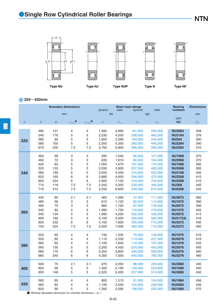

*d* **320**~**420mm**

|                  |                                                                                      |                  | <b>Boundary dimensions</b> |                   | dynamic               | static                  | <b>Basic load ratings</b><br>dynamic | static                        | <b>Bearing</b><br>numbers                       | <b>Dimensions</b> |
|------------------|--------------------------------------------------------------------------------------|------------------|----------------------------|-------------------|-----------------------|-------------------------|--------------------------------------|-------------------------------|-------------------------------------------------|-------------------|
|                  |                                                                                      |                  | mm                         |                   |                       | kN                      |                                      | kgf                           |                                                 | mm                |
| $\boldsymbol{d}$ | $\overline{D}$                                                                       | $\boldsymbol{B}$ | $r_{\rm s\,min}$ $\bullet$ | $r_{\rm ls\,min}$ | $C_{\rm r}$           | $C_{\text{or}}$         | $C_{\rm r}$                          | $C_{\rm or}$                  | type<br><b>NU</b>                               | $F_{\rm w}$       |
| 320              | 480                                                                                  | 121              | 4                          | 4                 | 1,580                 | 2,890                   | 161,000                              | 295,000                       | <b>NU3064</b>                                   | 358               |
|                  | 540                                                                                  | 176              | 5                          | 5                 | 2,530                 | 4,550                   | 258,000                              | 465,000                       | <b>NU3164</b>                                   | 376               |
|                  | 580                                                                                  | 92               | 5                          | 5                 | 1,600                 | 2,390                   | 164,000                              | 244,000                       | <b>NU264</b>                                    | 390               |
|                  | 580                                                                                  | 150              | 5                          | 5                 | 2,550                 | 4,350                   | 260,000                              | 445,000                       | <b>NU2264</b>                                   | 390               |
|                  | 670                                                                                  | 200              | 7.5                        | 7.5               | 3,750                 | 5,800                   | 385,000                              | 595,000                       | <b>NU2364</b>                                   | 410               |
| 340              | 460                                                                                  | 56               | З                          | 3                 | 590                   | 1,040                   | 60,500                               | 107,000                       | <b>NU1968</b>                                   | 370               |
|                  | 460                                                                                  | 72               | 3                          | 3                 | 830                   | 1,610                   | 84,500                               | 164,000                       | <b>NU2968</b>                                   | 370               |
|                  | 520                                                                                  | 82               | 5                          | 5                 | 1,050                 | 1,670                   | 107,000                              | 170,000                       | <b>NU1068</b>                                   | 385               |
|                  | 520                                                                                  | 133              | 5                          | 5                 | 2,030                 | 3,900                   | 207,000                              | 400,000                       | <b>NU3068</b>                                   | 385               |
|                  | 580                                                                                  | 190              | 5                          | 5                 | 3,050                 | 5,450                   | 310,000                              | 555,000                       | <b>NU3168</b>                                   | 400               |
|                  | 620                                                                                  | 165              | 6                          | 6                 | 2,880                 | 4,650                   | 294,000                              | 475,000                       | <b>NU2268</b>                                   | 410               |
|                  | 620                                                                                  | 224              | 6                          | 6                 | 4,000                 | 7,100                   | 410,000                              | 725,000                       | <b>NU3268</b>                                   | 410               |
|                  | 710                                                                                  | 118              | 7.5                        | 7.5               | 2,250                 | 3,300                   | 230,000                              | 340,000                       | <b>NU368</b>                                    | 450               |
|                  | 710                                                                                  | 212              | 7.5                        | 7.5               | 4,250                 | 6,600                   | 430,000                              | 675,000                       | <b>NU2368</b>                                   | 435               |
| 360              | 440                                                                                  | 60               | 2.1                        | 2.1               | 460                   | 1,090                   | 47,000                               | 111,000                       | <b>NU3872</b>                                   | 382               |
|                  | 480                                                                                  | 56               | 3                          | 3                 | 615                   | 1,120                   | 62,500                               | 114,000                       | <b>NU1972</b>                                   | 390               |
|                  | 480                                                                                  | 72               | 3                          | 3                 | 860                   | 1,720                   | 87,500                               | 176,000                       | <b>NU2972</b>                                   | 390               |
|                  | 540                                                                                  | 82               | 5                          | 5                 | 1,080                 | 1,750                   | 110,000                              | 179,000                       | <b>NU1072</b>                                   | 405               |
|                  | 540                                                                                  | 134              | 5                          | 5                 | 1,990                 | 4,200                   | 202,000                              | 430,000                       | <b>NU3072</b>                                   | 413               |
|                  | 600                                                                                  | 192              | 5                          | 5                 | 3,150                 | 5,500                   | 320,000                              | 560,000                       | <b>NU3172A</b>                                  | 416               |
|                  | 650                                                                                  | 232              | 6                          | 6                 | 4,150                 | 7,600                   | 425,000                              | 775,000                       | <b>NU3272</b>                                   | 435               |
|                  | 750                                                                                  | 224              | 7.5                        | 7.5               | 4,500                 | 7,000                   | 460,000                              | 710,000                       | <b>NU2372</b>                                   | 460               |
| 380              | 520                                                                                  | 65               | 4                          | $\overline{4}$    | 740                   | 1,330                   | 75,500                               | 136,000                       | <b>NU1976</b>                                   | 416               |
|                  | 520                                                                                  | 82               | 4                          | 4                 | 1,110                 | 2,230                   | 113,000                              | 227,000                       | <b>NU2976</b>                                   | 416               |
|                  | 560                                                                                  | 82               | 5                          | 5                 | 1,100                 | 1,840                   | 112,000                              | 187,000                       | <b>NU1076</b>                                   | 425               |
|                  | 560                                                                                  | 135              | 5                          | 5                 | 2,200                 | 4,450                   | 224,000                              | 455,000                       | <b>NU3076</b>                                   | 426               |
|                  | 680                                                                                  | 175              | 6                          | 6                 | 3,350                 | 5,800                   | 340,000                              | 590,000                       | <b>NU2276</b>                                   | 460               |
|                  | 680                                                                                  | 240              | 6                          | 6                 | 4,300                 | 7,650                   | 440,000                              | 780,000                       | <b>NU3276</b>                                   | 460               |
| 400              | 500                                                                                  | 75               | 2.1                        | 2.1               | 870                   | 2,250                   | 88,500                               | 229,000                       | <b>NU3880</b>                                   | 430               |
|                  | 600                                                                                  | 90               | 5                          | 5                 | 1,320                 | 2,190                   | 134,000                              | 223,000                       | <b>NU1080</b>                                   | 450               |
|                  | 600                                                                                  | 148              | 5                          | 5                 | 2,520                 | 5,050                   | 257,000                              | 515,000                       | <b>NU3080</b>                                   | 450               |
| 420<br>O         | 560<br>560<br>620<br>Minimal allowable dimension for chamfer dimension $r$ or $ri$ . | 65<br>82<br>90   | 4<br>4<br>5                | 4<br>4<br>5       | 800<br>1,190<br>1,350 | 1,510<br>2,530<br>2,290 | 81,500<br>122,000<br>138,000         | 154,000<br>258,000<br>233,000 | <b>NU1984</b><br><b>NU2984</b><br><b>NU1084</b> | 456<br>456<br>470 |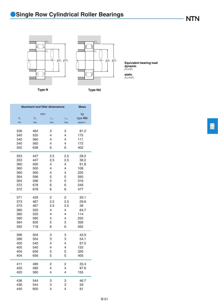*r*1a *r*a 卢



*P*r=*F*r **Equivalent bearing load dynamic**

*P*or=*F*r **static**

**Type N Type NU**

|             | <b>Abutment and fillet dimensions</b> |              |                  |              |  |  |  |  |
|-------------|---------------------------------------|--------------|------------------|--------------|--|--|--|--|
|             | mm                                    |              |                  | kg           |  |  |  |  |
| $d_{\rm a}$ | $D_{\rm a}$                           | $r_{\rm as}$ | $r_{\text{las}}$ | type NU      |  |  |  |  |
| min         | max                                   | max          | max              | (approx.)    |  |  |  |  |
|             |                                       |              |                  |              |  |  |  |  |
| 336         | 464                                   | 3            | 3                | 81.2         |  |  |  |  |
| 340         | 520                                   | 4            | 4                | 175          |  |  |  |  |
| 340         | 560                                   | 4            | 4                | 111          |  |  |  |  |
| 340         | 560                                   | 4            | 4                | 172          |  |  |  |  |
| 352         | 638                                   | 6            | 6                | 402          |  |  |  |  |
| 353         | 447                                   | 2.5          | 2.5              | 28.2         |  |  |  |  |
| 353         | 447                                   | 2.5          | 2.5              | 36.2         |  |  |  |  |
| 360         | 500                                   | 4            | 4                | 61.8         |  |  |  |  |
| 360         | 500                                   | 4            | 4                | 108          |  |  |  |  |
| 360         | 560                                   | 4            | $\overline{4}$   | 220          |  |  |  |  |
| 364         | 596                                   | 5            | 5                | 260          |  |  |  |  |
| 364         | 596                                   | 5            | 5                | 316          |  |  |  |  |
| 372         | 678                                   | 6            | 6                | 246          |  |  |  |  |
| 372         | 678                                   | 6            | 6                | 477          |  |  |  |  |
|             |                                       |              |                  |              |  |  |  |  |
| 371<br>373  | 429<br>467                            | 2<br>2.5     | 2<br>2.5         | 20.1<br>29.6 |  |  |  |  |
| 373         | 467                                   | 2.5          | 2.5              | 38           |  |  |  |  |
| 380         | 520                                   | 4            | 4                | 64.7         |  |  |  |  |
| 380         | 520                                   | 4            | 4                | 114          |  |  |  |  |
| 380         | 580                                   | 4            | 4                | 232          |  |  |  |  |
| 384         | 626                                   | 5            | 5                | 356          |  |  |  |  |
| 392         | 718                                   | 6            | 6                | 562          |  |  |  |  |
|             |                                       |              |                  |              |  |  |  |  |
| 396         | 504                                   | З            | З                | 42.9         |  |  |  |  |
| 396         | 504                                   | 3            | 3                | 54.1         |  |  |  |  |
| 400         | 540                                   | 4            | 4                | 67.5         |  |  |  |  |
| 400         | 540                                   | 4            | 4                | 120          |  |  |  |  |
| 404         | 656                                   | 5            | 5                | 326          |  |  |  |  |
| 404         | 656                                   | 5            | 5                | 400          |  |  |  |  |
| 411         | 489                                   | 2            | 2                | 35.4         |  |  |  |  |
| 420         | 580                                   | 4            | 4                | 87.6         |  |  |  |  |
| 420         | 580                                   | 4            | 4                | 155          |  |  |  |  |
| 436         | 544                                   | 3            | 3                | 46.7         |  |  |  |  |
| 436         | 544                                   | 3            | 3                | 59           |  |  |  |  |
| 440         | 600                                   | 4            | 4                | 91           |  |  |  |  |
|             |                                       |              |                  |              |  |  |  |  |

 $\boxed{\Box}$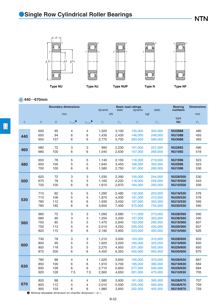

*d* **440**~**670mm**

|                |                                                                                      |                  | <b>Boundary dimensions</b> |                             | dynamic                 | static                  | <b>Basic load ratings</b><br>dynamic | static                        | <b>Bearing</b><br>numbers                             | <b>Dimensions</b> |
|----------------|--------------------------------------------------------------------------------------|------------------|----------------------------|-----------------------------|-------------------------|-------------------------|--------------------------------------|-------------------------------|-------------------------------------------------------|-------------------|
|                |                                                                                      |                  | mm                         |                             |                         | kN                      |                                      | kgf                           |                                                       | mm                |
| $\overline{d}$ | $\overline{D}$                                                                       | $\boldsymbol{B}$ | $r_{\rm s\,min}$           | $r_{\rm ls\,min}$ $\bullet$ | $C_{\rm r}$             | $C_{\rm or}$            | $C_{\rm r}$                          | $C_{\rm or}$                  | type<br><b>NU</b>                                     | $F_{\rm w}$       |
| 440            | 600                                                                                  | 95               | 4                          | 4                           | 1,520                   | 3,100                   | 155,000                              | 320,000                       | <b>NU2988</b>                                         | 480               |
|                | 650                                                                                  | 94               | 6                          | 6                           | 1,430                   | 2,430                   | 146,000                              | 248,000                       | <b>NU1088</b>                                         | 493               |
|                | 650                                                                                  | 157              | 6                          | 6                           | 2,770                   | 5,700                   | 283,000                              | 580,000                       | <b>NU3088</b>                                         | 493               |
| 460            | 580                                                                                  | 72               | З                          | 3                           | 990                     | 2,230                   | 101,000                              | 227,000                       | <b>NU2892</b>                                         | 490               |
|                | 680                                                                                  | 100              | 6                          | 6                           | 1,540                   | 2,630                   | 157,000                              | 269,000                       | <b>NU1092</b>                                         | 516               |
| 480            | 650                                                                                  | 78               | 5                          | 5                           | 1,140                   | 2,150                   | 116,000                              | 219,000                       | <b>NU1996</b>                                         | 523               |
|                | 650                                                                                  | 100              | 5                          | 5                           | 1,640                   | 3,450                   | 168,000                              | 350,000                       | <b>NU2996</b>                                         | 523               |
|                | 700                                                                                  | 100              | 6                          | 6                           | 1,580                   | 2,750                   | 161,000                              | 280,000                       | <b>NU1096</b>                                         | 536               |
| 500            | 620                                                                                  | 72               | 3                          | 3                           | 1,030                   | 2,390                   | 105,000                              | 244,000                       | <b>NU28/500</b>                                       | 530               |
|                | 670                                                                                  | 78               | 5                          | 5                           | 1,160                   | 2,220                   | 118,000                              | 226,000                       | <b>NU19/500</b>                                       | 543               |
|                | 720                                                                                  | 100              | 6                          | 6                           | 1,610                   | 2,870                   | 164,000                              | 292,000                       | <b>NU10/500</b>                                       | 556               |
| 530            | 710                                                                                  | 82               | 5                          | 5                           | 1,290                   | 2,480                   | 132,000                              | 253,000                       | <b>NU19/530</b>                                       | 576               |
|                | 710                                                                                  | 106              | 5                          | 5                           | 1,870                   | 4,000                   | 191,000                              | 410,000                       | <b>NU29/530</b>                                       | 576               |
|                | 780                                                                                  | 112              | 6                          | 6                           | 1,930                   | 3,450                   | 197,000                              | 350,000                       | <b>NU10/530</b>                                       | 595               |
|                | 780                                                                                  | 185              | 6                          | 6                           | 3,650                   | 7,400                   | 375,000                              | 755,000                       | <b>NU30/530</b>                                       | 590               |
| 560            | 680                                                                                  | 72               | 3                          | 3                           | 1,090                   | 2,680                   | 111,000                              | 273,000                       | <b>NU28/560</b>                                       | 590               |
|                | 680                                                                                  | 90               | 3                          | 3                           | 1,250                   | 3,200                   | 127,000                              | 325,000                       | <b>NU38/560</b>                                       | 590               |
|                | 750                                                                                  | 85               | 5                          | 5                           | 1,470                   | 2,840                   | 150,000                              | 290,000                       | <b>NU19/560</b>                                       | 607               |
|                | 750                                                                                  | 112              | 5                          | 5                           | 2,010                   | 4,250                   | 205,000                              | 435,000                       | <b>NU29/560</b>                                       | 607               |
|                | 820                                                                                  | 115              | 6                          | 6                           | 2,190                   | 3,900                   | 223,000                              | 400,000                       | <b>NU10/560</b>                                       | 626               |
| 600            | 730                                                                                  | 78               | 3                          | 3                           | 1,210                   | 3,000                   | 124,000                              | 310,000                       | <b>NU28/600</b>                                       | 633               |
|                | 800                                                                                  | 90               | 5                          | 5                           | 1,620                   | 3,200                   | 165,000                              | 325,000                       | <b>NU19/600</b>                                       | 650               |
|                | 800                                                                                  | 118              | 5                          | 5                           | 2,270                   | 4,950                   | 231,000                              | 505,000                       | <b>NU29/600</b>                                       | 650               |
|                | 870                                                                                  | 200              | 6                          | 6                           | 4,450                   | 9,350                   | 455,000                              | 955,000                       | <b>NU30/600</b>                                       | 670               |
| 630            | 780                                                                                  | 88               | 4                          | $\overline{4}$              | 1,520                   | 3,650                   | 155,000                              | 370,000                       | <b>NU28/630</b>                                       | 667               |
|                | 850                                                                                  | 100              | 6                          | 6                           | 1,910                   | 3,700                   | 195,000                              | 380,000                       | <b>NU19/630</b>                                       | 684               |
|                | 850                                                                                  | 128              | 6                          | 6                           | 2,710                   | 5,850                   | 277,000                              | 595,000                       | <b>NU29/630</b>                                       | 684               |
|                | 920                                                                                  | 128              | 7.5                        | 7.5                         | 2,560                   | 4,650                   | 261,000                              | 475,000                       | <b>NU10/630</b>                                       | 705               |
| 670<br>O       | 820<br>820<br>900<br>Minimal allowable dimension for chamfer dimension $r$ or $ri$ . | 88<br>112<br>103 | 4<br>4<br>6                | 4<br>4<br>6                 | 1,580<br>2,010<br>1,980 | 3,900<br>5,500<br>3,950 | 161,000<br>205,000<br>202,000        | 395,000<br>560,000<br>405,000 | <b>NU28/670</b><br><b>NU38/670</b><br><b>NU19/670</b> | 707<br>709<br>729 |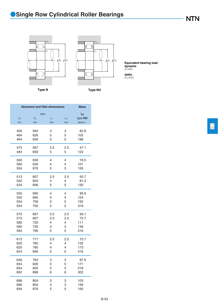*r*1a *r*a 卢



*P*r=*F*r **Equivalent bearing load dynamic**

*P*or=*F*r **static**

**Type N Type NU**

| <b>Abutment and fillet dimensions</b> |             | <b>Mass</b>    |               |           |
|---------------------------------------|-------------|----------------|---------------|-----------|
|                                       | mm          |                |               | kg        |
| $d_{\rm a}$                           | $D_{\rm a}$ | $r_{\rm as}$   | $r_{\rm las}$ | type NU   |
| min                                   | max         | max            | max           | (approx.) |
|                                       |             |                |               |           |
| 456                                   | 584         | 3              | 3             | 82.8      |
| 464                                   | 626         | 5              | 5             | 105       |
| 464                                   | 626         | 5              | 5             | 188       |
| 473                                   | 567         | 2.5            | 2.5           | 47.1      |
| 484                                   | 656         | 5              | 5             | 122       |
|                                       |             |                |               |           |
| 500                                   | 630         | $\overline{4}$ | 4             | 78.5      |
| 560                                   | 630         | 4              | 4             | 101       |
| 504                                   | 676         | 5              | 5             | 126       |
| 513                                   | 607         | 2.5            | 2.5           | 50.7      |
| 520                                   | 650         | 4              | 4             | 81.3      |
| 524                                   | 696         | 5              | 5             | 130       |
|                                       |             |                |               |           |
| 550                                   | 690         | $\overline{4}$ | 4             | 95.9      |
| 550                                   | 690         | 4              | 4             | 124       |
| 554                                   | 756         | 5              | 5             | 192       |
| 554                                   | 756         | 5              | 5             | 318       |
| 573                                   | 667         | 2.5            | 2.5           | 56.1      |
| 573                                   | 667         | 2.5            | 2.5           | 72.7      |
| 580                                   | 730         | 4              | 4             | 111       |
| 580                                   | 730         | 4              | 4             | 146       |
| 584                                   | 796         | 5              | 5             | 216       |
|                                       |             |                |               |           |
| 613                                   | 717         | 2.5            | 2.5           | 70.7      |
| 620                                   | 780         | 4              | 4             | 132       |
| 620                                   | 780         | 4              | 4             | 173       |
| 624                                   | 846         | 5              | 5             | 416       |
| 646                                   | 764         | 3              | 3             | 97.5      |
| 654                                   | 826         | 5              | 5             | 171       |
| 654                                   | 826         | 5              | 5             | 218       |
| 662                                   | 888         | 6              | 6             | 302       |
|                                       |             |                |               |           |
| 686                                   | 804         | 3              | 3             | 103       |
| 686                                   | 804         | 3              | 3             | 136       |
| 694                                   | 876         | 5              | 5             | 195       |
|                                       |             |                |               |           |

 $\boxed{\Box}$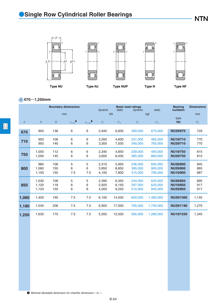

### *d* **670**~**1,250mm**

|                |                         |                   | <b>Boundary dimensions</b> |                             | dynamic                 | static                  | <b>Basic load ratings</b><br>dynamic | static                        | <b>Bearing</b><br>numbers                             | <b>Dimensions</b> |
|----------------|-------------------------|-------------------|----------------------------|-----------------------------|-------------------------|-------------------------|--------------------------------------|-------------------------------|-------------------------------------------------------|-------------------|
|                |                         |                   | mm                         |                             |                         | kN                      |                                      | kgf                           |                                                       | mm                |
| $\mathfrak{d}$ | $\boldsymbol{D}$        | $\boldsymbol{B}$  | $r_{\rm s\,min}$ $\bullet$ | $r_{\rm ls\,min}$ $\bullet$ | $C_{r}$                 | $C_{\rm or}$            | $C_{\rm r}$                          | $C_{\rm or}$                  | type<br><b>NU</b>                                     | $F_{\rm w}$       |
| 670            | 900                     | 136               | 6                          | 6                           | 2,940                   | 6,600                   | 300,000                              | 675,000                       | <b>NU29/670</b>                                       | 729               |
| 710            | 950<br>950              | 106<br>140        | 6<br>6                     | 6<br>6                      | 2,260<br>3,300          | 4.600<br>7.500          | 231,000<br>340,000                   | 465,000<br>765,000            | <b>NU19/710</b><br><b>NU29/710</b>                    | 770<br>770        |
| 750            | 1,000<br>1,000          | 112<br>145        | 6<br>6                     | 6<br>6                      | 2,340<br>3,600          | 4.850<br>8,400          | 239,000<br>365,000                   | 495,000<br>860,000            | <b>NU19/750</b><br><b>NU29/750</b>                    | 815<br>815        |
| 800            | 980<br>1.060<br>1,150   | 106<br>150<br>155 | 5<br>6<br>7.5              | 5<br>6<br>7.5               | 2,310<br>3,850<br>4,100 | 5,950<br>8.850<br>7,800 | 236,000<br>390,000<br>415,000        | 605,000<br>900,000<br>795,000 | <b>NU28/800</b><br><b>NU29/800</b><br><b>NU10/800</b> | 845<br>865<br>887 |
| 850            | 1,030<br>1,120<br>1,120 | 106<br>118<br>155 | 5<br>6<br>6                | 5<br>6<br>6                 | 2,390<br>2,920<br>4,000 | 6,350<br>6,150<br>9,250 | 244,000<br>297.000<br>410,000        | 645,000<br>625,000<br>945,000 | <b>NU28/850</b><br><b>NU19/850</b><br><b>NU29/850</b> | 895<br>917<br>917 |
| 1,060          | 1.400                   | 195               | 7.5                        | 7.5                         | 6,100                   | 14.500                  | 620,000                              | 1,480,000                     | NU29/1060                                             | 1,145             |
| 1,180          | 1,540                   | 206               | 7.5                        | 7.5                         | 6,900                   | 17,000                  | 705,000                              | 1,730,000                     | NU29/1180                                             | 1,270             |
| 1,250          | 1,630                   | 170               | 7.5                        | 7.5                         | 5,550                   | 12.500                  | 565,000                              | 1,280,000                     | NU19/1250                                             | 1,345             |

1 Minimal allowable dimension for chamfer dimension *r* or *r*1.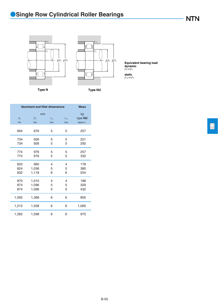



*P*r=*F*r **Equivalent bearing load dynamic**

*P*or=*F*r **static**

**Type N Type NU**

|                    | <b>Abutment and fillet dimensions</b> |                     |                      | <b>Mass</b>                |
|--------------------|---------------------------------------|---------------------|----------------------|----------------------------|
| $d_{\rm a}$<br>min | mm<br>$D_{\rm a}$<br>max              | $r_{\rm as}$<br>max | $r_{\rm las}$<br>max | kg<br>type NU<br>(approx.) |
| 694                | 876                                   | 5                   | 5                    | 257                        |
| 734<br>734         | 926<br>926                            | 5<br>5              | 5<br>5               | 221<br>292                 |
| 774<br>774         | 976<br>976                            | 5<br>5              | 5<br>5               | 257<br>332                 |
| 820<br>824<br>832  | 960<br>1,036<br>1,118                 | 4<br>5<br>6         | 4<br>5<br>6          | 178<br>380<br>554          |
| 870<br>874<br>874  | 1,010<br>1,096<br>1,096               | 4<br>5<br>5         | 4<br>5<br>5          | 188<br>329<br>432          |
| 1,092              | 1,368                                 | 6                   | 6                    | 855                        |
| 1,212              | 1,508                                 | 6                   | 6                    | 1,060                      |
| 1,282              | 1,598                                 | 6                   | 6                    | 975                        |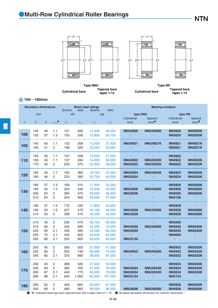### ●**Multi-Row Cylindrical Roller Bearings**

**NTN** 



**Type NNU Cylindrical bore Tapered bore taper 1:12**

**Type NN Cylindrical bore Tapered bore taper 1:12**

*d* **100**~**180mm**

|                  | <b>Boundary dimensions</b> |                  |                    | dynamic     | static          | <b>Basic load ratings</b><br>dynamic | static       | <b>Bearing numbers</b> |                                                                                                                                       |               |                   |
|------------------|----------------------------|------------------|--------------------|-------------|-----------------|--------------------------------------|--------------|------------------------|---------------------------------------------------------------------------------------------------------------------------------------|---------------|-------------------|
|                  | mm                         |                  |                    |             | kN              |                                      | kgf          | type NNU               |                                                                                                                                       |               | type NN           |
|                  |                            |                  |                    |             |                 |                                      |              | Cylindrical            | tapered                                                                                                                               | Cylindrical   | tapered           |
| $\boldsymbol{d}$ | $\overline{D}$             | $\boldsymbol{B}$ | $r_{\text{s min}}$ | $C_{\rm r}$ | $C_{\text{or}}$ | $C_\mathrm{r}$                       | $C_{\rm or}$ | bore                   | bore <sup>0</sup>                                                                                                                     | bore          | bore <sup>o</sup> |
|                  |                            |                  |                    |             |                 |                                      |              |                        |                                                                                                                                       |               |                   |
|                  | 140                        | 40               | 1.1                | 131         | 260             | 13,300                               | 26,500       | <b>NNU4920</b>         | <b>NNU4920K</b>                                                                                                                       | <b>NN4920</b> | <b>NN4920K</b>    |
| 100              | 150                        | 37               | 1.5                | 153         | 256             | 15,600                               | 26,100       |                        |                                                                                                                                       | <b>NN3020</b> | <b>NN3020K</b>    |
|                  |                            |                  |                    |             |                 |                                      |              |                        |                                                                                                                                       |               |                   |
|                  | 145                        | 40               | 1.1                | 133         | 268             | 13,500                               | 27,400       | <b>NNU4921</b>         | <b>NNU4921K</b>                                                                                                                       | <b>NN4921</b> | <b>NN4921K</b>    |
| 105              | 160                        | 41               | $\overline{c}$     | 198         | 320             | 20,200                               | 33,000       |                        |                                                                                                                                       | <b>NN3021</b> | <b>NN3021K</b>    |
|                  |                            |                  |                    |             |                 |                                      |              |                        |                                                                                                                                       |               |                   |
|                  | 150                        | 30               | 1.1                | 107         | 206             | 10,900                               | 21,000       |                        |                                                                                                                                       | <b>NN3922</b> |                   |
| 110              | 150                        | 40               | 1.1                | 137         | 284             | 14,000                               | 28,900       | <b>NNU4922</b>         | <b>NNU4922K</b>                                                                                                                       | <b>NN4922</b> | <b>NN4922K</b>    |
|                  | 170                        | 45               | $\overline{2}$     | 229         | 375             | 23,300                               | 38,000       | <b>NNU3022</b>         | <b>NNU3022K</b>                                                                                                                       | <b>NN3022</b> | <b>NN3022K</b>    |
|                  |                            |                  |                    |             |                 |                                      |              |                        |                                                                                                                                       |               |                   |
| 120              | 165                        | 45               | 1.1                | 183         | 360             | 18,700                               | 37,000       | <b>NNU4924</b>         | <b>NNU4924K</b>                                                                                                                       | <b>NN4924</b> | <b>NN4924K</b>    |
|                  | 180                        | 46               | $\overline{c}$     | 233         | 390             | 23,700                               | 40,000       | <b>NNU3024</b>         |                                                                                                                                       | <b>NN3024</b> | <b>NN3024K</b>    |
|                  |                            |                  |                    |             |                 |                                      |              |                        |                                                                                                                                       |               |                   |
|                  | 180                        | 37               | 1.5                | 169         | 315             | 17,300                               | 32,000       |                        |                                                                                                                                       | <b>NN3926</b> | <b>NN3926K</b>    |
| 130              | 180                        | 50               | 1.5                | 220         | 440             | 22,400                               | 45,000       | <b>NNU4926</b>         | <b>NNU4926K</b>                                                                                                                       | <b>NN4926</b> | <b>NN4926K</b>    |
|                  | 200                        | 52               | 2                  | 284         | 475             | 29,000                               | 48,500       | <b>NNU3026</b>         |                                                                                                                                       | <b>NN3026</b> | <b>NN3026K</b>    |
|                  | 210                        | 64               | $\overline{c}$     | 340         | 560             | 35,000                               | 57,000       |                        |                                                                                                                                       | <b>NN3126</b> |                   |
|                  | 190                        | 37               | 1.5                | 175         | 335             | 17,800                               | 34,000       |                        |                                                                                                                                       | <b>NN3928</b> |                   |
| 140              | 190                        | 50               | 1.5                | 227         | 470             | 23,100                               | 48,000       | <b>NNU4928</b>         | <b>NNU4928K</b>                                                                                                                       | <b>NN4928</b> | <b>NN4928K</b>    |
|                  | 210                        | 53               | $\overline{c}$     | 298         | 515             | 30,500                               | 52,500       | <b>NNU3028</b>         |                                                                                                                                       | <b>NN3028</b> | <b>NN3028K</b>    |
|                  |                            |                  |                    |             |                 |                                      |              |                        |                                                                                                                                       |               |                   |
|                  | 210                        | 45               | 2                  | 256         | 475             | 26,100                               | 48,500       |                        |                                                                                                                                       | <b>NN3930</b> |                   |
|                  | 210                        | 60               | $\overline{c}$     | 345         | 690             | 35,000                               | 70,500       | <b>NNU4930</b>         | <b>NNU4930K</b>                                                                                                                       | <b>NN4930</b> | <b>NN4930K</b>    |
| 150              | 225                        | 56               | 2.1                | 335         | 585             | 34,000                               | 60,000       | <b>NNU3030</b>         |                                                                                                                                       | <b>NN3030</b> | <b>NN3030K</b>    |
|                  | 225                        | 75               | 2.1                | 435         | 825             | 44,500                               | 84,000       |                        |                                                                                                                                       | <b>NN4030</b> |                   |
|                  | 250                        | 80               | 2.1                | 555         | 900             | 56,500                               | 92,000       | <b>NNU3130</b>         |                                                                                                                                       |               |                   |
|                  |                            |                  |                    |             |                 |                                      |              |                        |                                                                                                                                       |               |                   |
|                  | 220                        | 45               | 2                  | 265         | 505             | 27,000                               | 51,500       |                        |                                                                                                                                       | <b>NN3932</b> | <b>NN3932K</b>    |
| 160              | 220                        | 60               | 2                  | 355         | 740             | 36,500                               | 75,500       | <b>NNU4932</b>         | <b>NNU4932K</b>                                                                                                                       | <b>NN4932</b> | <b>NN4932K</b>    |
|                  | 240                        | 60               | 2.1                | 375         | 660             | 38,000                               | 67,500       |                        |                                                                                                                                       | <b>NN3032</b> | <b>NN3032K</b>    |
|                  |                            |                  |                    |             |                 |                                      |              |                        |                                                                                                                                       |               |                   |
|                  | 230                        | 45               | $\overline{2}$     | 268         | 520             | 27,400                               | 53,000       |                        |                                                                                                                                       | <b>NN3934</b> | <b>NN3934K</b>    |
| 170              | 230                        | 60               | $\overline{c}$     | 360         | 765             | 37,000                               | 78,000       | <b>NNU4934</b>         | <b>NNU4934K</b>                                                                                                                       | <b>NN4934</b> | <b>NN4934K</b>    |
|                  | 260                        | 67               | 2.1                | 440         | 775             | 45,000                               | 79,000       | <b>NNU3034</b>         | <b>NNU3034K</b>                                                                                                                       | <b>NN3034</b> | <b>NN3034K</b>    |
|                  | 280                        | 88               | 2.1                | 635         | 1,050           | 65,000                               | 107,000      | <b>NNU3134</b>         |                                                                                                                                       | <b>NN3134</b> |                   |
|                  | 250                        | 52               | 2                  | 340         | 665             | 35,000                               | 67,500       |                        |                                                                                                                                       | <b>NN3936</b> | <b>NN3936K</b>    |
| 180              | 250                        | 69               | 2                  | 460         | 965             | 46,500                               | 98,500       | <b>NNU4936</b>         | <b>NNU4936K</b>                                                                                                                       | <b>NN4936</b> | <b>NN4936K</b>    |
| O                |                            |                  |                    |             |                 |                                      |              |                        | "K" indicates bearings have tapered bore with a taper ratio of 1: 12. $\bullet$ Smallest allowable dimension for chamfer dimension r. |               |                   |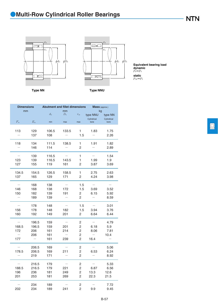



*P*r=*F*r *P*or=*F*r **Equivalent bearing load dynamic static**

**Type NN Type NNU**

| <b>Dimensions</b><br>mm                         |                              | <b>Abutment and fillet dimensions</b> | mm                |                                                 | Mass (approx.)<br>kg                             |                              |
|-------------------------------------------------|------------------------------|---------------------------------------|-------------------|-------------------------------------------------|--------------------------------------------------|------------------------------|
|                                                 |                              | $d_{\rm a}$                           | $D_{\rm a}$       | $r_{\rm as}$                                    | type NNU                                         | type NN                      |
| $F_{\rm w}$                                     | $E_{\rm w}$                  | min                                   | max               | max                                             | Cylindrical<br>bore                              | Cylindrical<br>bore          |
| 113                                             | 129<br>137                   | 106.5<br>108                          | 133.5             | 1<br>1.5                                        | 1.83<br>$\overline{\phantom{0}}$                 | 1.75<br>2.26                 |
| 118                                             | 134<br>146                   | 111.5<br>114                          | 138.5             | 1<br>2                                          | 1.91                                             | 1.82<br>2.89                 |
| 123<br>127                                      | 139<br>139<br>155            | 116.5<br>116.5<br>119                 | 143.5<br>161      | 1<br>1<br>2                                     | 1.99<br>3.87                                     | 1.54<br>1.9<br>3.69          |
| 134.5<br>137                                    | 154.5<br>165                 | 126.5<br>129                          | 158.5<br>171      | 1<br>$\overline{2}$                             | 2.75<br>4.24                                     | 2.63<br>3.98                 |
| 146<br>150<br>$\overline{\phantom{0}}$          | 168<br>168<br>182<br>189     | 138<br>138<br>139<br>139              | 172<br>191        | 1.5<br>1.5<br>2<br>2                            | 3.69<br>6.15<br>$\overline{\phantom{a}}$         | 3.52<br>5.92<br>8.59         |
| 156<br>160                                      | 178<br>178<br>192            | 148<br>148<br>149                     | 182<br>201        | 1.5<br>1.5<br>2                                 | 3.94<br>6.64                                     | 3.01<br>3.76<br>6.44         |
| 168.5<br>172<br>177                             | 196.5<br>196.5<br>206<br>206 | 159<br>159<br>161<br>161<br>161       | 201<br>214<br>239 | 2<br>2<br>2<br>$\overline{2}$<br>$\overline{2}$ | 6.18<br>8.06<br>$\overline{\phantom{0}}$<br>16.4 | 4.79<br>5.9<br>7.81<br>10.4  |
| 178.5                                           | 206.5<br>206.5<br>219        | 169<br>169<br>171                     | 211               | 2<br>2<br>2                                     | 6.53                                             | 5.06<br>6.24<br>8.92         |
| $\overline{\phantom{0}}$<br>188.5<br>196<br>201 | 216.5<br>216.5<br>236<br>253 | 179<br>179<br>181<br>181              | 221<br>249<br>269 | 2<br>2<br>2<br>$\mathcal{P}$                    | $\overline{\phantom{0}}$<br>6.87<br>13.3<br>22.3 | 5.33<br>6.56<br>12.6<br>21.5 |
| 202                                             | 234<br>234                   | 189<br>189                            | 241               | 2<br>$\overline{2}$                             | 9.9                                              | 7.72<br>9.45                 |

 $\boxed{\square}$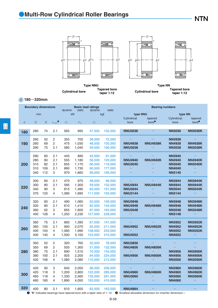### ●**Multi-Row Cylindrical Roller Bearings**

**NTN** 



**Type NNU Cylindrical bore Tapered bore taper 1:12**

**Type NN Cylindrical bore Tapered bore taper 1:12**

*d* **180**~**320mm**

|                  | <b>Boundary dimensions</b> |                  |                  | dynamic     | static         | <b>Basic load ratings</b><br>dynamic | static             | <b>Bearing numbers</b>           |                                                                                                                                          |                                |                                  |
|------------------|----------------------------|------------------|------------------|-------------|----------------|--------------------------------------|--------------------|----------------------------------|------------------------------------------------------------------------------------------------------------------------------------------|--------------------------------|----------------------------------|
|                  | mm                         |                  |                  |             | kN             |                                      | kgf                | type NNU                         |                                                                                                                                          |                                | type NN                          |
|                  |                            |                  |                  |             |                |                                      |                    | Cylindrical                      | tapered                                                                                                                                  | Cylindrical                    | tapered                          |
| $\boldsymbol{d}$ | $\overline{D}$             | $\boldsymbol{B}$ | $r_{\rm s\,min}$ | $C_{\rm r}$ | $C_{\rm{or}}$  | $C_{\rm r}$                          | $C_{\text{or}}$    | bore                             | bore <sup>①</sup>                                                                                                                        | bore                           | bore <sup>0</sup>                |
|                  |                            |                  |                  |             |                |                                      |                    |                                  |                                                                                                                                          |                                |                                  |
| 180              | 280                        | 74               | 2.1              | 565         | 995            | 57,500                               | 102,000            | <b>NNU3036</b>                   |                                                                                                                                          | <b>NN3036</b>                  | <b>NN3036K</b>                   |
|                  |                            |                  |                  |             |                |                                      |                    |                                  |                                                                                                                                          |                                |                                  |
|                  | 260                        | 52               | $\overline{c}$   | 355         | 705            | 36,000                               | 72,000             |                                  |                                                                                                                                          | <b>NN3938</b>                  |                                  |
| 190              | 260                        | 69               | 2                | 475         | 1,030          | 48,500                               | 105,000            | <b>NNU4938</b>                   | <b>NNU4938K</b>                                                                                                                          | <b>NN4938</b>                  | <b>NN4938K</b>                   |
|                  | 290                        | 75               | 2.1              | 580         | 1,040          | 59,000                               | 106,000            | <b>NNU3038</b>                   |                                                                                                                                          | <b>NN3038</b>                  | <b>NN3038K</b>                   |
|                  | 280                        | 60               | 2.1              | 445         | 890            | 45,500                               | 91,000             |                                  |                                                                                                                                          | <b>NN3940</b>                  |                                  |
|                  | 280                        | 80               | 2.1              | 555         | 1,180          | 56,500                               | 120,000            | <b>NNU4940</b>                   | <b>NNU4940K</b>                                                                                                                          | <b>NN4940</b>                  | <b>NN4940K</b>                   |
| 200              | 310                        | 82               | 2.1              | 655         | 1,170          | 66,500                               | 119,000            | <b>NNU3040</b>                   |                                                                                                                                          | <b>NN3040</b>                  | <b>NN3040K</b>                   |
|                  | 310                        | 109              | 2.1              | 890         | 1,730          | 90,500                               | 177,000            |                                  |                                                                                                                                          | <b>NN4040</b>                  |                                  |
|                  | 340                        | 112              | 3                | 970         | 1,660          | 99,000                               | 169,000            |                                  |                                                                                                                                          | <b>NN3140</b>                  |                                  |
|                  |                            |                  |                  |             |                |                                      |                    |                                  |                                                                                                                                          |                                |                                  |
|                  | 300                        | 60               | 2.1              | 470         | 975            | 48,000                               | 99,500             |                                  |                                                                                                                                          | <b>NN3944</b>                  | <b>NN3944K</b>                   |
| 220              | 300                        | 80               | 2.1              | 585         | 1,300          | 59,500                               | 132,000            | <b>NNU4944</b>                   | <b>NNU4944K</b>                                                                                                                          | <b>NN4944</b>                  | <b>NN4944K</b>                   |
|                  | 340                        | 90               | 3                | 815         | 1,480          | 83,000                               | 151,000            | <b>NNU3044</b>                   |                                                                                                                                          | <b>NN3044</b>                  | <b>NN3044K</b>                   |
|                  | 370                        | 120              | 4                | 1,080       | 1,890          | 111,000                              | 193,000            | <b>NNU3144</b>                   |                                                                                                                                          | <b>NN3144</b>                  |                                  |
|                  |                            |                  |                  |             |                |                                      |                    |                                  |                                                                                                                                          |                                |                                  |
|                  | 320                        | 60               | 2.1<br>2.1       | 490         | 1,060          | 50,000                               | 109,000            | <b>NNU3948</b>                   |                                                                                                                                          | <b>NN3948</b>                  | <b>NN3948K</b>                   |
| 240              | 320<br>360                 | 80<br>92         | 3                | 610<br>855  | 1,410<br>1,600 | 62,500<br>87,000                     | 144,000<br>163,000 | <b>NNU4948</b><br><b>NNU3048</b> | <b>NNU4948K</b>                                                                                                                          | <b>NN4948</b><br><b>NN3048</b> | <b>NN4948K</b><br><b>NN3048K</b> |
|                  | 400                        | 128              | $\overline{4}$   | 1,250       | 2,230          | 127,000                              | 228,000            |                                  |                                                                                                                                          | <b>NN3148</b>                  |                                  |
|                  |                            |                  |                  |             |                |                                      |                    |                                  |                                                                                                                                          |                                |                                  |
|                  | 360                        | 75               | 2.1              | 660         | 1,390          | 67,000                               | 141,000            |                                  |                                                                                                                                          | <b>NN3952</b>                  | <b>NN3952K</b>                   |
|                  | 360                        | 100              | 2.1              | 900         | 2,070          | 92,000                               | 211,000            | <b>NNU4952</b>                   | <b>NNU4952K</b>                                                                                                                          | <b>NN4952</b>                  | <b>NN4952K</b>                   |
| 260              | 400                        | 104              | 4                | 1,060       | 1,990          | 108,000                              | 203,000            |                                  |                                                                                                                                          | <b>NN3052</b>                  | <b>NN3052K</b>                   |
|                  | 400                        | 140              | 4                | 1,500       | 3,100          | 153,000                              | 315,000            | <b>NNU4052</b>                   |                                                                                                                                          | <b>NN4052</b>                  |                                  |
|                  |                            |                  |                  |             |                |                                      |                    |                                  |                                                                                                                                          |                                |                                  |
|                  | 350                        | 52               | 2                | 320         | 765            | 32,500                               | 78,000             | <b>NNU3856</b>                   |                                                                                                                                          |                                |                                  |
|                  | 350                        | 69               | 2                | 505         | 1,300          | 51,000                               | 132,000            | <b>NNU4856</b>                   | <b>NNU4856K</b>                                                                                                                          |                                |                                  |
| 280              | 380                        | 75               | 2.1              | 690         | 1,510          | 70,500                               | 154,000            |                                  |                                                                                                                                          | <b>NN3956</b>                  | <b>NN3956K</b>                   |
|                  | 380<br>420                 | 100<br>106       | 2.1<br>4         | 925         | 2,200          | 94,500                               | 224,000            | <b>NNU4956</b>                   | <b>NNU4956K</b>                                                                                                                          | <b>NN4956</b>                  | <b>NN4956K</b>                   |
|                  |                            |                  |                  | 1,080       | 2,080          | 110,000                              | 212,000            |                                  |                                                                                                                                          | <b>NN3056</b>                  | <b>NN3056K</b>                   |
|                  | 420                        | 90               | 3                | 945         | 2,050          | 96,000                               | 209,000            |                                  |                                                                                                                                          | <b>NN3960</b>                  | <b>NN3960K</b>                   |
|                  | 420                        | 118              | 3                | 1,200       | 2,800          | 122,000                              | 285,000            | <b>NNU4960</b>                   | <b>NNU4960K</b>                                                                                                                          | <b>NN4960</b>                  | <b>NN4960K</b>                   |
| 300              | 460                        | 118              | 4                | 1,330       | 2,560          | 135,000                              | 261,000            | <b>NNU3060</b>                   |                                                                                                                                          | <b>NN3060</b>                  | <b>NN3060K</b>                   |
|                  | 460                        | 160              | 4                | 1,890       | 4,050          | 193,000                              | 410,000            |                                  |                                                                                                                                          | <b>NN4060</b>                  |                                  |
| 320              |                            |                  |                  |             |                |                                      |                    |                                  |                                                                                                                                          |                                |                                  |
| ❶                | 400                        | 80               | 2.1              | 610         | 1,600          | 62,500                               | 163,000            | <b>NNU4864</b>                   | "K" indicates bearings have tapered bore with a taper ratio of 1: 12. $\bullet$ Smallest allowable dimension for chamfer dimension $r$ . |                                |                                  |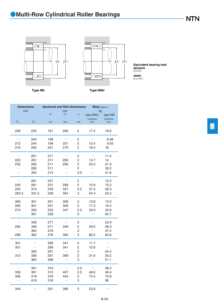



*P*r=*F*r *P*or=*F*r **Equivalent bearing load dynamic static**

**Type NN Type NNU**

| <b>Dimensions</b>        |             | <b>Abutment and fillet dimensions</b> |                          |                | <b>Mass</b> (approx.)         |                        |
|--------------------------|-------------|---------------------------------------|--------------------------|----------------|-------------------------------|------------------------|
| mm                       |             | $d_{\rm a}$                           | mm<br>$D_{\rm a}$        | $r_{\rm as}$   | kg<br>type NNU<br>Cylindrical | type NN<br>Cylindrical |
| $F_{\rm w}$              | $E_{\rm w}$ | min                                   | max                      | max            | bore                          | bore                   |
| 209                      | 255         | 191                                   | 269                      | $\overline{2}$ | 17.4                          | 16.6                   |
|                          | 244         | 199                                   | $\overline{\phantom{0}}$ | 2              |                               | 8.08                   |
| 212                      | 244         | 199                                   | 251                      | 2              | 10.4                          | 9.93                   |
| 219                      | 265         | 201                                   | 279                      | 2              | 18.4                          | 18                     |
|                          | 261         | 211                                   |                          | 2              |                               | 11.4                   |
| 225                      | 261         | 211                                   | 269                      | $\overline{c}$ | 14.7                          | 14                     |
| 232                      | 282         | 211                                   | 299                      | $\overline{c}$ | 23.5                          | 21.6                   |
|                          | 282         | 211                                   |                          | 2<br>2.5       |                               | 30.2                   |
|                          | 304         | 213                                   |                          |                |                               | 41.8                   |
|                          | 281         | 231                                   |                          | 2              |                               | 12.3                   |
| 245                      | 281         | 231                                   | 289                      | 2              | 15.9                          | 15.2                   |
| 254                      | 310         | 233                                   | 327                      | 2.5            | 31.0                          | 29.3                   |
| 263.5                    | 331.5       | 236                                   | 354                      | 3              | 54.4                          | 52.4                   |
| 265                      | 301         | 251                                   | 309                      | 2              | 13.8                          | 13.3                   |
| 265                      | 301         | 251                                   | 309                      | $\overline{c}$ | 17.2                          | 16.4                   |
| 274                      | 330         | 253                                   | 347                      | 2.5            | 33.9                          | 32.8                   |
|                          | 361         | 256                                   |                          | 3              |                               | 64.7                   |
|                          | 336         | 271                                   |                          | 2              |                               | 22.9                   |
| 292                      | 336         | 271                                   | 349                      | 2              | 29.6                          | 28.3                   |
|                          | 364         | 276                                   |                          | 3              |                               | 47.4                   |
| 298                      | 362         | 276                                   | 384                      | 3              | 66.2                          | 63.8                   |
| 301                      |             | 289                                   | 341                      | $\overline{c}$ | 11.7                          |                        |
| 301                      |             | 289                                   | 341                      | 2              | 15.6                          |                        |
|                          | 356         | 291                                   |                          | 2              |                               | 24.4                   |
| 312                      | 356         | 291                                   | 369                      | 2              | 31.6                          | 30.2                   |
| $\overline{\phantom{0}}$ | 384         | 296                                   |                          | 3              |                               | 51.1                   |
|                          | 391         | 313                                   |                          | 2.5            |                               | 38.4                   |
| 339                      | 391         | 313                                   | 407                      | 2.5            | 48.6                          | 46.4                   |
| 346                      | 418         | 316                                   | 444                      | 3              | 73.4                          | 70.8                   |
|                          | 418         | 316                                   |                          | 3              | $\overline{\phantom{0}}$      | 96                     |
| 344                      |             | 331                                   | 389                      | 2              | 23.6                          |                        |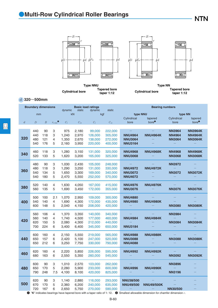### ●**Multi-Row Cylindrical Roller Bearings**

**NTN** 



**Type NNU Cylindrical bore Tapered bore taper 1:12**

**Type NN Cylindrical bore Tapered bore taper 1:12**

*d* **320**~**500mm**

|                | <b>Boundary dimensions</b> |                  |                  | <b>Basic load ratings</b><br>dynamic<br>static<br>dynamic<br>static |                 |             |                 | <b>Bearing numbers</b> |                                                                                                                                       |                 |                   |
|----------------|----------------------------|------------------|------------------|---------------------------------------------------------------------|-----------------|-------------|-----------------|------------------------|---------------------------------------------------------------------------------------------------------------------------------------|-----------------|-------------------|
|                | mm                         |                  |                  |                                                                     | kN              | kgf         |                 | type NNU               |                                                                                                                                       | type NN         |                   |
|                |                            |                  |                  |                                                                     |                 |             |                 | Cylindrical            | tapered                                                                                                                               | Cylindrical     | tapered           |
| $\mathfrak{a}$ | D                          | $\boldsymbol{B}$ | $r_{\rm s\,min}$ | $C_{\rm r}$                                                         | $C_{\text{or}}$ | $C_{\rm r}$ | $C_{\text{or}}$ | bore                   | bore <sup>①</sup>                                                                                                                     | bore            | bore <sup>0</sup> |
|                |                            |                  |                  |                                                                     |                 |             |                 |                        |                                                                                                                                       |                 |                   |
|                | 440                        | 90               | 3                | 975                                                                 | 2,180           | 99,000      | 222,000         |                        |                                                                                                                                       | <b>NN3964</b>   | <b>NN3964K</b>    |
|                | 440                        | 118              | 3                | 1,240                                                               | 2,970           | 126,000     | 305,000         | <b>NNU4964</b>         | <b>NNU4964K</b>                                                                                                                       | <b>NN4964</b>   | <b>NN4964K</b>    |
| 320            | 480                        | 121              | 4                | 1,350                                                               | 2,670           | 138,000     | 272,000         | <b>NNU3064</b>         |                                                                                                                                       | <b>NN3064</b>   | <b>NN3064K</b>    |
|                | 540                        | 176              | 5                | 2,160                                                               | 3,950           | 220,000     | 400,000         | <b>NNU3164</b>         |                                                                                                                                       |                 |                   |
|                | 460                        | 118              | 3                | 1,280                                                               | 3,150           | 131,000     | 320,000         | <b>NNU4968</b>         | <b>NNU4968K</b>                                                                                                                       | <b>NN4968</b>   | <b>NN4968K</b>    |
| 340            | 520                        | 133              | 5                | 1,620                                                               | 3,200           | 165,000     | 325,000         | <b>NNU3068</b>         |                                                                                                                                       | <b>NN3068</b>   | <b>NN3068K</b>    |
|                | 480                        | 90               | 3                | 1,030                                                               | 2,430           | 105,000     | 248,000         |                        |                                                                                                                                       | <b>NN3972</b>   |                   |
|                | 480                        | 118              | 3                | 1,290                                                               | 3,250           | 131,000     | 330,000         | <b>NNU4972</b>         | <b>NNU4972K</b>                                                                                                                       |                 |                   |
| 360            | 540                        | 134              | 5                | 1,650                                                               | 3,300           | 169,000     | 340,000         | <b>NNU3072</b>         |                                                                                                                                       | <b>NN3072</b>   | <b>NN3072K</b>    |
|                | 540                        | 180              | 5                | 2,470                                                               | 5,550           | 252,000     | 570,000         | <b>NNU4072</b>         |                                                                                                                                       |                 |                   |
|                | 520                        | 140              | 4                | 1,630                                                               | 4,050           | 167,000     | 415,000         | <b>NNU4976</b>         | <b>NNU4976K</b>                                                                                                                       |                 |                   |
| 380            | 560                        | 135              | 5                | 1,690                                                               | 3,450           | 172,000     | 355,000         | <b>NNU3076</b>         |                                                                                                                                       | <b>NN3076</b>   | <b>NN3076K</b>    |
|                | 500                        | 100              | 2.1              | 1,070                                                               | 2,950           | 109,000     | 300,000         | <b>NNU4880</b>         |                                                                                                                                       |                 |                   |
| 400            | 540                        | 140              | 4                | 1,690                                                               | 4,300           | 172,000     | 435,000         | <b>NNU4980</b>         | <b>NNU4980K</b>                                                                                                                       |                 |                   |
|                | 600                        | 148              | 5                | 2,040                                                               | 4,150           | 208,000     | 420,000         |                        |                                                                                                                                       | <b>NN3080</b>   | <b>NN3080K</b>    |
|                | 560                        | 106              | 4                | 1,370                                                               | 3,350           | 140,000     | 340,000         |                        |                                                                                                                                       | <b>NN3984</b>   |                   |
|                | 560                        | 140              | 4                | 1,740                                                               | 4,500           | 177,000     | 460,000         | <b>NNU4984</b>         | <b>NNU4984K</b>                                                                                                                       |                 |                   |
| 420            | 620                        | 150              | 5                | 2,080                                                               | 4,300           | 212,000     | 440,000         |                        |                                                                                                                                       | <b>NN3084</b>   | <b>NN3084K</b>    |
|                | 700                        | 224              | 6                | 3,400                                                               | 6,400           | 345,000     | 650,000         | <b>NNU3184</b>         |                                                                                                                                       |                 |                   |
|                | 600                        | 160              | 4                | 2,150                                                               | 5,550           | 219,000     | 565,000         | <b>NNU4988</b>         | <b>NNU4988K</b>                                                                                                                       |                 |                   |
| 440            | 650                        | 157              | 6                | 2,420                                                               | 5,100           | 247,000     | 520,000         | <b>NNU3088</b>         |                                                                                                                                       | <b>NN3088</b>   | <b>NN3088K</b>    |
|                | 650                        | 212              | 6                | 3,250                                                               | 7,750           | 330,000     | 790,000         | <b>NNU4088</b>         |                                                                                                                                       |                 |                   |
|                | 620                        | 160              | 4                | 2,220                                                               | 5,850           | 226,000     | 595,000         | <b>NNU4992</b>         | <b>NNU4992K</b>                                                                                                                       |                 |                   |
| 460            | 680                        | 163              | 6                | 2,550                                                               | 5,350           | 260,000     | 545,000         |                        |                                                                                                                                       | <b>NN3092</b>   | <b>NN3092K</b>    |
|                | 600                        | 90               | 3                | 1,010                                                               | 2,570           | 103,000     | 262,000         |                        |                                                                                                                                       | <b>NN3896</b>   |                   |
| 480            | 650                        | 170              | 5                | 2,280                                                               | 5,900           | 233,000     | 600,000         | <b>NNU4996</b>         | <b>NNU4996K</b>                                                                                                                       |                 |                   |
|                | 790                        | 248              | 7.5              | 4,100                                                               | 8,100           | 420,000     | 825,000         |                        |                                                                                                                                       | <b>NN3196</b>   |                   |
|                | 620                        | 90               | 3                | 1,140                                                               | 2,880           | 116,000     | 293,000         | <b>NNU38/500</b>       |                                                                                                                                       |                 |                   |
| 500            | 670                        | 170              | 5                | 2,360                                                               | 6,200           | 240,000     | 635,000         | <b>NNU49/500</b>       | <b>NNU49/500K</b>                                                                                                                     |                 |                   |
|                | 720                        | 167              | 6                | 2,650                                                               | 5,750           | 270,000     | 590,000         |                        |                                                                                                                                       | <b>NN30/500</b> |                   |
| O              |                            |                  |                  |                                                                     |                 |             |                 |                        | "K" indicates bearings have tapered bore with a taper ratio of 1: 12. $\bullet$ Smallest allowable dimension for chamfer dimension r. |                 |                   |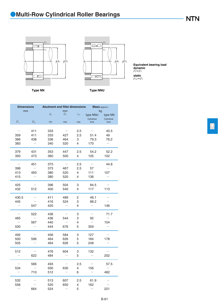



*P*r=*F*r *P*or=*F*r **Equivalent bearing load dynamic static**

**Type NN Type NNU**

| <b>Dimensions</b>        |                          | <b>Abutment and fillet dimensions</b> |                          |              | <b>Mass</b> (approx.)    |                          |
|--------------------------|--------------------------|---------------------------------------|--------------------------|--------------|--------------------------|--------------------------|
| mm                       |                          | $d_{\rm a}$                           | mm<br>$D_{\rm a}$        | $r_{\rm as}$ | kg<br>type NNU           | type NN                  |
|                          |                          |                                       |                          |              | Cylindrical              | Cylindrical              |
| $F_{\rm w}$              | $E_{\rm w}$              | min                                   | max                      | max          | bore                     | bore                     |
|                          | 411                      | 333                                   |                          | 2.5          |                          | 40.5                     |
| 359                      | 411                      | 333                                   | 427                      | 2.5          | 51.4                     | 49                       |
| 366                      | 438                      | 336                                   | 464                      | 3            | 79.3                     | 76.2                     |
| 383                      | $\overline{\phantom{0}}$ | 340                                   | 520                      | 4            | 170                      | $\overline{\phantom{0}}$ |
| 379                      | 431                      | 353                                   | 447                      | 2.5          | 54.2                     | 52.2                     |
| 393                      | 473                      | 360                                   | 500                      | 4            | 105                      | 102                      |
| $\overline{\phantom{0}}$ | 451                      | 373                                   | $\overline{\phantom{0}}$ | 2.5          | $\overline{\phantom{0}}$ | 44.8                     |
| 398                      |                          | 373                                   | 467                      | 2.5          | 57                       |                          |
| 413                      | 493                      | 380                                   | 520                      | 4            | 111                      | 107                      |
| 415                      |                          | 380                                   | 520                      | 4            | 136                      |                          |
| 425                      |                          | 396                                   | 504                      | 3            | 84.5                     |                          |
| 432                      | 512                      | 400                                   | 540                      | 4            | 117                      | 113                      |
| 430.5                    |                          | 411                                   | 489                      | 2            | 46.1                     |                          |
| 445                      |                          | 416                                   | 524                      | 3            | 88.2                     |                          |
| $\overline{\phantom{0}}$ | 547                      | 420                                   |                          | 4            | $\overline{\phantom{0}}$ | 146                      |
| $\overline{\phantom{0}}$ | 522                      | 436                                   | $\overline{\phantom{0}}$ | 3            | $\overline{\phantom{0}}$ | 71.7                     |
| 465                      |                          | 436                                   | 544                      | 3            | 92                       |                          |
|                          | 567                      | 440                                   |                          | 4            |                          | 154                      |
| 500                      |                          | 444                                   | 676                      | 5            | 359                      | $\overline{\phantom{0}}$ |
| 492                      |                          | 456                                   | 584                      | 3            | 127                      |                          |
| 500                      | 596                      | 464                                   | 626                      | 5            | 184                      | 178                      |
| 505                      |                          | 464                                   | 626                      | 5            | 248                      |                          |
| 512                      |                          | 476                                   | 604                      | 3            | 132                      |                          |
|                          | 622                      | 484                                   |                          | 5            |                          | 202                      |
| $\overline{\phantom{0}}$ | 566                      | 493                                   | $\overline{\phantom{0}}$ | 2.5          | $\overline{\phantom{0}}$ | 57.5                     |
| 534                      |                          | 500                                   | 630                      | 4            | 156                      |                          |
|                          | 710                      | 512                                   |                          | 6            |                          | 482                      |
| 532                      |                          | 513                                   | 607                      | 2.5          | 61.9                     |                          |
| 556                      |                          | 520                                   | 650                      | 4            | 162                      |                          |
|                          | 664                      | 524                                   |                          | 5            |                          | 221                      |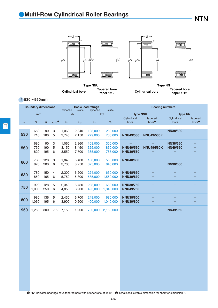### ●**Multi-Row Cylindrical Roller Bearings**

**NTN** 



**Cylindrical bore Tapered bore taper 1:12**

**Cylindrical bore Tapered bore taper 1:12**

#### *d* **530**~**950mm**

|                | <b>Boundary dimensions</b> |                  |                    | dynamic | static       | <b>Basic load ratings</b><br>dynamic | static       |                     | <b>Bearing numbers</b>       |                     |                              |
|----------------|----------------------------|------------------|--------------------|---------|--------------|--------------------------------------|--------------|---------------------|------------------------------|---------------------|------------------------------|
|                | mm                         |                  |                    |         | kN           |                                      | kgf          | type NNU            |                              | type NN             |                              |
| $\overline{d}$ | $\overline{D}$             | $\boldsymbol{B}$ | $r_{\text{s min}}$ | $C_{r}$ | $C_{\rm or}$ | $C_{\rm r}$                          | $C_{\rm or}$ | Cylindrical<br>bore | tapered<br>bore <sup>①</sup> | Cylindrical<br>bore | tapered<br>bore <sup>0</sup> |
|                |                            |                  |                    |         |              |                                      |              |                     |                              |                     |                              |
|                | 650                        | 90               | 3                  | 1,060   | 2.840        | 108,000                              | 289,000      |                     |                              | <b>NN38/530</b>     |                              |
| 530            | 710                        | 180              | 5                  | 2.740   | 7.150        | 279,000                              | 730,000      | <b>NNU49/530</b>    | <b>NNU49/530K</b>            |                     |                              |
|                | 680                        | 90               | 3                  | 1,060   | 2,960        | 108,000                              | 300,000      |                     |                              | <b>NN38/560</b>     |                              |
| 560            | 750                        | 190              | 5                  | 3.150   | 8.450        | 325,000                              | 860,000      | <b>NNU49/560</b>    | <b>NNU49/560K</b>            | <b>NN49/560</b>     |                              |
|                | 820                        | 195              | 6                  | 3,550   | 7,700        | 365,000                              | 785,000      | <b>NNU30/560</b>    |                              |                     |                              |
|                |                            |                  |                    |         |              |                                      |              |                     |                              |                     |                              |
| 600            | 730                        | 128              | 3                  | 1,840   | 5.400        | 188,000                              | 550,000      | <b>NNU48/600</b>    |                              |                     |                              |
|                | 870                        | 200              | 6                  | 3,700   | 8,250        | 375,000                              | 845,000      |                     |                              | <b>NN30/600</b>     |                              |
|                | 780                        | 150              | $\overline{4}$     | 2,200   | 6,200        | 224,000                              | 630,000      | <b>NNU48/630</b>    |                              |                     |                              |
| 630            | 850                        | 165              | 6                  | 5.750   | 5.300        | 585,000                              | 1.560.000    | <b>NNU39/630</b>    |                              |                     |                              |
|                |                            |                  |                    |         |              |                                      |              |                     |                              |                     |                              |
| 750            | 920                        | 128              | 5                  | 2.340   | 6.450        | 238,000                              | 660,000      | <b>NNU38/750</b>    |                              |                     |                              |
|                | 1,000                      | 250              | 6                  | 4,850   | 3,200        | 495,000                              | 1,340,000    | <b>NNU49/750</b>    |                              |                     |                              |
|                | 980                        | 136              | 5                  | 2,430   | 6,700        | 248,000                              | 680,000      | <b>NNU38/800</b>    |                              |                     |                              |
| 800            | 1,060                      | 195              | 6                  | 3.900   | 10,200       | 400,000                              | 1,040,000    | <b>NNU39/800</b>    |                              |                     |                              |
|                |                            |                  |                    |         |              |                                      |              |                     |                              |                     |                              |
| 950            | 1,250                      | 300              | 7.5                | 7,150   | 1,200        | 730,000                              | 2,160,000    |                     |                              | <b>NN49/950</b>     |                              |
|                |                            |                  |                    |         |              |                                      |              |                     |                              |                     |                              |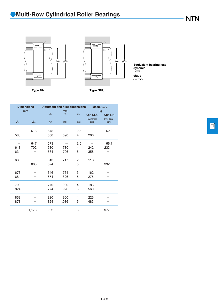**NTN** 





*P*r=*F*r *P*or=*F*r **Equivalent bearing load dynamic static**

**Type NN Type NNU**

|             | <b>Dimensions</b><br>mm | <b>Abutment and fillet dimensions</b> | mm          |              | Mass (approx.)<br>kg |                     |  |
|-------------|-------------------------|---------------------------------------|-------------|--------------|----------------------|---------------------|--|
|             |                         | $d_{\rm a}$                           | $D_{\rm a}$ | $r_{\rm as}$ | type NNU             | type NN             |  |
| $F_{\rm w}$ | $E_{\rm w}$             | min                                   | max         | max          | Cylindrical<br>bore  | Cylindrical<br>bore |  |
| 588         | 616                     | 543<br>550                            | 690         | 2.5<br>4     | 206                  | 62.9                |  |
|             | 647                     | 573                                   |             | 2.5          |                      | 66.1                |  |
| 618         | 702                     | 580                                   | 730         | 4            | 242                  | 233                 |  |
| 634         |                         | 584                                   | 796         | 5            | 358                  |                     |  |
| 635         |                         | 613                                   | 717         | 2.5          | 113                  |                     |  |
|             | 800                     | 624                                   |             | 5            |                      | 392                 |  |
| 673         |                         | 646                                   | 764         | 3            | 162                  |                     |  |
| 684         |                         | 654                                   | 826         | 5            | 275                  |                     |  |
| 798         |                         | 770                                   | 900         | 4            | 186                  |                     |  |
| 824         |                         | 774                                   | 976         | 5            | 560                  |                     |  |
| 852         |                         | 820                                   | 960         | 4            | 223                  |                     |  |
| 878         |                         | 824                                   | 1,036       | 5            | 483                  |                     |  |
|             | 1,176                   | 982                                   |             | 6            |                      | 977                 |  |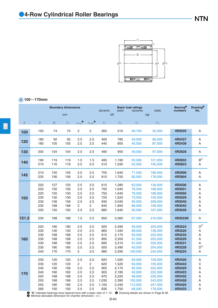

### *d* **100**~**170mm**

|                | <b>Boundary dimensions</b>                                                                                                                                                                                  |                                                      |                                                      |                                                    |                                                    | dynamic                                                  | static                                                               | <b>Basic load ratings</b><br>dynamic                                           | static                                                                               | <b>Bearing</b> <sup>o</sup><br>numbers                                       | Drawing <sup>®</sup><br>No.                   |
|----------------|-------------------------------------------------------------------------------------------------------------------------------------------------------------------------------------------------------------|------------------------------------------------------|------------------------------------------------------|----------------------------------------------------|----------------------------------------------------|----------------------------------------------------------|----------------------------------------------------------------------|--------------------------------------------------------------------------------|--------------------------------------------------------------------------------------|------------------------------------------------------------------------------|-----------------------------------------------|
|                |                                                                                                                                                                                                             |                                                      | mm                                                   |                                                    |                                                    |                                                          | kN                                                                   |                                                                                | kgf                                                                                  |                                                                              |                                               |
| $\mathfrak{a}$ | $\cal D$                                                                                                                                                                                                    | $B_1$                                                | $\mathcal{C}_1$                                      | $r_{\rm s\,min}$                                   | $r_{\rm ls\,min}$ $\bullet$                        | $C_{\rm r}$                                              | $C_{\rm or}$                                                         | $C_{\rm r}$                                                                    | $C_{\rm{or}}$                                                                        |                                                                              |                                               |
| 100            | 150                                                                                                                                                                                                         | 74                                                   | 74                                                   | $\overline{c}$                                     | 2                                                  | 262                                                      | 510                                                                  | 26,700                                                                         | 52,500                                                                               | 4R2035                                                                       | Α                                             |
| 120            | 180<br>180                                                                                                                                                                                                  | 92<br>105                                            | 92<br>105                                            | 2.5<br>2.5                                         | 2.5<br>2.5                                         | 400<br>445                                               | 785<br>855                                                           | 40,500<br>45,500                                                               | 80,000<br>87,000                                                                     | 4R2437<br>4R2438                                                             | Α<br>Α                                        |
| 130            | 200                                                                                                                                                                                                         | 104                                                  | 104                                                  | 2.5                                                | 2.5                                                | 490                                                      | 955                                                                  | 49,500                                                                         | 97,000                                                                               | 4R2628                                                                       | Α                                             |
| 140            | 190<br>210                                                                                                                                                                                                  | 119<br>116                                           | 119<br>116                                           | 1.5<br>2.5                                         | 1.5<br>2.5                                         | 495<br>510                                               | 1,190<br>1,030                                                       | 50,500<br>52,000                                                               | 121,000<br>105,000                                                                   | 4R2832<br>4R2823                                                             | B <sup>2</sup><br>Α                           |
| 145            | 210<br>225                                                                                                                                                                                                  | 155<br>156                                           | 155<br>156                                           | 2.5<br>2.5                                         | 2.5<br>2.5                                         | 705<br>810                                               | 1,640<br>1,750                                                       | 71,500<br>82,500                                                               | 168,000<br>178,000                                                                   | 4R2906<br>4R2904                                                             | A<br>Α                                        |
| 150            | 220<br>220<br>220<br>230<br>230<br>230<br>250                                                                                                                                                               | 127<br>150<br>150<br>130<br>156<br>168<br>150        | 120<br>150<br>150<br>130<br>156<br>168<br>150        | 2.5<br>2.5<br>2.5<br>2.5<br>2.5<br>2<br>2.5        | 2.5<br>2.5<br>2.5<br>2.5<br>2.5<br>2<br>2.5        | 615<br>750<br>750<br>725<br>930<br>845<br>885            | 1,280<br>1,640<br>1,640<br>1,520<br>2,040<br>1,950<br>1,640          | 63,000<br>76,500<br>76,500<br>73,500<br>95,000<br>86,000<br>90,500             | 130,000<br>168,000<br>168,000<br>155,000<br>208,000<br>199,000<br>167,000            | 4R3036<br>4R3031<br>4R3056<br>4R3029<br>4R3040<br>4R3042<br>4R3039           | Α<br>Α<br>Α<br>Α<br>Α<br>Α<br>А               |
| 151.5          | 230                                                                                                                                                                                                         | 168                                                  | 168                                                  | 1.5                                                | 2.5                                                | 850                                                      | 2,060                                                                | 87,000                                                                         | 210,000                                                                              | 4R3033K                                                                      | A                                             |
| 160            | 220<br>230<br>230<br>230<br>230<br>230<br>240                                                                                                                                                               | 180<br>130<br>168<br>168<br>168<br>180<br>170        | 180<br>130<br>168<br>168<br>168<br>180<br>170        | 2.5<br>2.5<br>2.5<br>2.5<br>2.5<br>2.5<br>2        | 2.5<br>2.5<br>2.5<br>2.5<br>2.5<br>2.5<br>2.5      | 920<br>665<br>915<br>895<br>895<br>920<br>980            | 2,490<br>1,340<br>2,170<br>2,200<br>2,210<br>2,490<br>2,290          | 93,500<br>68,000<br>93,500<br>91,500<br>91,000<br>93,500<br>100,000            | 254,000<br>136,000<br>222,000<br>225,000<br>225,000<br>254,000<br>234,000            | 4R3224<br>4R3226<br>4R3232<br>4R3229<br>4R3231<br>4R3228<br>4R3225           | $D^{3)}$<br>Α<br>Α<br>Α<br>Α<br>$D^{3)}$<br>А |
| 170            | 230<br>230<br>240<br>240<br>250<br>250<br>255<br>260                                                                                                                                                        | 120<br>120<br>156<br>160<br>168<br>168<br>180<br>150 | 120<br>120<br>156<br>160<br>168<br>168<br>180<br>150 | 2.5<br>2<br>2.5<br>2.5<br>2.5<br>2.5<br>2.5<br>2.5 | 2.5<br>2<br>2.5<br>2.5<br>2.5<br>2.5<br>2.5<br>2.5 | 620<br>620<br>905<br>905<br>970<br>1,030<br>1,100<br>835 | 1,520<br>1,520<br>2,170<br>2,180<br>2,220<br>2,390<br>2,430<br>1,750 | 63,000<br>63,000<br>92,500<br>92,000<br>99,000<br>105,000<br>112,000<br>85,000 | 155,000<br>155,000<br>222,000<br>222,000<br>226,000<br>243,000<br>247,000<br>179,000 | 4R3426<br>4R3443<br>4R3429<br>4R3423<br>4R3432<br>4R3428<br>4R3425<br>4R3433 | Α<br>C<br>A<br>Α<br>Α<br>Α<br>A<br>А          |
|                | • "K" indicates bearings have tapered bore with a taper ratio of 1: 12.<br><sup>2</sup> Drawing details are shown in Page B-38.<br>$\bullet$ Minimal allowable dimension for chamfer dimension $r$ or $r$ . |                                                      |                                                      |                                                    |                                                    |                                                          |                                                                      |                                                                                |                                                                                      |                                                                              |                                               |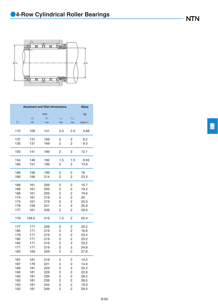

|             | <b>Abutment and fillet dimensions</b> |             |                |                | <b>Mass</b> |
|-------------|---------------------------------------|-------------|----------------|----------------|-------------|
|             |                                       | mm          |                |                | kg          |
|             | $d_{\rm a}$                           | $D_{\rm a}$ | $r_{\rm as}$   | $r_{\rm las}$  |             |
| $F_{\rm w}$ | min                                   | max         | max            | max            | (approx.)   |
| 115         | 109                                   | 141         | 2.0            | 2.0            | 4.68        |
| 137         | 131                                   | 169         | 2              | 2              | 8.2         |
| 135         | 131                                   | 169         | 2              | 2              | 9.3         |
| 150         | 141                                   | 189         | 2              | 2              | 12.1        |
| 154         | 148                                   | 182         | 1.5            | 1.5            | 9.93        |
| 160         | 151                                   | 199         | 2              | 2              | 13.9        |
| 166         | 156                                   | 199         | 2              | 2              | 18          |
| 169         | 156                                   | 214         | 2              | 2              | 23.3        |
| 168         | 161                                   | 209         | 2              | 2              | 15.7        |
| 168         | 161                                   | 209         | 2              | 2              | 19.4        |
| 168         | 161                                   | 209         | 2              | 2              | 19.6        |
| 174         | 161                                   | 219         | 2              | 2              | 20          |
| 174         | 161                                   | 219         | 2              | 2              | 24.5        |
| 178         | 159                                   | 221         | 2              | 2              | 25.8        |
| 177         | 161                                   | 239         | 2              | 2              | 29.6        |
| 179         | 159.5                                 | 219         | 1.5            | 2              | 25.4        |
| 177         | 171                                   | 209         | 2              | 2              | 20.2        |
| 180         | 171                                   | 219         | $\overline{c}$ | $\overline{c}$ | 16.6        |
| 179         | 171                                   | 219         | $\overline{c}$ | 2              | 23.4        |
| 180         | 171                                   | 219         | 2              | 2              | 23.2        |
| 182         | 171                                   | 219         | $\overline{c}$ | $\overline{c}$ | 23.2        |
| 177         | 171                                   | 219         | 2              | 2              | 24.8        |
| 183         | 169                                   | 229         | $\overline{c}$ | $\overline{2}$ | 27.8        |
| 187         | 181                                   | 219         | 2              | 2              | 14.2        |
| 187         | 179                                   | 221         | 2              | 2              | 14.6        |
| 189         | 181                                   | 229         | 2              | 2              | 22.2        |
| 190         | 181                                   | 229         | $\overline{c}$ | 2              | 22.8        |
| 193         | 181                                   | 239         | 2              | 2              | 28.2        |
| 193         | 181                                   | 239         | 2              | $\overline{c}$ | 28.5        |
| 193         | 181                                   | 244         | $\overline{c}$ | $\overline{c}$ | 19.3        |
| 192         | 181                                   | 249         | 2              | 2              | 29.5        |

 $\boxed{\square}$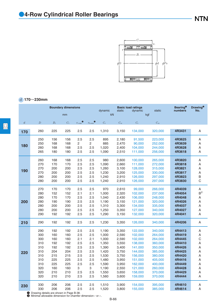

### *d* **170**~**230mm**

|                  | <b>Boundary dimensions</b>                                                       |                                                                                  |                                                                                  |                                                                                |                                                                                | dynamic                                                                                                  | static                                                                                                   | <b>Basic load ratings</b><br>dynamic                                                                                             | static                                                                                                                           | <b>Bearing</b> <sup>O</sup><br>numbers                                                                               | Drawing <sup>®</sup><br>No.                                        |
|------------------|----------------------------------------------------------------------------------|----------------------------------------------------------------------------------|----------------------------------------------------------------------------------|--------------------------------------------------------------------------------|--------------------------------------------------------------------------------|----------------------------------------------------------------------------------------------------------|----------------------------------------------------------------------------------------------------------|----------------------------------------------------------------------------------------------------------------------------------|----------------------------------------------------------------------------------------------------------------------------------|----------------------------------------------------------------------------------------------------------------------|--------------------------------------------------------------------|
|                  |                                                                                  |                                                                                  | mm                                                                               |                                                                                |                                                                                | kN                                                                                                       |                                                                                                          |                                                                                                                                  | kgf                                                                                                                              |                                                                                                                      |                                                                    |
| $\boldsymbol{d}$ | $\overline{D}$                                                                   | $B_1$                                                                            | C <sub>1</sub>                                                                   | $r_{\text{s min}}$                                                             | $r_{\rm ls\,min}$ <sup><math>\bullet</math></sup>                              | $C_{\rm r}$                                                                                              | $C_{\rm or}$                                                                                             | $C_{\rm r}$                                                                                                                      | $C_{\rm or}$                                                                                                                     |                                                                                                                      |                                                                    |
| 170              | 260                                                                              | 225                                                                              | 225                                                                              | 2.5                                                                            | 2.5                                                                            | 1,310                                                                                                    | 3,150                                                                                                    | 134,000                                                                                                                          | 320,000                                                                                                                          | 4R3431                                                                                                               | A                                                                  |
| 180              | 250<br>250<br>260<br>265                                                         | 156<br>168<br>168<br>180                                                         | 156<br>168<br>168<br>180                                                         | 2.5<br>$\overline{c}$<br>2.5<br>2.5                                            | 2.5<br>$\overline{c}$<br>2.5<br>2.5                                            | 895<br>885<br>1,020<br>1,090                                                                             | 2,180<br>2,470<br>2,400<br>2,510                                                                         | 91,500<br>90,000<br>104,000<br>111,000                                                                                           | 223,000<br>252,000<br>244,000<br>256,000                                                                                         | 4R3625<br>4R3639<br>4R3628<br>4R3618                                                                                 | Α<br>Α<br>Α<br>Α                                                   |
| 190              | 260<br>270<br>270<br>270<br>280<br>280                                           | 168<br>170<br>200<br>200<br>200<br>200                                           | 168<br>170<br>200<br>200<br>200<br>200                                           | 2.5<br>2.5<br>2.5<br>2.5<br>2.5<br>2.5                                         | 2.5<br>2.5<br>2.5<br>2.5<br>2.5<br>2.5                                         | 980<br>1,090<br>1,260<br>1,230<br>1,240<br>1,240                                                         | 2,600<br>2,660<br>3,100<br>3,200<br>2,910<br>2,910                                                       | 100,000<br>111,000<br>128,000<br>125,000<br>126,000<br>126,000                                                                   | 265,000<br>272,000<br>315,000<br>330,000<br>297,000<br>297,000                                                                   | 4R3820<br>4R3818<br>4R3821<br>4R3817<br>4R3823<br>4R3830                                                             | Α<br>Α<br>A<br>A<br>$\sf B$<br>$\mathsf{C}$                        |
| 200              | 270<br>280<br>280<br>280<br>280<br>280<br>290                                    | 170<br>152<br>170<br>190<br>200<br>200<br>192                                    | 170<br>152<br>170<br>190<br>200<br>200<br>192                                    | 2.5<br>2.1<br>2.5<br>2.5<br>2.5<br>2.5<br>2.5                                  | 2.5<br>2.1<br>2.5<br>2.5<br>2.5<br>2.5<br>2.5                                  | 970<br>1,000<br>1,040<br>1,190<br>1,310<br>1,250<br>1,290                                                | 2,610<br>2,320<br>2,430<br>3,150<br>3,300<br>3,350<br>3,150                                              | 99,000<br>102,000<br>106,000<br>121,000<br>134,000<br>127,000<br>132,000                                                         | 266,000<br>237,000<br>248,000<br>320,000<br>335,000<br>340,000<br>320,000                                                        | 4R4039<br>4R4054<br>4R4048<br>4R4026<br>4R4037<br>4R4027<br>4R4041                                                   | Α<br>B <sup>2</sup><br>A<br>A<br>Α<br>Α<br>A                       |
| 210              | 290                                                                              | 192                                                                              | 192                                                                              | 2.5                                                                            | 2.5                                                                            | 1,230                                                                                                    | 3,350                                                                                                    | 126,000                                                                                                                          | 340,000                                                                                                                          | 4R4206                                                                                                               | Α                                                                  |
| 220              | 290<br>300<br>300<br>310<br>310<br>310<br>310<br>310<br>310<br>320<br>320<br>320 | 192<br>160<br>160<br>192<br>192<br>204<br>215<br>225<br>225<br>160<br>210<br>210 | 192<br>160<br>160<br>192<br>192<br>204<br>215<br>225<br>225<br>160<br>210<br>210 | 2.5<br>2.5<br>2.1<br>2.5<br>2.5<br>2.5<br>2.5<br>2.5<br>2.5<br>3<br>2.5<br>2.5 | 2.5<br>2.5<br>2.1<br>2.5<br>2.5<br>2.5<br>2.5<br>2.5<br>2.5<br>3<br>2.5<br>2.5 | 1,190<br>1,000<br>1,000<br>1,350<br>1,390<br>1,420<br>1,530<br>1,480<br>1,590<br>1,190<br>1,550<br>1,560 | 3,350<br>2,590<br>2,590<br>3,550<br>3,400<br>3,750<br>3,750<br>3,950<br>3,950<br>2,550<br>3,650<br>3,600 | 122,000<br>102,000<br>102,000<br>138,000<br>141,000<br>144,000<br>156,000<br>151,000<br>162,000<br>121,000<br>158,000<br>159,000 | 340,000<br>264,000<br>264,000<br>360,000<br>350,000<br>385,000<br>380,000<br>405,000<br>400,000<br>260,000<br>370,000<br>370,000 | 4R4413<br>4R4419<br>4R4445<br>4R4410<br>4R4426<br>4R4425<br>4R4420<br>4R4416<br>4R4449<br>4R4428<br>4R4429<br>4R4444 | Α<br>Α<br>$\mathsf C$<br>A<br>A<br>A<br>Α<br>Α<br>A<br>A<br>Α<br>A |
| 230<br>O         | 330<br>330<br>Drawing details are shown in Page B-38.                            | 206<br>206                                                                       | 206<br>206                                                                       | 2.5<br>2.5                                                                     | 2.5<br>2.5                                                                     | 1,510<br>1,520                                                                                           | 3,900<br>3,800                                                                                           | 154,000<br>155,000                                                                                                               | 395,000<br>385,000                                                                                                               | 4R4610<br>4R4614                                                                                                     | Α<br>Α                                                             |

**1** Drawing details are shown in Page B-38.<br><sup>2</sup> Minimal allowable dimension for chamfer dimension *r* or *r*<sub>1</sub>.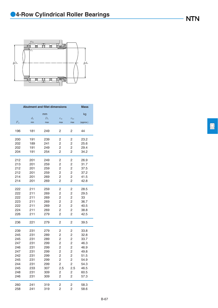

|             |             | <b>Abutment and fillet dimensions</b> |                |                  | <b>Mass</b> |
|-------------|-------------|---------------------------------------|----------------|------------------|-------------|
|             |             | mm                                    |                |                  | kg          |
|             | $d_{\rm a}$ | $D_{\rm a}$                           | $r_{\rm as}$   | $r_{\text{las}}$ |             |
| $F_{\rm w}$ | min         | max                                   | max            | max              | (approx.)   |
| 196         | 181         | 249                                   | 2              | 2                | 44          |
|             |             |                                       |                |                  |             |
| 200         | 191         | 239                                   | 2              | 2                | 23.2        |
| 202         | 189         | 241                                   | 2              | 2                | 25.6        |
| 202         | 191         | 249                                   | $\overline{2}$ | 2                | 29.4        |
| 204         | 191         | 254                                   | 2              | 2                | 34.2        |
| 212         | 201         | 249                                   | 2              | 2                | 26.9        |
| 213         | 201         | 259                                   | 2              | 2                | 31.7        |
| 212         | 201         | 259                                   | 2              | 2                | 37.5        |
| 212         | 201         | 259                                   | 2              | 2                | 37.2        |
| 214         | 201         | 269                                   | 2              | 2                | 41.5        |
| 214         | 201         | 269                                   | 2              | 2                | 42.8        |
| 222         | 211         | 259                                   | 2              | 2                | 28.5        |
| 222         | 211         | 269                                   | 2              | 2                | 29.5        |
| 222         | 211         | 269                                   | 2              | 2                | 33          |
| 223         | 211         | 269                                   | 2              | 2                | 36.7        |
| 222         | 211         | 269                                   | 2              | 2                | 40.5        |
| 224         | 211         | 269                                   | 2              | 2                | 38.8        |
| 226         | 211         | 279                                   | 2              | 2                | 42.5        |
| 236         | 221         | 279                                   | 2              | 2                | 39.5        |
| 239         | 231         | 279                                   | 2              | 2                | 33.8        |
| 245         | 231         | 289                                   | 2              | 2                | 32.8        |
| 245         | 231         | 289                                   | 2              | 2                | 33.7        |
| 247         | 231         | 299                                   | 2              | 2                | 46.3        |
| 246         | 231         | 299                                   | 2              | 2                | 46.9        |
| 247         | 231         | 299                                   | 2              | 2                | 49.8        |
| 242         | 231         | 299                                   | 2              | $\overline{c}$   | 51.5        |
| 245         | 231         | 299                                   | 2              | 2                | 54.9        |
| 244         | 231         | 299                                   | 2              | 2                | 54.3        |
| 245         | 233         | 307                                   | 2.5            | 2.5              | 46.5        |
| 248         | 231         | 309                                   | 2              | 2                | 60.5        |
| 246         | 231         | 309                                   | 2              | 2                | 57.3        |
| 260         | 241         | 319                                   | 2              | 2                | 58.3        |
| 258         | 241         | 319                                   | $\overline{c}$ | $\overline{c}$   | 58.6        |

 $\Box$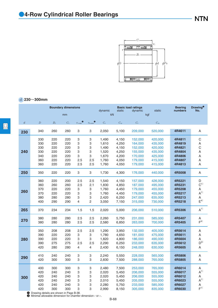

### *d* **230**~**300mm**

|                  | <b>Boundary dimensions</b>                                                        |                                               |                                               |                                     |                                     | dynamic                                                     | static                                                      | <b>Basic load ratings</b><br>dynamic                                      | static                                                                    | <b>Bearing</b><br>numbers                                          | Drawing <sup>®</sup><br>No.                                |
|------------------|-----------------------------------------------------------------------------------|-----------------------------------------------|-----------------------------------------------|-------------------------------------|-------------------------------------|-------------------------------------------------------------|-------------------------------------------------------------|---------------------------------------------------------------------------|---------------------------------------------------------------------------|--------------------------------------------------------------------|------------------------------------------------------------|
|                  |                                                                                   |                                               | mm                                            |                                     |                                     | kN                                                          |                                                             |                                                                           | kgf                                                                       |                                                                    |                                                            |
| $\boldsymbol{d}$ | $\boldsymbol{D}$                                                                  | $B_1$                                         | $C_1$                                         | $r_{\text{s}\min}$                  | $r_{\rm ls\,min}$                   | $C_{\rm r}$                                                 | $C_{\rm or}$                                                | $C_{\rm r}$                                                               | $C_{\rm{or}}$                                                             |                                                                    |                                                            |
| 230              | 340                                                                               | 260                                           | 260                                           | 3                                   | 3                                   | 2,050                                                       | 5,100                                                       | 209,000                                                                   | 520,000                                                                   | 4R4611                                                             | Α                                                          |
| 240              | 330<br>330<br>330<br>330<br>340<br>360<br>360                                     | 220<br>220<br>220<br>220<br>220<br>220<br>220 | 220<br>220<br>220<br>220<br>220<br>220<br>220 | 3<br>3<br>3<br>3<br>3<br>2.5<br>2.5 | 3<br>3<br>З<br>3<br>3<br>2.5<br>2.5 | 1,490<br>1,610<br>1,490<br>1,520<br>1,670<br>1,760<br>1,760 | 4,150<br>4,250<br>4,150<br>4,250<br>4,200<br>4,050<br>4,050 | 152,000<br>164,000<br>152,000<br>155,000<br>170,000<br>179,000<br>179,000 | 420,000<br>435,000<br>420,000<br>435,000<br>425,000<br>415,000<br>415,000 | 4R4811<br>4R4819<br>4R4821<br>4R4804<br>4R4806<br>4R4807<br>4R4813 | $\mathsf C$<br>Α<br>$\mathsf C$<br>A<br>A<br>Α<br>Α        |
| 250              | 350                                                                               | 220                                           | 220                                           | З                                   | 3                                   | 1,730                                                       | 4,300                                                       | 176,000                                                                   | 440,000                                                                   | 4R5008                                                             | Α                                                          |
| 260              | 360<br>360<br>370<br>370<br>380<br>400                                            | 220<br>260<br>220<br>220<br>280<br>290        | 200<br>260<br>220<br>220<br>280<br>290        | 2.5<br>2.5<br>3<br>3<br>3<br>4      | 2.5<br>2.1<br>3<br>3<br>3<br>2      | 1,540<br>1,830<br>1,760<br>1,760<br>2,420<br>3,050          | 4,150<br>4,850<br>4,450<br>4,450<br>6,250<br>7,150          | 157,000<br>187,000<br>179,000<br>179,000<br>247,000<br>315,000            | 426,000<br>495,000<br>455,000<br>455,000<br>635,000<br>730,000            | 4R5221<br>4R5231<br>4R5208<br>4R5217<br>4R5213<br>4R5218           | D<br>$C^{1)}$<br>Α<br>$A^{1}$<br>A<br>$E^{4)}$             |
| 265              | 370                                                                               | 234                                           | 234                                           | 1.5                                 | 1.5                                 | 2,020                                                       | 5,000                                                       | 206,000                                                                   | 510,000                                                                   | 4R5306                                                             | A <sup>1</sup>                                             |
| 270              | 380<br>380                                                                        | 280<br>280                                    | 280<br>280                                    | 2.5<br>2.5                          | 2.5<br>2.5                          | 2,260<br>2,580                                              | 5,750<br>6,850                                              | 231,000<br>263,000                                                        | 585,000<br>700,000                                                        | 4R5407<br>4R5405                                                   | Α<br>$F^{4)}$                                              |
| 280              | 350<br>390<br>390<br>390<br>420                                                   | 208<br>220<br>220<br>275<br>280               | 208<br>220<br>220<br>275<br>280               | 2.5<br>3<br>3<br>2.5<br>4           | 2.5<br>3<br>3<br>2.5<br>4           | 1,290<br>1,780<br>1,820<br>2,290<br>2,430                   | 3,950<br>4,650<br>4,800<br>6,250<br>6,150                   | 132,000<br>181,000<br>186,000<br>233,000<br>248,000                       | 405,000<br>475,000<br>490,000<br>635,000<br>630,000                       | 4R5614<br>4R5611<br>4R5604<br>4R5612<br>4R5605                     | Α<br>Α<br>Α<br>$D^{3)}$<br>Α                               |
| 290              | 410<br>420                                                                        | 240<br>300                                    | 240<br>300                                    | 3<br>3                              | 3<br>3                              | 2,240<br>2,830                                              | 5,550<br>7,500                                              | 228,000<br>288,000                                                        | 565,000<br>765,000                                                        | 4R5806<br>4R5805                                                   | Α<br>A                                                     |
| 300              | 400<br>420<br>420<br>420<br>420<br>420<br>Contained ataile are shown in Page R-38 | 300<br>240<br>240<br>240<br>240<br>300        | 300<br>240<br>240<br>240<br>240<br>300        | 3<br>3<br>3<br>3<br>3<br>3          | 3<br>3<br>3<br>3<br>3<br>3          | 2,480<br>2,020<br>2,020<br>2,010<br>2,280<br>2,990          | 7,500<br>5,450<br>5,450<br>5,450<br>5,750<br>8,150          | 253,000<br>206,000<br>206,000<br>205,000<br>233,000<br>305,000            | 765,000<br>555,000<br>555,000<br>555,000<br>585,000<br>835,000            | 4R6014<br>4R6017<br>4R6012<br>4R6023<br>4R6027<br>4R6030           | Α<br>$A^{1}$<br>Α<br>A <sup>1</sup><br>Α<br>F <sup>1</sup> |

**1** Drawing details are shown in Page B-38.<br><sup>2</sup> Minimal allowable dimension for chamfer dimension *r* or *r*<sub>1</sub>.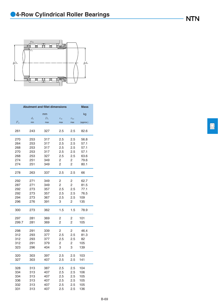

|             |             | <b>Abutment and fillet dimensions</b> |                |               | <b>Mass</b> |
|-------------|-------------|---------------------------------------|----------------|---------------|-------------|
|             |             | mm                                    |                |               | kg          |
|             | $d_{\rm a}$ | $D_{\rm a}$                           | $r_{\rm as}$   | $r_{\rm las}$ |             |
| $F_{\rm w}$ | min         | max                                   | max            | max           | (approx.)   |
| 261         | 243         | 327                                   | 2.5            | 2.5           | 82.6        |
| 270         | 253         | 317                                   | 2.5            | 2.5           | 56.8        |
| 264         | 253         | 317                                   | 2.5            | 2.5           | 57.1        |
| 268         | 253         | 317                                   | 2.5            | 2.5           | 57.1        |
| 270         | 253         | 317                                   | 2.5            | 2.5           | 57.1        |
| 268         | 253         | 327                                   | 2.5            | 2.5           | 63.6        |
| 274         | 251         | 349                                   | 2              | 2             | 79.6        |
| 274         | 251         | 349                                   | 2              | 2             | 80.1        |
| 278         | 263         | 337                                   | 2.5            | 2.5           | 66          |
| 292         | 271         | 349                                   | 2              | 2             | 62.7        |
| 287         | 271         | 349                                   | 2              | 2             | 81.5        |
| 292         | 273         | 357                                   | 2.5            | 2.5           | 77.1        |
| 292         | 273         | 357                                   | 2.5            | 2.5           | 76.5        |
| 294         | 273         | 367                                   | 2.5            | 2.5           | 109         |
| 296         | 276         | 391                                   | 3              | 2             | 135         |
| 300         | 273         | 362                                   | 1.5            | 1.5           | 78.9        |
| 297         | 281         | 369                                   | 2              | 2             | 101         |
| 299.7       | 281         | 369                                   | $\overline{2}$ | 2             | 105         |
| 298         | 291         | 339                                   | 2              | 2             | 46.4        |
| 312         | 293         | 377                                   | 2.5            | 2.5           | 81.3        |
| 312         | 293         | 377                                   | 2.5            | 2.5           | 82          |
| 312         | 291         | 379                                   | 2              | 2             | 105         |
| 323         | 296         | 404                                   | 3              | 3             | 139         |
| 320         | 303         | 397                                   | 2.5            | 2.5           | 103         |
| 327         | 303         | 407                                   | 2.5            | 2.5           | 141         |
|             |             |                                       |                |               |             |
| 328         | 313         | 387                                   | 2.5            | 2.5           | 104         |
| 334         | 313         | 407                                   | 2.5            | 2.5           | 106         |
| 334         | 313         | 407                                   | 2.5            | 2.5           | 105         |
| 336         | 313         | 407                                   | 2.5            | 2.5           | 105         |
| 332         | 313         | 407                                   | 2.5            | 2.5           | 105         |
| 331         | 313         | 407                                   | 2.5            | 2.5           | 136         |

 $\boxed{\square}$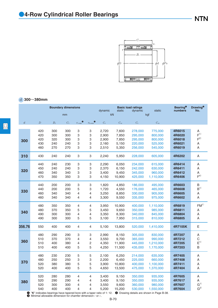

### *d* **300**~**380mm**

|                  | <b>Boundary dimensions</b>                                                                                                                                                                       |       |                 |                  |                     | dynamic     | static        | <b>Basic load ratings</b><br>dynamic | static        | <b>Bearing</b> <sup>0</sup><br>numbers | <b>Drawing®</b><br>No. |
|------------------|--------------------------------------------------------------------------------------------------------------------------------------------------------------------------------------------------|-------|-----------------|------------------|---------------------|-------------|---------------|--------------------------------------|---------------|----------------------------------------|------------------------|
|                  |                                                                                                                                                                                                  |       | mm              |                  |                     | kN          |               |                                      | kgf           |                                        |                        |
| $\boldsymbol{d}$ | $\cal D$                                                                                                                                                                                         | $B_1$ | $\mathcal{C}_1$ | $r_{\rm s\,min}$ | $r_{\text{ls min}}$ | $C_{\rm r}$ | $C_{\rm{or}}$ | $C_{\rm r}$                          | $C_{\rm{or}}$ |                                        |                        |
| 300              | 420                                                                                                                                                                                              | 300   | 300             | 3                | 3                   | 2,720       | 7,600         | 278,000                              | 775,000       | 4R6015                                 | Α                      |
|                  | 420                                                                                                                                                                                              | 300   | 300             | 3                | З                   | 2,900       | 7,850         | 295,000                              | 800,000       | 4R6020                                 | F <sup>1</sup>         |
|                  | 420                                                                                                                                                                                              | 320   | 300             | 3                | 3                   | 2,900       | 7,850         | 295,000                              | 800,000       | 4R6018                                 | F <sup>2</sup>         |
|                  | 430                                                                                                                                                                                              | 240   | 240             | 3                | 3                   | 2,160       | 5,150         | 220,000                              | 525,000       | 4R6021                                 | A                      |
|                  | 460                                                                                                                                                                                              | 270   | 270             | 3                | 3                   | 2,510       | 5,350         | 256,000                              | 545,000       | 4R6019                                 | Α                      |
| 310              | 430                                                                                                                                                                                              | 240   | 240             | 3                | 3                   | 2,240       | 5,950         | 228,000                              | 605,000       | 4R6202                                 | A                      |
| 320              | 440                                                                                                                                                                                              | 240   | 230             | 3                | 3                   | 2,290       | 6,050         | 234,000                              | 615,000       | 4R6414                                 | Α                      |
|                  | 450                                                                                                                                                                                              | 240   | 240             | 3                | 3                   | 2,370       | 6,150         | 242,000                              | 630,000       | 4R6411                                 | A                      |
|                  | 460                                                                                                                                                                                              | 340   | 340             | 3                | 3                   | 3,400       | 9,450         | 345,000                              | 960,000       | 4R6412                                 | A                      |
|                  | 470                                                                                                                                                                                              | 350   | 350             | 3                | 3                   | 4,150       | 10,900        | 425,000                              | 1,110,000     | 4R6406                                 | $F^{4)}$               |
| 330              | 440                                                                                                                                                                                              | 200   | 200             | 3                | 3                   | 1,820       | 4,850         | 186,000                              | 495,000       | 4R6603                                 | B                      |
|                  | 440                                                                                                                                                                                              | 200   | 200             | 5                | 3                   | 1,720       | 4,550         | 176,000                              | 465,000       | 4R6608                                 | B <sup>1</sup>         |
|                  | 460                                                                                                                                                                                              | 340   | 340             | 4                | 4                   | 3,250       | 8,850         | 330,000                              | 905,000       | 4R6605                                 | Α                      |
|                  | 460                                                                                                                                                                                              | 340   | 340             | 4                | 4                   | 3,300       | 9,550         | 335,000                              | 975,000       | 4R6602                                 | A                      |
| 340              | 480                                                                                                                                                                                              | 350   | 350             | 4                | 4                   | 3,950       | 10,900        | 400,000                              | 1,110,000     | 4R6819                                 | FM <sup>1</sup>        |
|                  | 480                                                                                                                                                                                              | 370   | 350             | 5                | 5                   | 3,450       | 9,650         | 350,000                              | 985,000       | 4R6811                                 | Α                      |
|                  | 490                                                                                                                                                                                              | 300   | 300             | 4                | 4                   | 3,350       | 8,300         | 340,000                              | 845,000       | 4R6804                                 | A                      |
|                  | 490                                                                                                                                                                                              | 300   | 300             | 5                | 5                   | 3,100       | 7,950         | 315,000                              | 810,000       | 4R6805                                 | A                      |
| 356.76           | 550                                                                                                                                                                                              | 400   | 400             | 4                | 4                   | 5,100       | 13,800        | 520,000                              | 1,410,000     | 4R7105K                                | E                      |
| 360              | 480                                                                                                                                                                                              | 290   | 290             | 3                | 3                   | 2,990       | 8,150         | 305,000                              | 830,000       | 4R7207                                 | Α                      |
|                  | 510                                                                                                                                                                                              | 370   | 370             | 4                | 4                   | 3,550       | 9,700         | 365,000                              | 990,000       | 4R7212                                 | C                      |
|                  | 510                                                                                                                                                                                              | 400   | 380             | 4                | 2                   | 4,350       | 11,900        | 445,000                              | 1,210,000     | 4R7205                                 | E <sup>1</sup>         |
|                  | 510                                                                                                                                                                                              | 400   | 400             | 5                | 5                   | 4,250       | 11,500        | 435,000                              | 1,170,000     | 4R7203                                 | B                      |
| 370              | 480                                                                                                                                                                                              | 230   | 230             | 5                | 5                   | 2,100       | 6,250         | 214,000                              | 635,000       | 4R7405                                 | Α                      |
|                  | 480                                                                                                                                                                                              | 250   | 250             | 3                | 3                   | 2,200       | 6,450         | 225,000                              | 660,000       | 4R7408                                 | A                      |
|                  | 520                                                                                                                                                                                              | 380   | 380             | 5                | 5                   | 3,900       | 10,800        | 400,000                              | 1,100,000     | 4R7411                                 | A                      |
|                  | 520                                                                                                                                                                                              | 400   | 400             | 5                | 5                   | 4,650       | 13,500        | 475,000                              | 1,370,000     | 4R7404                                 | Α                      |
| 380              | 520                                                                                                                                                                                              | 280   | 280             | 4                | 4                   | 3,400       | 9,150         | 350,000                              | 935,000       | 4R7605                                 | A                      |
|                  | 520                                                                                                                                                                                              | 290   | 290             | 4                | 4                   | 3,400       | 9,150         | 350,000                              | 935,000       | 4R7617                                 | Α                      |
|                  | 520                                                                                                                                                                                              | 300   | 300             | 4                | 4                   | 3,550       | 9,600         | 360,000                              | 980,000       | 4R7607                                 | G <sup>1</sup>         |
|                  | 540                                                                                                                                                                                              | 400   | 400             | 4                | 4                   | 5,200       | 15,200        | 530,000                              | 1,550,000     | 4R7604                                 | G <sup>2</sup>         |
|                  | • "K" indicates bearings have tapered bore with a taper ratio of 1: 12.<br>2 Drawing details are shown in Page B-38.<br>$\bullet$ Minimal allowable dimension for chamfer dimension $r$ or $r$ . |       |                 |                  |                     |             |               |                                      |               |                                        |                        |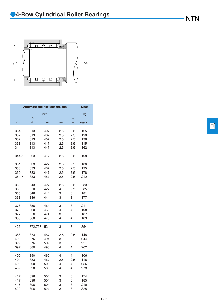

| <b>Abutment and fillet dimensions</b><br><b>Mass</b>        |           |  |  |  |  |  |  |  |  |  |
|-------------------------------------------------------------|-----------|--|--|--|--|--|--|--|--|--|
| mm                                                          | kg        |  |  |  |  |  |  |  |  |  |
| $d_{\rm a}$<br>$D_{\rm a}$<br>$r_{\rm as}$<br>$r_{\rm las}$ |           |  |  |  |  |  |  |  |  |  |
| $F_{\rm w}$<br>min<br>max<br>max<br>max                     | (approx.) |  |  |  |  |  |  |  |  |  |
|                                                             |           |  |  |  |  |  |  |  |  |  |
| 334<br>2.5<br>313<br>407<br>2.5                             | 125       |  |  |  |  |  |  |  |  |  |
| 332<br>313<br>407<br>2.5<br>2.5                             | 130       |  |  |  |  |  |  |  |  |  |
| 2.5<br>2.5<br>332<br>313<br>407                             | 136       |  |  |  |  |  |  |  |  |  |
| 338<br>313<br>2.5<br>2.5<br>417                             | 115       |  |  |  |  |  |  |  |  |  |
| 2.5<br>2.5<br>344<br>313<br>447                             | 162       |  |  |  |  |  |  |  |  |  |
| 2.5<br>2.5<br>344.5<br>323<br>417                           | 108       |  |  |  |  |  |  |  |  |  |
| 333<br>2.5<br>2.5<br>351<br>427                             | 106       |  |  |  |  |  |  |  |  |  |
| 2.5<br>2.5<br>358<br>333<br>437                             | 125       |  |  |  |  |  |  |  |  |  |
| 2.5<br>2.5<br>360<br>333<br>447                             | 178       |  |  |  |  |  |  |  |  |  |
| 361.7<br>333<br>2.5<br>2.5<br>457                           | 212       |  |  |  |  |  |  |  |  |  |
| 360<br>2.5<br>2.5<br>343<br>427                             | 83.6      |  |  |  |  |  |  |  |  |  |
| 2.5<br>360<br>350<br>427<br>4                               | 85.6      |  |  |  |  |  |  |  |  |  |
| 365<br>346<br>444<br>3<br>3                                 | 181       |  |  |  |  |  |  |  |  |  |
| 346<br>444<br>3<br>3<br>368                                 | 177       |  |  |  |  |  |  |  |  |  |
| 378<br>356<br>3<br>3<br>464                                 | 211       |  |  |  |  |  |  |  |  |  |
| 4<br>4<br>378<br>360<br>460                                 | 198       |  |  |  |  |  |  |  |  |  |
| 356<br>474<br>3<br>3<br>377                                 | 187       |  |  |  |  |  |  |  |  |  |
| 4<br>4<br>380<br>360<br>470                                 | 189       |  |  |  |  |  |  |  |  |  |
| 426<br>3<br>3<br>372.757<br>534                             | 354       |  |  |  |  |  |  |  |  |  |
| 2.5<br>2.5<br>388<br>373<br>467                             | 148       |  |  |  |  |  |  |  |  |  |
| 400<br>376<br>494<br>3<br>3                                 | 244       |  |  |  |  |  |  |  |  |  |
| 399<br>376<br>3<br>2<br>509                                 | 251       |  |  |  |  |  |  |  |  |  |
| 397<br>380<br>490<br>4<br>4                                 | 262       |  |  |  |  |  |  |  |  |  |
| 400<br>390<br>4<br>4<br>460                                 | 106       |  |  |  |  |  |  |  |  |  |
| 2.5<br>2.5<br>401<br>383<br>467                             | 118       |  |  |  |  |  |  |  |  |  |
| 409<br>390<br>500<br>4<br>4                                 | 256       |  |  |  |  |  |  |  |  |  |
| 409<br>390<br>500<br>4<br>4                                 | 273       |  |  |  |  |  |  |  |  |  |
| 417<br>396<br>504<br>3<br>3                                 | 174       |  |  |  |  |  |  |  |  |  |
| 417<br>396<br>504<br>3<br>3                                 | 185       |  |  |  |  |  |  |  |  |  |
| 416<br>396<br>504<br>3<br>3                                 | 210       |  |  |  |  |  |  |  |  |  |
| 3<br>3<br>422<br>396<br>524                                 | 325       |  |  |  |  |  |  |  |  |  |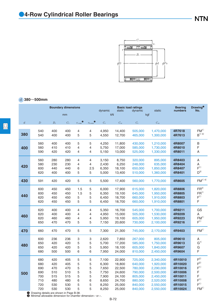

### *d* **380**~**500mm**

|                  |                                                            |                                                      | <b>Boundary dimensions</b>                                      |                                                |                                      | <b>Basic load ratings</b><br>dynamic<br>static<br>dynamic            |                                                                              |                                                                                      | static                                                                                               | <b>Bearing</b><br>numbers                                                            | <b>Drawing<sup>®</sup></b><br>No.                                                                                      |
|------------------|------------------------------------------------------------|------------------------------------------------------|-----------------------------------------------------------------|------------------------------------------------|--------------------------------------|----------------------------------------------------------------------|------------------------------------------------------------------------------|--------------------------------------------------------------------------------------|------------------------------------------------------------------------------------------------------|--------------------------------------------------------------------------------------|------------------------------------------------------------------------------------------------------------------------|
|                  |                                                            |                                                      | mm                                                              |                                                |                                      | kN                                                                   |                                                                              | kgf                                                                                  |                                                                                                      |                                                                                      |                                                                                                                        |
| $\boldsymbol{d}$ | $\overline{D}$                                             | $B_1$                                                | $C_1$                                                           | $r_{\rm s\,min}$<br>$\bullet$                  | $r_{\text{ls min}}$                  | $C_{\rm r}$                                                          | $C_{\rm or}$                                                                 | $C_{\rm r}$                                                                          | $C_{\rm or}$                                                                                         |                                                                                      |                                                                                                                        |
| 380              | 540                                                        | 400                                                  | 400                                                             | 4                                              | 4                                    | 4,950                                                                | 14,400                                                                       | 505,000                                                                              | 1,470,000                                                                                            | 4R7618                                                                               | FM <sup>1</sup>                                                                                                        |
|                  | 540                                                        | 400                                                  | 400                                                             | 5                                              | 5                                    | 4,550                                                                | 12,700                                                                       | 465,000                                                                              | 1,300,000                                                                                            | 4R7613                                                                               | $B^{1)}$ 3)                                                                                                            |
| 400              | 560                                                        | 400                                                  | 400                                                             | 5                                              | 5                                    | 4,250                                                                | 11,800                                                                       | 430,000                                                                              | 1,210,000                                                                                            | 4R8007                                                                               | В                                                                                                                      |
|                  | 560                                                        | 410                                                  | 410                                                             | 4                                              | 4                                    | 5,750                                                                | 17,000                                                                       | 585,000                                                                              | 1,730,000                                                                                            | 4R8010                                                                               | F                                                                                                                      |
|                  | 590                                                        | 420                                                  | 420                                                             | 4                                              | 4                                    | 5,150                                                                | 13,000                                                                       | 525,000                                                                              | 1,330,000                                                                                            | 4R8011                                                                               | Α                                                                                                                      |
| 420              | 560                                                        | 280                                                  | 280                                                             | 4                                              | 4                                    | 3,150                                                                | 8,750                                                                        | 320,000                                                                              | 895,000                                                                                              | 4R8403                                                                               | A                                                                                                                      |
|                  | 580                                                        | 230                                                  | 230                                                             | 4                                              | 4                                    | 2,430                                                                | 6,250                                                                        | 248,000                                                                              | 635,000                                                                                              | 4R8404                                                                               | Α                                                                                                                      |
|                  | 600                                                        | 440                                                  | 440                                                             | 6                                              | 2.5                                  | 6,350                                                                | 18,100                                                                       | 650,000                                                                              | 1,850,000                                                                                            | 4R8407                                                                               | F <sup>1</sup>                                                                                                         |
|                  | 620                                                        | 400                                                  | 400                                                             | 5                                              | 5                                    | 5,000                                                                | 13,400                                                                       | 510,000                                                                              | 1,360,000                                                                                            | 4R8401                                                                               | $D^{3)}$                                                                                                               |
| 430              | 591                                                        | 420                                                  | 420                                                             | 5                                              | 5                                    | 5,500                                                                | 17,400                                                                       | 560,000                                                                              | 1,770,000                                                                                            | 4R8605                                                                               | ${\sf FM}^{1) \, 4)}$                                                                                                  |
| 440              | 600                                                        | 450                                                  | 450                                                             | 1.5                                            | 5                                    | 6,000                                                                | 17,900                                                                       | 615,000                                                                              | 1,820,000                                                                                            | 4R8806                                                                               | FR <sup>2</sup>                                                                                                        |
|                  | 600                                                        | 450                                                  | 450                                                             | 1.5                                            | 5                                    | 6,350                                                                | 19,100                                                                       | 645,000                                                                              | 1,950,000                                                                                            | 4R8805                                                                               | FR <sup>1</sup>                                                                                                        |
|                  | 620                                                        | 450                                                  | 450                                                             | 5                                              | 5                                    | 6,450                                                                | 18,700                                                                       | 660,000                                                                              | 1,910,000                                                                                            | 4R8803                                                                               | F <sup>1</sup>                                                                                                         |
|                  | 620                                                        | 450                                                  | 450                                                             | 5                                              | 5                                    | 6,450                                                                | 18,700                                                                       | 660,000                                                                              | 1,910,000                                                                                            | 4R8801                                                                               | F                                                                                                                      |
| 460              | 620                                                        | 400                                                  | 400                                                             | 4                                              | 4                                    | 5,350                                                                | 16,700                                                                       | 545,000                                                                              | 1,700,000                                                                                            | 4R9211                                                                               | GS                                                                                                                     |
|                  | 620                                                        | 400                                                  | 400                                                             | 4                                              | 4                                    | 4,950                                                                | 15,000                                                                       | 505,000                                                                              | 1,530,000                                                                                            | 4R9209                                                                               | Α                                                                                                                      |
|                  | 620                                                        | 460                                                  | 460                                                             | 4                                              | 4                                    | 5,950                                                                | 19,100                                                                       | 605,000                                                                              | 1,950,000                                                                                            | 4R9223                                                                               | $FM^{1)}$                                                                                                              |
|                  | 650                                                        | 470                                                  | 470                                                             | 5                                              | 5                                    | 7,150                                                                | 20,600                                                                       | 730,000                                                                              | 2,100,000                                                                                            | 4R9216                                                                               | F <sup>1</sup>                                                                                                         |
| 470              | 660                                                        | 470                                                  | 470                                                             | 5                                              | 5                                    | 7,300                                                                | 21,300                                                                       | 745,000                                                                              | 2,170,000                                                                                            | 4R9403                                                                               | FM <sup>1</sup>                                                                                                        |
| 480              | 600                                                        | 236                                                  | 236                                                             | З                                              | 3                                    | 2,620                                                                | 7,850                                                                        | 267,000                                                                              | 805,000                                                                                              | 4R9610                                                                               | A                                                                                                                      |
|                  | 650                                                        | 420                                                  | 420                                                             | 5                                              | 5                                    | 5,700                                                                | 17,200                                                                       | 585,000                                                                              | 1,750,000                                                                                            | 4R9613                                                                               | G <sup>1</sup>                                                                                                         |
|                  | 650                                                        | 420                                                  | 420                                                             | 5                                              | 5                                    | 5,950                                                                | 18,100                                                                       | 605,000                                                                              | 1,840,000                                                                                            | 4R9607                                                                               | G                                                                                                                      |
|                  | 680                                                        | 500                                                  | 500                                                             | 6                                              | 6                                    | 7,950                                                                | 24,000                                                                       | 810,000                                                                              | 2,450,000                                                                                            | 4R9604                                                                               | F                                                                                                                      |
| 500              | 680<br>680<br>690<br>690<br>700<br>710<br>720<br>720<br>D- | 420<br>420<br>470<br>510<br>515<br>480<br>530<br>530 | 405<br>405<br>470<br>510<br>515<br>480<br>530<br>530<br>$ \Box$ | 5<br>5<br>5<br>5<br>5<br>6<br>5<br>5<br>$\sim$ | 5<br>5<br>5<br>5<br>5<br>6<br>5<br>5 | 7,100<br>6,300<br>7,650<br>7,750<br>7,900<br>8,650<br>8,250<br>8,250 | 22,900<br>18,800<br>22,500<br>24,600<br>24,100<br>24,700<br>25,000<br>25,000 | 725,000<br>640,000<br>780,000<br>790,000<br>805,000<br>880,000<br>840,000<br>840,000 | 2,340,000<br>1,920,000<br>2,290,000<br>2,500,000<br>2,450,000<br>2,520,000<br>2,550,000<br>2,550,000 | 4R10010<br>4R10020<br>4R10016<br>4R10006<br>4R10011<br>4R10008<br>4R10015<br>4R10024 | F <sup>2</sup><br>$\mathsf{F}^{2)}$<br>F <sup>1</sup><br>F<br>F<br>F <sup>1</sup><br>F <sup>1</sup><br>FM <sup>1</sup> |

**1** Drawing details are shown in Page B-38.<br><sup>2</sup> Minimal allowable dimension for chamfer dimension *r* or *r*<sub>1</sub>.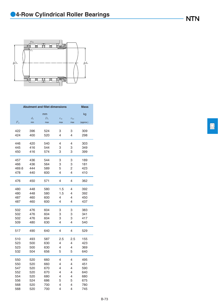

| <b>Abutment and fillet dimensions</b> |             | <b>Mass</b> |              |               |           |
|---------------------------------------|-------------|-------------|--------------|---------------|-----------|
|                                       |             | mm          |              |               | kg        |
|                                       | $d_{\rm a}$ | $D_{\rm a}$ | $r_{\rm as}$ | $r_{\rm las}$ |           |
| $F_{\rm w}$                           | min         | max         | max          | max           | (approx.) |
|                                       |             |             |              |               |           |
| 422                                   | 396         | 524         | 3            | 3             | 309       |
| 424                                   | 400         | 520         | 4            | 4             | 298       |
|                                       |             |             |              |               |           |
| 446                                   | 420         | 540         | 4            | 4             | 303       |
| 445                                   | 416         | 544         | 3            | 3             | 349       |
| 450                                   | 416         | 574         | 3            | 3             | 399       |
|                                       |             |             |              |               |           |
| 457                                   | 436         | 544         | 3            | 3             | 189       |
| 466                                   | 436         | 564         | 3            | 3             | 181       |
| 469.6                                 | 444         | 589         | 5            | 2             | 423       |
| 478                                   | 440         | 600         | 4            | 4             | 410       |
|                                       |             |             |              |               |           |
| 476                                   | 450         | 571         | 4            | 4             | 362       |
|                                       |             |             |              |               |           |
| 480                                   | 448         | 580         | 1.5          | 4             | 392       |
| 480                                   | 448         | 580         | 1.5          | 4             | 392       |
| 487                                   | 460         | 600         | 4            | 4             | 450       |
| 487                                   | 460         | 600         | 4            | 4             | 437       |
|                                       |             |             |              |               |           |
| 502                                   | 476         | 604         | 3            | 3             | 383       |
| 502                                   | 476         | 604         | 3            | 3             | 341       |
| 502                                   | 476         | 604         | 3            | З             | 417       |
| 509                                   | 480         | 630         | 4            | 4             | 540       |
|                                       |             |             |              |               |           |
| 517                                   | 490         | 640         | 4            | 4             | 529       |
|                                       |             |             |              |               |           |
| 510                                   | 493         | 587         | 2.5          | 2.5           | 155       |
| 523                                   | 500         | 630         | 4            | 4             | 423       |
| 523                                   | 500         | 630         | 4            | 4             | 369       |
| 532                                   | 504         | 656         | 5            | 5             | 640       |
|                                       |             |             |              |               |           |
| 550                                   | 520         | 660         | 4            | 4             | 495       |
| 550                                   | 520         | 660         | 4            | 4             | 451       |
| 547                                   | 520         | 670         | 4            | 4             | 590       |
| 552                                   | 520         | 670         | 4            | 4             | 640       |
| 554                                   | 520         | 680         | 4            | 4             | 680       |
| 556                                   | 524         | 686         | 5            | 5             | 675       |
| 568                                   | 520         | 700         | 4            | 4             | 780       |
| 568                                   | 520         | 700         | 4            | 4             | 745       |

 $\boxed{\square}$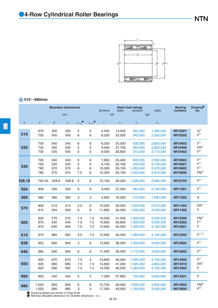

### *d* **510**~**680mm**

|                |                                                           | <b>Boundary dimensions</b> |                          |                    |                     | <b>Basic load ratings</b><br>dynamic<br>static<br>dynamic |                                      |                                              | static                                           | <b>Bearing</b><br>numbers                | Drawing <sup>®</sup><br>No.                                           |
|----------------|-----------------------------------------------------------|----------------------------|--------------------------|--------------------|---------------------|-----------------------------------------------------------|--------------------------------------|----------------------------------------------|--------------------------------------------------|------------------------------------------|-----------------------------------------------------------------------|
|                |                                                           |                            | mm                       |                    |                     | kN                                                        |                                      | kgf                                          |                                                  |                                          |                                                                       |
| $\overline{d}$ | $\boldsymbol{D}$                                          | $B_1$                      | $C_1$                    | $r_{\text{s min}}$ | $r_{\text{ls min}}$ | $C_{\rm r}$                                               | $C_{\text{or}}$                      | $C_{\rm r}$                                  | $C_{\rm or}$                                     |                                          |                                                                       |
| 510            | 670<br>700                                                | 320<br>540                 | 320<br>540               | 5<br>6             | 5<br>6              | 4,550<br>8,300                                            | 13,500<br>25,000                     | 465,000<br>845,000                           | 1,380,000<br>2,550,000                           | 4R10201<br>4R10202                       | G <sup>1</sup><br>F <sup>1</sup>                                      |
| 520            | 700<br>720<br>735                                         | 540<br>550<br>535          | 540<br>550<br>535        | 6<br>5<br>5        | 6<br>5<br>5         | 8,200<br>9,400<br>9,000                                   | 25,500<br>27,700<br>26,600           | 835,000<br>960,000<br>915,000                | 2,600,000<br>2,820,000<br>2,710,000              | 4R10403<br>4R10406<br>4R10402            | F <sup>1</sup><br>$FR^{1)}$<br>F <sup>2</sup>                         |
| 530            | 700<br>760<br>780<br>780                                  | 540<br>520<br>570<br>570   | 540<br>520<br>570<br>570 | 6<br>6<br>6<br>7.5 | 6<br>6<br>6<br>6    | 7,850<br>9,150<br>10,300<br>10,300                        | 25,400<br>26,700<br>29,100<br>29,100 | 800,000<br>935,000<br>1,050,000<br>1,050,000 | 2,590,000<br>2,730,000<br>2,970,000<br>2,970,000 | 4R10603<br>4R10601<br>4R10602<br>4R10606 | F <sup>1</sup><br>F <sup>1</sup><br>F <sup>1</sup><br>FM <sup>1</sup> |
| 536.18         | 762.03                                                    | 558.8                      | 558.8                    | 5                  | 6                   | 10,100                                                    | 29,200                               | 1,030,000                                    | 2,980,000                                        | 4R10704                                  | F <sup>2</sup>                                                        |
| 550            | 800                                                       | 520                        | 520                      | 6                  | 6                   | 9,450                                                     | 27,000                               | 965,000                                      | 2,750,000                                        | 4R11001                                  | F <sup>1</sup>                                                        |
| 560            | 680                                                       | 360                        | 360                      | 3                  | 3                   | 4,650                                                     | 16,500                               | 475,000                                      | 1,680,000                                        | 4R11202                                  | Α                                                                     |
| 570            | 800<br>815                                                | 514<br>594                 | 514<br>594               | 2.5<br>6           | 6<br>6              | 10,200<br>11,800                                          | 29,200<br>34,500                     | 1,040,000<br>1,200,000                       | 2,970,000<br>3,500,000                           | 4R11404<br>4R11402                       | ${\sf FR}^1$<br>F                                                     |
| 600            | 820<br>870<br>870                                         | 575<br>540<br>640          | 575<br>540<br>640        | 7.5<br>7.5<br>7.5  | 7.5<br>7.5<br>7.5   | 10,000<br>10,600<br>13,600                                | 31,500<br>29,600<br>40,500           | 1,020,000<br>1,090,000<br>1,390,000          | 3,200,000<br>3,000,000<br>4,150,000              | 4R12006<br>4R12002<br>4R12001            | FM <sup>1</sup><br>F <sup>1</sup><br>F                                |
| 610            | 870                                                       | 660                        | 660                      | 9.5                | 7.5                 | 12,600                                                    | 40,000                               | 1,280,000                                    | 4,100,000                                        | 4R12202                                  | $F^{1/4}$                                                             |
| 628            | 922                                                       | 600                        | 600                      | 3                  | 6                   | 13,600                                                    | 38,500                               | 1,390,000                                    | 3,900,000                                        | 4R12602                                  | F <sup>1</sup>                                                        |
| 640            | 880                                                       | 600                        | 600                      | 6                  | 6                   | 11,500                                                    | 36,000                               | 1,170,000                                    | 3,650,000                                        | 4R12802                                  | F <sup>2</sup>                                                        |
| 650            | 920<br>920<br>920                                         | 670<br>680<br>690          | 670<br>680<br>690        | 7.5<br>7.5<br>7.5  | 4<br>7.5<br>7.5     | 14,600<br>14,800<br>14,300                                | 46,000<br>47,000<br>46,500           | 1,490,000<br>1,520,000<br>1,460,000          | 4,700,000<br>4,800,000<br>4,750,000              | 4R13005<br>4R13010<br>4R13003            | F <sup>1</sup><br>FR <sup>1</sup><br>F                                |
| 660            | 820                                                       | 440                        | 440                      | 5                  | 4                   | 7,300                                                     | 27,800                               | 745,000                                      | 2,840,000                                        | 4R13201                                  | $\mathsf F$                                                           |
| 680            | 1,020<br>1,020<br>Contained ataile are shown in Page R-38 | 650<br>680                 | 650<br>680               | 6<br>3             | 6<br>5              | 15,700<br>17,300                                          | 48,000<br>49,500                     | 1,600,000<br>1,760,000                       | 4,900,000<br>5,050,000                           | 4R13603<br>4R13604                       | FM <sup>2</sup><br>F <sup>2</sup>                                     |

**1** Drawing details are shown in Page B-38.<br><sup>2</sup> Minimal allowable dimension for chamfer dimension *r* or *r*<sub>1</sub>.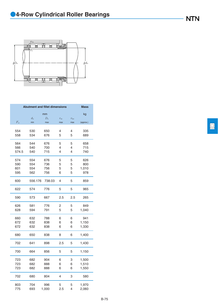

|             | <b>Abutment and fillet dimensions</b> |             |              |               | <b>Mass</b> |
|-------------|---------------------------------------|-------------|--------------|---------------|-------------|
|             |                                       | mm          |              |               | kg          |
|             | $d_{\rm a}$                           | $D_{\rm a}$ | $r_{\rm as}$ | $r_{\rm las}$ |             |
| $F_{\rm w}$ | min                                   | max         | max          | max           | (approx.)   |
| 554         | 530                                   | 650         | 4            | 4             | 335         |
| 558         | 534                                   | 676         | 5            | 5             | 689         |
|             |                                       |             |              |               |             |
| 564         | 544                                   | 676         | 5            | 5             | 658         |
| 566         | 540                                   | 700         | 4            | 4             | 715         |
| 574.5       | 540                                   | 715         | 4            | 4             | 740         |
| 574         | 554                                   | 676         | 5            | 5             | 626         |
| 590         | 554                                   | 736         | 5            | 5             | 800         |
| 601         | 554                                   | 756         | 5            | 5             | 1,010       |
| 595         | 562                                   | 756         | 6            | 5             | 978         |
| 600         | 556.176                               | 738.03      | 4            | 5             | 859         |
| 622         | 574                                   | 776         | 5            | 5             | 965         |
| 590         | 573                                   | 667         | 2.5          | 2.5           | 265         |
| 626         | 581                                   | 776         | 2            | 5             | 849         |
| 628         | 594                                   | 791         | 5            | 5             | 1,040       |
| 660         | 632                                   | 788         | 6            | 6             | 941         |
| 672         | 632                                   | 838         | 6            | 6             | 1,150       |
| 672         | 632                                   | 838         | 6            | 6             | 1,330       |
| 680         | 650                                   | 838         | 8            | 6             | 1,400       |
| 702         | 641                                   | 898         | 2.5          | 5             | 1,430       |
| 700         | 664                                   | 856         | 5            | 5             | 1,150       |
| 723         | 682                                   | 904         | 6            | 3             | 1,500       |
| 723         | 682                                   | 888         | 6            | 6             | 1,510       |
| 723         | 682                                   | 888         | 6            | 6             | 1,550       |
| 702         | 680                                   | 804         | 4            | 3             | 580         |
| 803         | 704                                   | 996         | 5            | 5             | 1,970       |
| 775         | 693                                   | 1,000       | 2.5          | 4             | 2,060       |

 $\Box$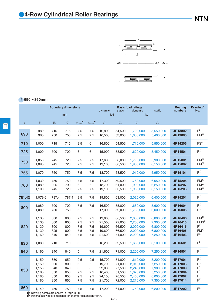

### *d* **690**~**860mm**

|                |                                                           |                                        | <b>Boundary dimensions</b>             |                                    |                                    | <b>Basic load ratings</b><br>dynamic<br>static<br>dynamic |                                                          |                                                                            | static                                                                     | <b>Bearing</b><br>numbers                                      | Drawing <sup>®</sup><br>No.                                                                        |
|----------------|-----------------------------------------------------------|----------------------------------------|----------------------------------------|------------------------------------|------------------------------------|-----------------------------------------------------------|----------------------------------------------------------|----------------------------------------------------------------------------|----------------------------------------------------------------------------|----------------------------------------------------------------|----------------------------------------------------------------------------------------------------|
|                |                                                           |                                        | mm                                     |                                    |                                    | kN                                                        |                                                          | kgf                                                                        |                                                                            |                                                                |                                                                                                    |
| $\mathfrak{d}$ | $\boldsymbol{D}$                                          | $B_1$                                  | $C_1$                                  | $r_{\text{s min}}$                 | $r_{\rm ls\,min}$ $\bullet$        | $C_{\rm r}$                                               | $C_{\rm{or}}$                                            | $C_{\rm r}$                                                                | $C_{\rm{or}}$                                                              |                                                                |                                                                                                    |
| 690            | 980<br>980                                                | 715<br>750                             | 715<br>750                             | 7.5<br>7.5                         | 7.5<br>7.5                         | 16,800<br>16,500                                          | 54,500<br>53,000                                         | 1,720,000<br>1,680,000                                                     | 5,550,000<br>5,400,000                                                     | 4R13802<br>4R13803                                             | F <sup>2</sup><br>FM <sup>2</sup>                                                                  |
| 710            | 1,000                                                     | 715                                    | 715                                    | 9.5                                | 6                                  | 16,800                                                    | 54,500                                                   | 1,710,000                                                                  | 5,550,000                                                                  | 4R14205                                                        | FS <sup>4</sup>                                                                                    |
| 725            | 1,000                                                     | 700                                    | 700                                    | 6                                  | 6                                  | 15,900                                                    | 53,500                                                   | 1,620,000                                                                  | 5,450,000                                                                  | 4R14501                                                        | F <sup>1</sup>                                                                                     |
| 750            | 1,050<br>1,090                                            | 745<br>745                             | 720<br>720                             | 7.5<br>7.5                         | 7.5<br>7.5                         | 17,600<br>19,100                                          | 58,000<br>60,500                                         | 1,790,000<br>1,950,000                                                     | 5,900,000<br>6,150,000                                                     | 4R15001<br>4R15002                                             | FM <sup>2</sup><br>FM <sup>2</sup>                                                                 |
| 755            | 1,070                                                     | 750                                    | 750                                    | 7.5                                | 7.5                                | 18,700                                                    | 58,500                                                   | 1,910,000                                                                  | 5,950,000                                                                  | 4R15101                                                        | F <sup>1</sup>                                                                                     |
| 760            | 1,030<br>1,080<br>1,100                                   | 750<br>805<br>745                      | 750<br>790<br>720                      | 7.5<br>6<br>7.5                    | 7.5<br>6<br>7.5                    | 17,300<br>18,700<br>19,100                                | 59,500<br>61,000<br>60,500                               | 1,760,000<br>1,900,000<br>1,950,000                                        | 6,050,000<br>6,250,000<br>6,150,000                                        | 4R15204<br>4R15207<br>4R15203                                  | FM <sup>1</sup><br>FM <sup>2</sup><br>FM <sup>2</sup>                                              |
| 761.43         | 1,079.6                                                   | 787.4                                  | 787.4                                  | 9.5                                | 7.5                                | 19,800                                                    | 63,000                                                   | 2,020,000                                                                  | 6,400,000                                                                  | 4R15201                                                        | F <sup>1</sup>                                                                                     |
| 800            | 1,080<br>1,080                                            | 700<br>750                             | 700<br>750                             | 7.5<br>6                           | 7.5<br>6                           | 16,500<br>17,300                                          | 55,000<br>59,000                                         | 1,680,000<br>1,760,000                                                     | 5,600,000<br>6,000,000                                                     | 4R16004<br>4R16005                                             | F <sup>1</sup><br>F <sup>1</sup>                                                                   |
| 820            | 1,130<br>1,130<br>1,130<br>1,130<br>1,160                 | 800<br>800<br>800<br>825<br>840        | 800<br>800<br>800<br>800<br>840        | 7.5<br>7.5<br>7.5<br>7.5<br>7.5    | 7.5<br>7.5<br>7.5<br>7.5<br>7.5    | 19,600<br>21,500<br>19,600<br>19,600<br>21,600            | 66,500<br>72,000<br>66,500<br>66,500<br>71,000           | 2,000,000<br>2,200,000<br>2,000,000<br>2,000,000<br>2,200,000              | 6,800,000<br>7,300,000<br>6,800,000<br>6,800,000<br>7,250,000              | 4R16406<br>4R16413<br>4R16415<br>4R16405<br>4R16403            | FM <sup>1</sup><br>FMS <sup>2</sup><br>F <sup>2</sup><br>FM <sup>1</sup><br>F <sup>2</sup>         |
| 830            | 1,080                                                     | 710                                    | 710                                    | 6                                  | 6                                  | 16,200                                                    | 59,500                                                   | 1,660,000                                                                  | 6,100,000                                                                  | 4R16601                                                        | F <sup>2</sup>                                                                                     |
| 840            | 1,160                                                     | 840                                    | 840                                    | 5                                  | 7.5                                | 21,600                                                    | 71,000                                                   | 2,200,000                                                                  | 7,250,000                                                                  | 4R16801                                                        | F <sup>1</sup>                                                                                     |
| 850            | 1,150<br>1,150<br>1,150<br>1,180<br>1,180<br>1,180        | 650<br>800<br>840<br>650<br>850<br>850 | 650<br>800<br>840<br>650<br>850<br>850 | 9.5<br>6<br>6<br>7.5<br>9.5<br>7.5 | 9.5<br>6<br>6<br>7.5<br>9.5<br>7.5 | 15,700<br>19,700<br>22,000<br>16,400<br>24,100<br>21,700  | 51,000<br>71,000<br>77,500<br>51,500<br>78,500<br>72,000 | 1,610,000<br>2,010,000<br>2,240,000<br>1,670,000<br>2,460,000<br>2,210,000 | 5,200,000<br>7,250,000<br>7,900,000<br>5,250,000<br>8,000,000<br>7,350,000 | 4R17001<br>4R17003<br>4R17009<br>4R17004<br>4R17002<br>4R17014 | F <sup>1</sup><br>F <sup>1</sup><br>${\sf F}^1$<br>F <sup>1</sup><br>$\mathsf F$<br>F <sup>2</sup> |
| 860            | 1,140<br><b>O</b> Drawing details are shown in Page B-38. | 750                                    | 750                                    | 7.5                                | 7.5                                | 17,200                                                    | 61,000                                                   | 1,750,000                                                                  | 6,200,000                                                                  | 4R17202                                                        | F <sup>2</sup>                                                                                     |

**1** Drawing details are shown in Page B-38.<br><sup>2</sup> Minimal allowable dimension for chamfer dimension *r* or *r*<sub>1</sub>.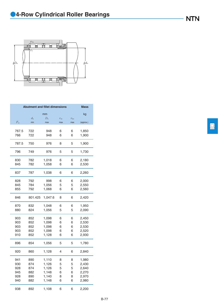

| <b>Abutment and fillet dimensions</b> | <b>Mass</b> |             |              |               |           |
|---------------------------------------|-------------|-------------|--------------|---------------|-----------|
|                                       |             | mm          |              |               | kg        |
|                                       | $d_{\rm a}$ | $D_{\rm a}$ | $r_{\rm as}$ | $r_{\rm las}$ |           |
| $F_{\rm w}$                           | min         | max         | max          | max           | (approx.) |
|                                       |             |             |              |               |           |
| 767.5                                 | 722         | 948         | 6            | 6             | 1,850     |
| 766                                   | 722         | 948         | 6            | 6             | 1,900     |
| 787.5                                 | 750         | 976         | 8            | 5             | 1,900     |
|                                       |             |             |              |               |           |
| 796                                   | 749         | 976         | 5            | 5             | 1,730     |
| 830                                   | 782         | 1,018       | 6            | 6             | 2,180     |
| 845                                   | 782         | 1,058       | 6            | 6             | 2,530     |
|                                       |             |             |              |               |           |
| 837                                   | 787         | 1,038       | 6            | 6             | 2,260     |
| 828                                   | 792         | 998         | 6            | 6             | 2,000     |
| 845                                   | 784         | 1,056       | 5            | 5             | 2,550     |
| 855                                   | 792         | 1,068       | 6            | 6             | 2,560     |
|                                       |             |             |              |               |           |
| 846                                   | 801.425     | 1,047.6     | 8            | 6             | 2,420     |
| 870                                   | 832         | 1,048       | 6            | 6             | 1,950     |
| 880                                   | 824         | 1,056       | 5            | 5             | 2,090     |
| 903                                   | 852         |             | 6            | 6             | 2,450     |
|                                       |             | 1,098       |              |               |           |
| 903                                   | 852         | 1,098       | 6            | 6             | 2,530     |
| 903                                   | 852         | 1,098       | 6            | 6             | 2,530     |
| 903                                   | 852         | 1,098       | 6            | 6             | 2,520     |
| 910                                   | 852         | 1,128       | 6            | 6             | 2,930     |
| 896                                   | 854         | 1,056       | 5            | 5             | 1,780     |
| 920                                   | 860         | 1,128       | 4            | 6             | 2,840     |
| 941                                   | 890         | 1,110       | 8            | 8             | 1,980     |
| 930                                   | 874         | 1,126       | 5            | 5             | 2,430     |
| 928                                   | 874         | 1,126       | 5            | 5             | 2,640     |
| 945                                   | 882         | 1,148       | 6            | 6             | 2,270     |
| 928                                   | 890         | 1,140       | 8            | 8             | 2,970     |
| 940                                   | 882         | 1,148       | 6            | 6             | 2,980     |
|                                       |             |             |              |               |           |
| 938                                   | 892         | 1,108       | 6            | 6             | 2,200     |

 $\boxed{\square}$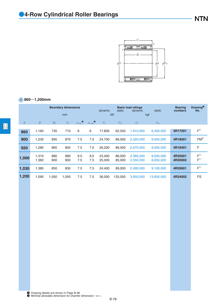

### *d* **860**~**1,200mm**

|                  |                  |            | <b>Boundary dimensions</b><br>mm |                    |                     | <b>Basic load ratings</b><br>static<br>static<br>dynamic<br>dynamic<br>kN<br>kgf |                  |                        |                        | <b>Bearing</b><br>numbers | <b>Drawing</b> <sup>O</sup><br>No. |
|------------------|------------------|------------|----------------------------------|--------------------|---------------------|----------------------------------------------------------------------------------|------------------|------------------------|------------------------|---------------------------|------------------------------------|
| $\boldsymbol{d}$ | $\boldsymbol{D}$ | $B_1$      | $C_1$                            | $r_{\text{s}\min}$ | $r_{\text{ls min}}$ | $C_{\rm r}$                                                                      | $C_{\rm or}$     | $C_{\rm r}$            | $C_{\rm or}$           |                           |                                    |
| 860              | 1,160            | 735        | 710                              | 6                  | 6                   | 17,800                                                                           | 62,500           | 1,810,000              | 6,400,000              | 4R17201                   | F <sup>1</sup>                     |
| 900              | 1,230            | 895        | 870                              | 7.5                | 7.5                 | 24,700                                                                           | 88,000           | 2,520,000              | 9,000,000              | 4R18001                   | FM <sup>2</sup>                    |
| 920              | 1,280            | 865        | 850                              | 7.5                | 7.5                 | 26,200                                                                           | 88,500           | 2,670,000              | 9,000,000              | 4R18401                   | F                                  |
| 1,000            | 1,310<br>1,360   | 880<br>800 | 880<br>800                       | 9.5<br>7.5         | 9.5<br>7.5          | 23,400<br>25,000                                                                 | 88,500<br>85,000 | 2,380,000<br>2,550,000 | 9,000,000<br>8,650,000 | 4R20001<br>4R20002        | F <sup>1</sup><br>F <sup>1</sup>   |
| 1,030            | 1,380            | 850        | 850                              | 7.5                | 7.5                 | 24.400                                                                           | 89,000           | 2,490,000              | 9,100,000              | 4R20601                   | F <sup>1</sup>                     |
| 1,200            | 1,590            | 1.050      | 1,050                            | 7.5                | 7.5                 | 36,000                                                                           | 133,000          | 3,650,000              | 13,600,000             | 4R24002                   | <b>FS</b>                          |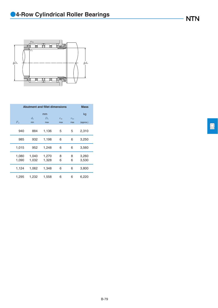

|                |                    | <b>Abutment and fillet dimensions</b> |                     |                      | <b>Mass</b>    |  |  |  |  |  |  |
|----------------|--------------------|---------------------------------------|---------------------|----------------------|----------------|--|--|--|--|--|--|
|                | mm                 |                                       |                     |                      |                |  |  |  |  |  |  |
| $F_{\rm w}$    | $d_{\rm a}$<br>min | $D_{\rm a}$<br>max                    | $r_{\rm as}$<br>max | $r_{\rm las}$<br>max | (approx.)      |  |  |  |  |  |  |
| 940            | 884                | 1,136                                 | 5                   | 5                    | 2,310          |  |  |  |  |  |  |
| 985            | 932                | 1,198                                 | 6                   | 6                    | 3,250          |  |  |  |  |  |  |
| 1,015          | 952                | 1,248                                 | 6                   | 6                    | 3,560          |  |  |  |  |  |  |
| 1,080<br>1,090 | 1,040<br>1,032     | 1,270<br>1,328                        | 8<br>6              | 8<br>6               | 3,260<br>3,530 |  |  |  |  |  |  |
| 1,124          | 1,062              | 1,348                                 | 6                   | 6                    | 3,800          |  |  |  |  |  |  |
| 1,295          | 1,232              | 1,558                                 | 6                   | 6                    | 6,220          |  |  |  |  |  |  |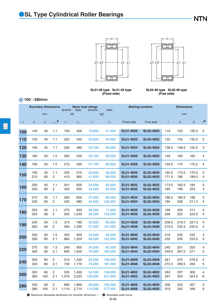



**SL01-48 type SL01-49 type (Fixed side)**

**SL02-48 type SL02-49 type (Free side)**

#### *d* **100**~**280mm**

| <b>Boundary dimensions</b> |     |                  | <b>Basic load ratings</b><br>static<br>dynamic<br>dynamic |             |              | static      | <b>Bearing numbers</b> | <b>Dimensions</b> |                  |          |          |          |                |
|----------------------------|-----|------------------|-----------------------------------------------------------|-------------|--------------|-------------|------------------------|-------------------|------------------|----------|----------|----------|----------------|
|                            |     | mm               |                                                           |             | kN           |             | kgf                    |                   |                  |          | mm       |          |                |
| $\overline{d}$             | D   | $\boldsymbol{B}$ | $r_{\rm s\,min}$                                          | $C_{\rm r}$ | $C_{\rm or}$ | $C_{\rm r}$ | $C_{\rm{or}}$          | <b>Fixed side</b> | Free side        | $\cal J$ | $\cal K$ | $\cal M$ | $e^{\bullet}$  |
| 100                        | 140 | 40               | 1.1                                                       | 194         | 400          | 19,800      | 41,000                 | <b>SL01-4920</b>  | <b>SL02-4920</b> | 116      | 125      | 126.5    | 2              |
| 110                        | 150 | 40               | 1.1                                                       | 202         | 430          | 20,600      | 44,000                 | <b>SL01-4922</b>  | <b>SL02-4922</b> | 125      | 134      | 135.5    | $\overline{c}$ |
| 120                        | 165 | 45               | 1.1                                                       | 226         | 480          | 23,100      | 49,000                 | <b>SL01-4924</b>  | <b>SL02-4924</b> | 138.5    | 148.5    | 150.5    | 3              |
| 130                        | 180 | 50               | 1.5                                                       | 262         | 555          | 26,700      | 56,500                 | <b>SL01-4926</b>  | <b>SL02-4926</b> | 149      | 160      | 162      | 4              |
| 140                        | 190 | 50               | 1.5                                                       | 272         | 595          | 27,700      | 60,500                 | <b>SL01-4928</b>  | <b>SL02-4928</b> | 159.5    | 170      | 172.5    | 4              |
| 150                        | 190 | 40               | 1.1                                                       | 235         | 575          | 23,900      | 58,500                 | <b>SL01-4830</b>  | <b>SL02-4830</b> | 165.5    | 173.5    | 175.5    | 2              |
|                            | 210 | 60               | $\overline{2}$                                            | 410         | 865          | 41,500      | 88,000                 | <b>SL01-4930</b>  | <b>SL02-4930</b> | 171.5    | 186      | 189.5    | 4              |
| 160                        | 200 | 40               | 1.1                                                       | 241         | 605          | 24,600      | 62,000                 | <b>SL01-4832</b>  | <b>SL02-4832</b> | 173.5    | 182.5    | 184      | 2              |
|                            | 220 | 60               | $\overline{c}$                                            | 425         | 935          | 43,500      | 95,000                 | <b>SL01-4932</b>  | <b>SL02-4932</b> | 185      | 199      | 203      | 4              |
| 170                        | 215 | 45               | 1.1                                                       | 265         | 650          | 27,000      | 66,500                 | <b>SL01-4834</b>  | <b>SL02-4834</b> | 186.5    | 196.5    | 198      | 3              |
|                            | 230 | 60               | $\overline{c}$                                            | 435         | 980          | 44,500      | 100,000                | <b>SL01-4934</b>  | <b>SL02-4934</b> | 194      | 208      | 211.5    | 4              |
| 180                        | 225 | 45               | 1.1                                                       | 275         | 695          | 28,000      | 71,000                 | <b>SL01-4836</b>  | <b>SL02-4836</b> | 199      | 209      | 211      | 3              |
|                            | 250 | 69               | $\overline{2}$                                            | 550         | 1,230        | 56,000      | 125,000                | <b>SL01-4936</b>  | <b>SL02-4936</b> | 206      | 222      | 225.5    | 4              |
| 190                        | 240 | 50               | 1.5                                                       | 315         | 785          | 32,000      | 80,000                 | <b>SL01-4838</b>  | <b>SL02-4838</b> | 208.5    | 219.5    | 221.5    | 4              |
|                            | 260 | 69               | $\overline{c}$                                            | 565         | 1,290        | 57,500      | 131,000                | <b>SL01-4938</b>  | <b>SL02-4938</b> | 216.5    | 232.5    | 235.5    | 4              |
| 200                        | 250 | 50               | 1.5                                                       | 320         | 825          | 33,000      | 84,000                 | <b>SL01-4840</b>  | <b>SL02-4840</b> | 219      | 230      | 232      | 4              |
|                            | 280 | 80               | 2.1                                                       | 665         | 1,500        | 68,000      | 153,000                | <b>SL01-4940</b>  | <b>SL02-4940</b> | 232      | 250      | 253.5    | 5              |
| 220                        | 270 | 50               | 1.5                                                       | 340         | 905          | 34,500      | 92,500                 | <b>SL01-4844</b>  | <b>SL02-4844</b> | 240      | 251      | 253      | 4              |
|                            | 300 | 80               | 2.1                                                       | 695         | 1,620        | 70,500      | 165,000                | <b>SL01-4944</b>  | <b>SL02-4944</b> | 249.5    | 267.5    | 271      | 5              |
| 240                        | 300 | 60               | 2                                                         | 510         | 1,330        | 52,000      | 136,000                | <b>SL01-4848</b>  | <b>SL02-4848</b> | 261      | 275      | 276.5    | 4              |
|                            | 320 | 80               | 2.1                                                       | 730         | 1,770        | 74,000      | 181,000                | <b>SL01-4948</b>  | <b>SL02-4948</b> | 272.5    | 290.5    | 294      | 5              |
| 260                        | 320 | 60               | 2                                                         | 535         | 1,450        | 54,500      | 148,000                | <b>SL01-4852</b>  | <b>SL02-4852</b> | 283      | 297      | 300      | 4              |
|                            | 360 | 100              | 2.1                                                       | 1,070       | 2,520        | 109,000     | 257,000                | <b>SL01-4952</b>  | <b>SL02-4952</b> | 297      | 320      | 324.5    | 6              |
| 280                        | 350 | 69               | 2                                                         | 685         | 1,860        | 69,500      | 189,000                | <b>SL01-4856</b>  | <b>SL02-4856</b> | 308      | 324      | 327      | 4              |
|                            | 380 | 100              | 2.1                                                       | 1,110       | 2,710        | 114,000     | 277,000                | <b>SL01-4956</b>  | <b>SL02-4956</b> | 319      | 342      | 346      | 6              |

 $\bullet$  Maximum allowable dimension for chamfer dimension  $r$ .  $\bullet$  Allowable axial move.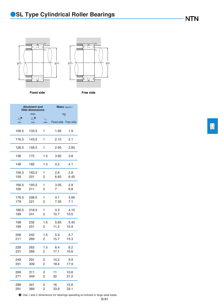



**Fixed side Free side**

|                                      | <b>Abutment and</b><br>fillet dimensions |                     |                      | <b>Mass</b> (approx.) |
|--------------------------------------|------------------------------------------|---------------------|----------------------|-----------------------|
|                                      | mm                                       |                     |                      | kg                    |
| $d_{\mathrm{a}}$ <sup>0</sup><br>min | $D_{\rm a}^{\phantom{\dagger}}$<br>max   | $r_{\rm as}$<br>max | Fixed side Free side |                       |
| 106.5                                | 133.5                                    | 1                   | 1.95                 | 1.9                   |
| 116.5                                | 143.5                                    | 1                   | 2.15                 | 2.1                   |
| 126.5                                | 158.5                                    | 1                   | 2.95                 | 2.85                  |
| 138                                  | 172                                      | 1.5                 | 3.95                 | 3.8                   |
| 148                                  | 182                                      | 1.5                 | 4.2                  | 4.1                   |
| 156.5                                | 183.5                                    | 1                   | 2.9                  | 2.8                   |
| 159                                  | 201                                      | 2                   | 6.65                 | 6.45                  |
| 166.5                                | 193.5                                    | 1                   | 3.05                 | 2.9                   |
| 169                                  | 211                                      | 2                   | 7                    | 6.8                   |
| 176.5                                | 208.5                                    | 1                   | 4.1                  | 3.95                  |
| 179                                  | 221                                      | 2                   | 7.35                 | 7.1                   |
| 186.5                                | 218.5                                    | 1                   | 4.3                  | 4.15                  |
| 189                                  | 241                                      | 2                   | 10.7                 | 10.5                  |
| 198                                  | 232                                      | 1.5                 | 5.65                 | 5.45                  |
| 199                                  | 251                                      | 2                   | 11.2                 | 10.9                  |
| 208                                  | 242                                      | 1.5                 | 5.9                  | 5.7                   |
| 211                                  | 269                                      | 2                   | 15.7                 | 15.3                  |
| 228                                  | 262                                      | 1.5                 | 6.4                  | 6.2                   |
| 231                                  | 289                                      | 2                   | 17.1                 | 16.6                  |
| 249                                  | 291                                      | 2                   | 10.2                 | 9.9                   |
| 251                                  | 309                                      | $\overline{2}$      | 18.4                 | 17.9                  |
| 269                                  | 311                                      | 2                   | 11                   | 10.6                  |
| 271                                  | 349                                      | $\overline{2}$      | 32                   | 31.2                  |
| 289                                  | 341                                      | 2                   | 16                   | 15.6                  |
| 291                                  | 369                                      | 2                   | 33.9                 | 33.1                  |

3 Use *J* and *K* dimensions for bearings operating at inclined or large axial loads.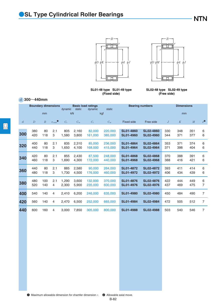



**SL01-48 type SL01-49 type (Fixed side)**

**SL02-48 type SL02-49 type (Free side)**

#### *d* **300**~**440mm**

|                | <b>Boundary dimensions</b> |                  | <b>Basic load ratings</b><br>static<br>dynamic<br>dynamic |                |                |                    | static             | <b>Bearing numbers</b>               | <b>Dimensions</b>                    |            |            |            |                |
|----------------|----------------------------|------------------|-----------------------------------------------------------|----------------|----------------|--------------------|--------------------|--------------------------------------|--------------------------------------|------------|------------|------------|----------------|
|                |                            | mm               |                                                           |                | kN             |                    | kgf                |                                      |                                      |            | mm         |            |                |
| $\overline{d}$ | $\boldsymbol{D}$           | $\boldsymbol{B}$ | $r_{\text{smin}}$                                         | $C_{r}$        | $C_{\rm or}$   | $C_{r}$            | $C_{\rm or}$       | <b>Fixed side</b>                    | Free side                            | J          | K          | M          | $e^{\bullet}$  |
| 300            | 380<br>420                 | 80<br>118        | 2.1<br>3                                                  | 805<br>1.580   | 2.160<br>3.800 | 82,000<br>161.000  | 220,000<br>385,000 | <b>SL01-4860</b><br><b>SL01-4960</b> | <b>SL02-4860</b><br><b>SL02-4960</b> | 330<br>344 | 348<br>371 | 351<br>377 | 6<br>6         |
| 320            | 400<br>440                 | 80<br>118        | 2.1<br>3                                                  | 835<br>1,650   | 2,310<br>4.100 | 85,000<br>168,000  | 236,000<br>415,000 | SL01-4864<br>SL01-4964               | <b>SL02-4864</b><br>SL02-4964        | 353<br>371 | 371<br>398 | 374<br>404 | 6<br>6         |
| 340            | 420<br>460                 | 80<br>118        | 2.1<br>3                                                  | 855<br>1.690   | 2.430<br>4.300 | 87,500<br>172,000  | 248,000<br>440,000 | <b>SL01-4868</b><br><b>SL01-4968</b> | <b>SL02-4868</b><br><b>SL02-4968</b> | 370<br>388 | 388<br>416 | 391<br>421 | 6<br>6         |
| 360            | 440<br>480                 | 80<br>118        | 2.1<br>3                                                  | 885<br>1,730   | 2.580<br>4,500 | 90,000<br>176,000  | 264,000<br>460,000 | <b>SL01-4872</b><br>SL01-4972        | <b>SL02-4872</b><br>SL02-4972        | 393<br>406 | 411<br>434 | 414<br>439 | 6<br>6         |
| 380            | 480<br>520                 | 100<br>140       | 2.1<br>4                                                  | 1.290<br>2.300 | 3.600<br>5.900 | 132,000<br>235,000 | 370,000<br>600,000 | <b>SL01-4876</b><br>SL01-4976        | <b>SL02-4876</b><br><b>SL02-4976</b> | 422<br>437 | 444<br>469 | 449<br>475 | 6<br>7         |
| 400            | 540                        | 140              | 4                                                         | 2,410          | 6,200          | 246,000            | 635,000            | <b>SL01-4980</b>                     | <b>SL02-4980</b>                     | 450        | 484        | 490        | $\overline{7}$ |
| 420            | 560                        | 140              | 4                                                         | 2,470          | 6,500          | 252,000            | 665,000            | <b>SL01-4984</b>                     | <b>SL02-4984</b>                     | 472        | 505        | 512        | 7              |
| 440            | 600                        | 160              | 4                                                         | 3.000          | 7.850          | 305,000            | 800,000            | <b>SL01-4988</b>                     | <b>SL02-4988</b>                     | 503        | 540        | 546        | $\overline{7}$ |

B-82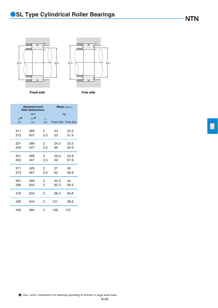



**Fixed side Free side**

|                                      | <b>Abutment and</b><br>fillet dimensions          |                     |                      | <b>Mass</b> (approx.) |
|--------------------------------------|---------------------------------------------------|---------------------|----------------------|-----------------------|
|                                      | mm                                                |                     | kg                   |                       |
| $d_{\mathrm{a}}$ <sup>0</sup><br>min | $D_{\rm a}^{\phantom{\dagger}}{}^{\Theta}$<br>max | $r_{\rm as}$<br>max | Fixed side Free side |                       |
|                                      |                                                   |                     |                      |                       |
| 311                                  | 369                                               | 2                   | 23                   | 22.2                  |
| 313                                  | 407                                               | 2.5                 | 53                   | 51.9                  |
| 331                                  | 389                                               | $\overline{2}$      | 24.3                 | 23.5                  |
| 333                                  | 427                                               | 2.5                 | 56                   | 54.9                  |
| 351                                  | 409                                               | $\overline{2}$      | 25.6                 | 24.8                  |
| 353                                  | 447                                               | 2.5                 | 59                   | 57.8                  |
| 371                                  | 429                                               | $\overline{2}$      | 27                   | 26                    |
| 373                                  | 467                                               | 2.5                 | 62                   | 60.8                  |
| 391                                  | 469                                               | 2                   | 45.3                 | 44                    |
| 396                                  | 504                                               | 3                   | 92.3                 | 90.5                  |
| 416                                  | 524                                               | 3                   | 96.4                 | 94.6                  |
| 436                                  | 544                                               | 3                   | 101                  | 98.6                  |
| 456                                  | 584                                               | 3                   | 139                  | 137                   |

回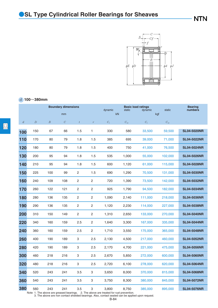

#### *d* **100**~**380mm**

|                |                  |                  | <b>Boundary dimensions</b> |                  |                  |             | <b>Basic load ratings</b><br>dynamic<br>static<br>dynamic |             |               | <b>Bearing</b><br>numbers |
|----------------|------------------|------------------|----------------------------|------------------|------------------|-------------|-----------------------------------------------------------|-------------|---------------|---------------------------|
|                |                  |                  | mm                         |                  |                  | kN          |                                                           |             | static<br>kgf |                           |
| $\overline{d}$ | $\boldsymbol{D}$ | $\boldsymbol{B}$ | $\cal C$                   | $\boldsymbol{t}$ | $\boldsymbol{r}$ | $C_{\rm r}$ | $C_{\rm or}$                                              | $C_{\rm r}$ | $C_{\rm or}$  |                           |
| 100            | 150              | 67               | 66                         | 1.5              | 1                | 330         | 580                                                       | 33,500      | 59,500        | <b>SL04-5020NR</b>        |
| 110            | 170              | 80               | 79                         | 1.8              | 1.5              | 385         | 695                                                       | 39,000      | 71,000        | <b>SL04-5022NR</b>        |
| 120            | 180              | 80               | 79                         | 1.8              | 1.5              | 400         | 750                                                       | 41,000      | 76,500        | <b>SL04-5024NR</b>        |
| 130            | 200              | 95               | 94                         | 1.8              | 1.5              | 535         | 1,000                                                     | 55,000      | 102,000       | <b>SL04-5026NR</b>        |
| 140            | 210              | 95               | 94                         | 1.8              | 1.5              | 600         | 1,120                                                     | 61,000      | 115,000       | <b>SL04-5028NR</b>        |
| 150            | 225              | 100              | 99                         | 2                | 1.5              | 690         | 1,290                                                     | 70,500      | 131,000       | <b>SL04-5030NR</b>        |
| 160            | 240              | 109              | 108                        | $\overline{c}$   | 2                | 720         | 1,390                                                     | 73,500      | 142,000       | <b>SL04-5032NR</b>        |
| 170            | 260              | 122              | 121                        | $\overline{c}$   | 2                | 925         | 1,790                                                     | 94,500      | 182,000       | <b>SL04-5034NR</b>        |
| 180            | 280              | 136              | 135                        | $\overline{c}$   | 2                | 1,090       | 2,140                                                     | 111,000     | 218,000       | <b>SL04-5036NR</b>        |
| 190            | 290              | 136              | 135                        | 2                | 2                | 1,120       | 2,230                                                     | 114,000     | 227,000       | <b>SL04-5038NR</b>        |
| 200            | 310              | 150              | 149                        | $\overline{c}$   | 2                | 1,310       | 2,650                                                     | 133,000     | 270,000       | <b>SL04-5040NR</b>        |
| 220            | 340              | 160              | 159                        | 2.5              | $\overline{c}$   | 1,640       | 3,300                                                     | 167,000     | 335,000       | <b>SL04-5044NR</b>        |
| 240            | 360              | 160              | 159                        | 2.5              | $\overline{c}$   | 1,710       | 3,550                                                     | 175,000     | 365,000       | <b>SL04-5048NR</b>        |
| 260            | 400              | 190              | 189                        | 3                | 2.5              | 2,130       | 4,500                                                     | 217,000     | 460,000       | <b>SL04-5052NR</b>        |
| 280            | 420              | 190              | 189                        | 3                | 2.5              | 2,170       | 4,700                                                     | 221,000     | 475,000       | <b>SL04-5056NR</b>        |
| 300            | 460              | 218              | 216                        | 3                | 2.5              | 2,670       | 5,850                                                     | 272,000     | 600,000       | <b>SL04-5060NR</b>        |
| 320            | 480              | 218              | 216                        | 3                | 2.5              | 2,720       | 6,100                                                     | 278,000     | 620,000       | <b>SL04-5064NR</b>        |
| 340            | 520              | 243              | 241                        | 3.5              | 3                | 3,650       | 8,000                                                     | 370,000     | 815,000       | <b>SL04-5068NR</b>        |
| 360            | 540              | 243              | 241                        | 3.5              | 3                | 3,750       | 8,300                                                     | 380,000     | 845,000       | <b>SL04-5072NR</b>        |
| 380            | 560              | 243              | 241                        | 3.5              | 3                | 3,800       | 8,750                                                     | 385,000     | 895,000       | <b>SL04-5076NR</b>        |

Note 1. The above are greased bearings. 2. The above are treated for rust prevention. 3. The above are non contact shielded bearings. Also, contact sealed can be applied upon request.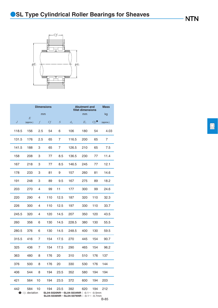## **OSL Type Cylindrical Roller Bearings for Sheaves**



|                 |                | <b>Dimensions</b> |     |                  | <b>Abutment and</b><br>fillet dimensions |       |                  |           |
|-----------------|----------------|-------------------|-----|------------------|------------------------------------------|-------|------------------|-----------|
|                 | mm<br>$\cal E$ |                   |     |                  |                                          | mm    |                  | kg        |
| $J_{\parallel}$ | (approx.)      | $f_{-}$           | Сf  | $\boldsymbol{S}$ | $d_{\rm a}$                              | $E_1$ | $Cf_1^{\bullet}$ | (approx.) |
| 118.5           | 156            | 2.5               | 54  | 6                | 106                                      | 180   | 54               | 4.03      |
| 131.5           | 176            | 2.5               | 65  | 7                | 116.5                                    | 200   | 65               | 7         |
| 141.5           | 188            | 3                 | 65  | 7                | 126.5                                    | 210   | 65               | 7.5       |
| 158             | 208            | 3                 | 77  | 8.5              | 136.5                                    | 230   | 77               | 11.4      |
| 167             | 218            | 3                 | 77  | 8.5              | 146.5                                    | 245   | 77               | 12.1      |
| 178             | 233            | 3                 | 81  | 9                | 157                                      | 260   | 81               | 14.6      |
| 191             | 248            | 3                 | 89  | 9.5              | 167                                      | 275   | 89               | 18.2      |
| 203             | 270            | 4                 | 99  | 11               | 177                                      | 300   | 99               | 24.6      |
| 220             | 290            | 4                 | 110 | 12.5             | 187                                      | 320   | 110              | 32.3      |
| 226             | 300            | 4                 | 110 | 12.5             | 197                                      | 330   | 110              | 33.7      |
| 245.5           | 320            | 4                 | 120 | 14.5             | 207                                      | 350   | 120              | 43.5      |
| 260             | 356            | 6                 | 130 | 14.5             | 228.5                                    | 380   | 130              | 55.5      |
| 280.5           | 376            | 6                 | 130 | 14.5             | 248.5                                    | 400   | 130              | 59.5      |
| 315.5           | 416            | 7                 | 154 | 17.5             | 270                                      | 445   | 154              | 90.7      |
| 325             | 436            | 7                 | 154 | 17.5             | 290                                      | 465   | 154              | 96.2      |
| 363             | 480            | 8                 | 176 | 20               | 310                                      | 510   | 176              | 137       |
| 376             | 500            | 8                 | 176 | 20               | 330                                      | 530   | 176              | 144       |
| 406             | 544            | 8                 | 194 | 23.5             | 352                                      | 580   | 194              | 194       |
| 421             | 564            | 10                | 194 | 23.5             | 372                                      | 600   | 194              | 203       |
| 442             | 584            | 10                | 194 | 23.5             | 392                                      | 620   | 194              | 212       |

1 *Cf*1 deviation **SL04-5020NR**~**SL04-5034NR**:-0.1~ -0.5mm **SL04-5036NR**~**SL04-5076NR**:-0.1~ -0.7mm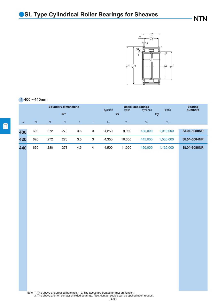

#### *d* **400**~**440mm**

|                |                |                  | <b>Boundary dimensions</b> |     |          | dynamic     | static       | <b>Basic load ratings</b><br>dynamic | static       | <b>Bearing</b><br>numbers |
|----------------|----------------|------------------|----------------------------|-----|----------|-------------|--------------|--------------------------------------|--------------|---------------------------|
|                |                |                  | mm                         |     |          | kN          |              | kgf                                  |              |                           |
| $\mathfrak{a}$ | $\overline{D}$ | $\boldsymbol{B}$ | $\mathcal C$               | t   | $\gamma$ | $C_{\rm r}$ | $C_{\rm or}$ | $C_{r}$                              | $C_{\rm or}$ |                           |
|                | 600            | 272              | 270                        | 3.5 | 3        | 4,250       | 9,950        | 435,000                              | 1,010,000    | <b>SL04-5080NR</b>        |
| 400            |                |                  |                            |     |          |             |              |                                      |              |                           |
| 420            | 620            | 272              | 270                        | 3.5 | 3        | 4,350       | 10,300       | 445,000                              | 1,050,000    | <b>SL04-5084NR</b>        |
| 440            | 650            | 280              | 278                        | 4.5 | 4        | 4,500       | 11,000       | 460,000                              | 1,120,000    | <b>SL04-5088NR</b>        |

Note 1. The above are greased bearings. 2. The above are treated for rust prevention. 3. The above are non contact shielded bearings. Also, contact sealed can be applied upon request.